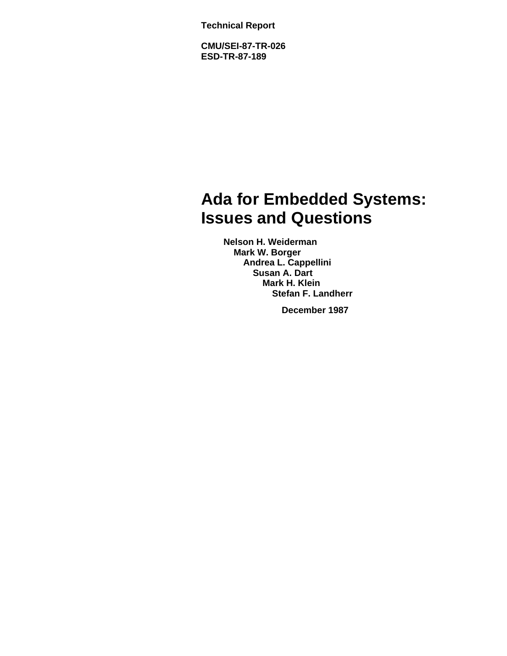**Technical Report**

**CMU/SEI-87-TR-026 ESD-TR-87-189**

# **Ada for Embedded Systems: Issues and Questions**

**Nelson H. Weiderman Mark W. Borger Andrea L. Cappellini Susan A. Dart Mark H. Klein Stefan F. Landherr**

**December 1987**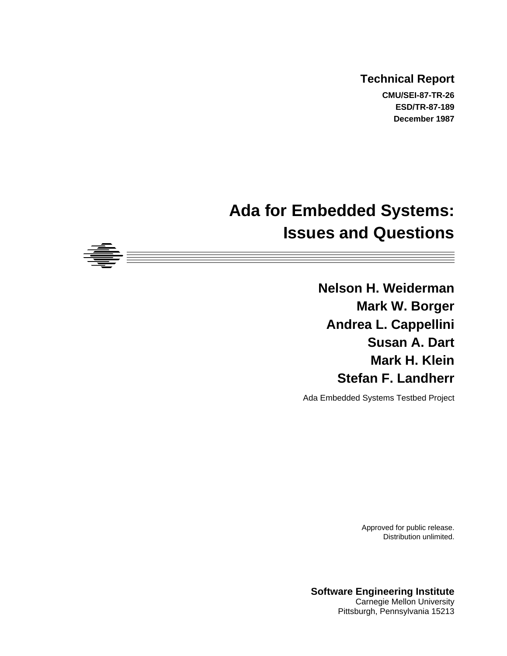### **Technical Report CMU/SEI-87-TR-26 ESD/TR-87-189**

**December 1987**

# **Ada for Embedded Systems: Issues and Questions**

**Nelson H. Weiderman Mark W. Borger Andrea L. Cappellini Susan A. Dart Mark H. Klein Stefan F. Landherr**

Ada Embedded Systems Testbed Project

Approved for public release. Distribution unlimited.

**Software Engineering Institute** Carnegie Mellon University Pittsburgh, Pennsylvania 15213

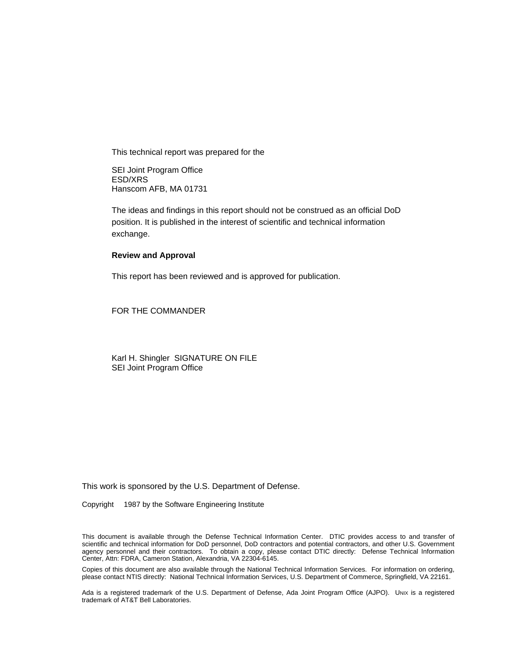This technical report was prepared for the

SEI Joint Program Office ESD/XRS Hanscom AFB, MA 01731

The ideas and findings in this report should not be construed as an official DoD position. It is published in the interest of scientific and technical information exchange.

#### **Review and Approval**

This report has been reviewed and is approved for publication.

FOR THE COMMANDER

Karl H. Shingler SIGNATURE ON FILE SEI Joint Program Office

This work is sponsored by the U.S. Department of Defense.

Copyright © 1987 by the Software Engineering Institute

This document is available through the Defense Technical Information Center. DTIC provides access to and transfer of scientific and technical information for DoD personnel, DoD contractors and potential contractors, and other U.S. Government agency personnel and their contractors. To obtain a copy, please contact DTIC directly: Defense Technical Information Center, Attn: FDRA, Cameron Station, Alexandria, VA 22304-6145.

Copies of this document are also available through the National Technical Information Services. For information on ordering, please contact NTIS directly: National Technical Information Services, U.S. Department of Commerce, Springfield, VA 22161.

Ada is a registered trademark of the U.S. Department of Defense, Ada Joint Program Office (AJPO). Unix is a registered trademark of AT&T Bell Laboratories.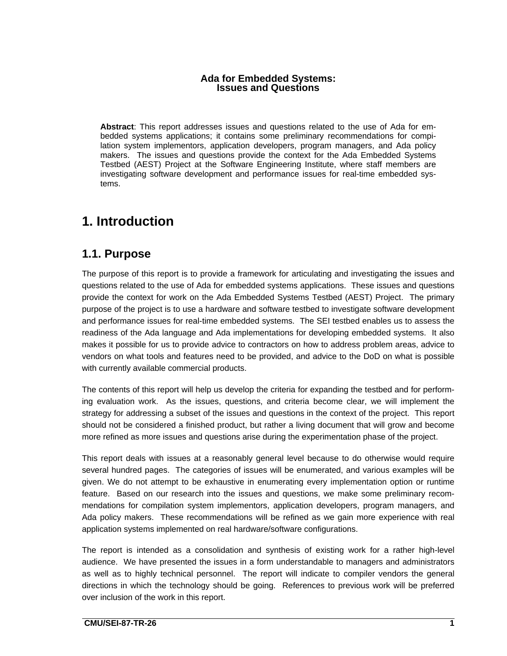### **Ada for Embedded Systems: Issues and Questions**

**Abstract**: This report addresses issues and questions related to the use of Ada for embedded systems applications; it contains some preliminary recommendations for compilation system implementors, application developers, program managers, and Ada policy makers. The issues and questions provide the context for the Ada Embedded Systems Testbed (AEST) Project at the Software Engineering Institute, where staff members are investigating software development and performance issues for real-time embedded systems.

## **1. Introduction**

## **1.1. Purpose**

The purpose of this report is to provide a framework for articulating and investigating the issues and questions related to the use of Ada for embedded systems applications. These issues and questions provide the context for work on the Ada Embedded Systems Testbed (AEST) Project. The primary purpose of the project is to use a hardware and software testbed to investigate software development and performance issues for real-time embedded systems. The SEI testbed enables us to assess the readiness of the Ada language and Ada implementations for developing embedded systems. It also makes it possible for us to provide advice to contractors on how to address problem areas, advice to vendors on what tools and features need to be provided, and advice to the DoD on what is possible with currently available commercial products.

The contents of this report will help us develop the criteria for expanding the testbed and for performing evaluation work. As the issues, questions, and criteria become clear, we will implement the strategy for addressing a subset of the issues and questions in the context of the project. This report should not be considered a finished product, but rather a living document that will grow and become more refined as more issues and questions arise during the experimentation phase of the project.

This report deals with issues at a reasonably general level because to do otherwise would require several hundred pages. The categories of issues will be enumerated, and various examples will be given. We do not attempt to be exhaustive in enumerating every implementation option or runtime feature. Based on our research into the issues and questions, we make some preliminary recommendations for compilation system implementors, application developers, program managers, and Ada policy makers. These recommendations will be refined as we gain more experience with real application systems implemented on real hardware/software configurations.

The report is intended as a consolidation and synthesis of existing work for a rather high-level audience. We have presented the issues in a form understandable to managers and administrators as well as to highly technical personnel. The report will indicate to compiler vendors the general directions in which the technology should be going. References to previous work will be preferred over inclusion of the work in this report.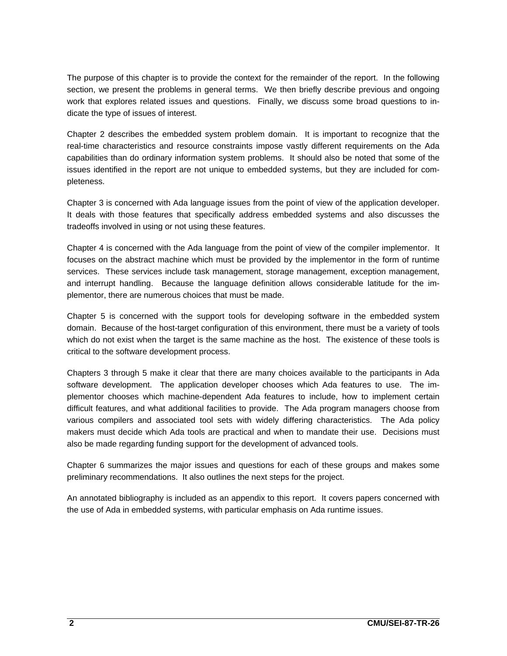The purpose of this chapter is to provide the context for the remainder of the report. In the following section, we present the problems in general terms. We then briefly describe previous and ongoing work that explores related issues and questions. Finally, we discuss some broad questions to indicate the type of issues of interest.

Chapter 2 describes the embedded system problem domain. It is important to recognize that the real-time characteristics and resource constraints impose vastly different requirements on the Ada capabilities than do ordinary information system problems. It should also be noted that some of the issues identified in the report are not unique to embedded systems, but they are included for completeness.

Chapter 3 is concerned with Ada language issues from the point of view of the application developer. It deals with those features that specifically address embedded systems and also discusses the tradeoffs involved in using or not using these features.

Chapter 4 is concerned with the Ada language from the point of view of the compiler implementor. It focuses on the abstract machine which must be provided by the implementor in the form of runtime services. These services include task management, storage management, exception management, and interrupt handling. Because the language definition allows considerable latitude for the implementor, there are numerous choices that must be made.

Chapter 5 is concerned with the support tools for developing software in the embedded system domain. Because of the host-target configuration of this environment, there must be a variety of tools which do not exist when the target is the same machine as the host. The existence of these tools is critical to the software development process.

Chapters 3 through 5 make it clear that there are many choices available to the participants in Ada software development. The application developer chooses which Ada features to use. The implementor chooses which machine-dependent Ada features to include, how to implement certain difficult features, and what additional facilities to provide. The Ada program managers choose from various compilers and associated tool sets with widely differing characteristics. The Ada policy makers must decide which Ada tools are practical and when to mandate their use. Decisions must also be made regarding funding support for the development of advanced tools.

Chapter 6 summarizes the major issues and questions for each of these groups and makes some preliminary recommendations. It also outlines the next steps for the project.

An annotated bibliography is included as an appendix to this report. It covers papers concerned with the use of Ada in embedded systems, with particular emphasis on Ada runtime issues.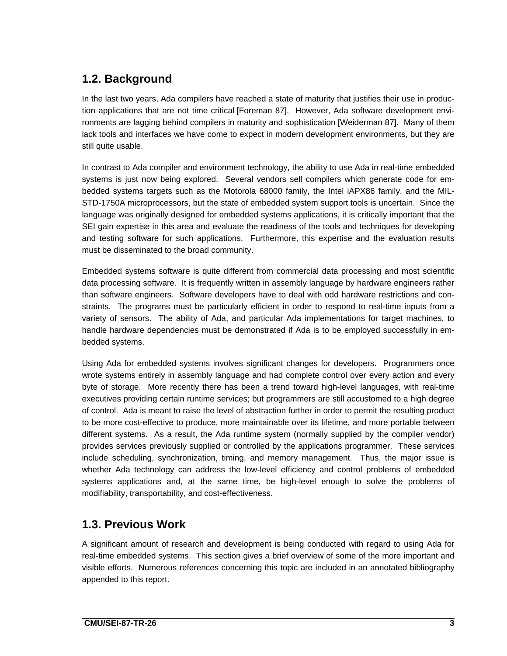## **1.2. Background**

In the last two years, Ada compilers have reached a state of maturity that justifies their use in production applications that are not time critical [Foreman 87]. However, Ada software development environments are lagging behind compilers in maturity and sophistication [Weiderman 87]. Many of them lack tools and interfaces we have come to expect in modern development environments, but they are still quite usable.

In contrast to Ada compiler and environment technology, the ability to use Ada in real-time embedded systems is just now being explored. Several vendors sell compilers which generate code for embedded systems targets such as the Motorola 68000 family, the Intel iAPX86 family, and the MIL-STD-1750A microprocessors, but the state of embedded system support tools is uncertain. Since the language was originally designed for embedded systems applications, it is critically important that the SEI gain expertise in this area and evaluate the readiness of the tools and techniques for developing and testing software for such applications. Furthermore, this expertise and the evaluation results must be disseminated to the broad community.

Embedded systems software is quite different from commercial data processing and most scientific data processing software. It is frequently written in assembly language by hardware engineers rather than software engineers. Software developers have to deal with odd hardware restrictions and constraints. The programs must be particularly efficient in order to respond to real-time inputs from a variety of sensors. The ability of Ada, and particular Ada implementations for target machines, to handle hardware dependencies must be demonstrated if Ada is to be employed successfully in embedded systems.

Using Ada for embedded systems involves significant changes for developers. Programmers once wrote systems entirely in assembly language and had complete control over every action and every byte of storage. More recently there has been a trend toward high-level languages, with real-time executives providing certain runtime services; but programmers are still accustomed to a high degree of control. Ada is meant to raise the level of abstraction further in order to permit the resulting product to be more cost-effective to produce, more maintainable over its lifetime, and more portable between different systems. As a result, the Ada runtime system (normally supplied by the compiler vendor) provides services previously supplied or controlled by the applications programmer. These services include scheduling, synchronization, timing, and memory management. Thus, the major issue is whether Ada technology can address the low-level efficiency and control problems of embedded systems applications and, at the same time, be high-level enough to solve the problems of modifiability, transportability, and cost-effectiveness.

## **1.3. Previous Work**

A significant amount of research and development is being conducted with regard to using Ada for real-time embedded systems. This section gives a brief overview of some of the more important and visible efforts. Numerous references concerning this topic are included in an annotated bibliography appended to this report.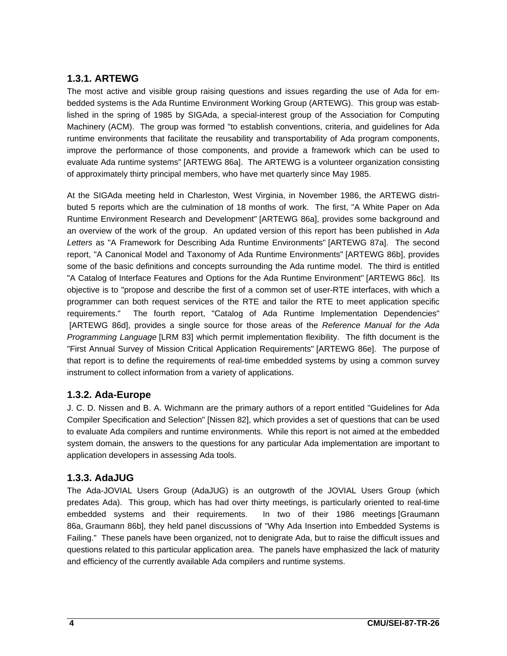### **1.3.1. ARTEWG**

The most active and visible group raising questions and issues regarding the use of Ada for embedded systems is the Ada Runtime Environment Working Group (ARTEWG). This group was established in the spring of 1985 by SIGAda, a special-interest group of the Association for Computing Machinery (ACM). The group was formed "to establish conventions, criteria, and guidelines for Ada runtime environments that facilitate the reusability and transportability of Ada program components, improve the performance of those components, and provide a framework which can be used to evaluate Ada runtime systems" [ARTEWG 86a]. The ARTEWG is a volunteer organization consisting of approximately thirty principal members, who have met quarterly since May 1985.

At the SIGAda meeting held in Charleston, West Virginia, in November 1986, the ARTEWG distributed 5 reports which are the culmination of 18 months of work. The first, "A White Paper on Ada Runtime Environment Research and Development" [ARTEWG 86a], provides some background and an overview of the work of the group. An updated version of this report has been published in Ada Letters as "A Framework for Describing Ada Runtime Environments" [ARTEWG 87a]. The second report, "A Canonical Model and Taxonomy of Ada Runtime Environments" [ARTEWG 86b], provides some of the basic definitions and concepts surrounding the Ada runtime model. The third is entitled "A Catalog of Interface Features and Options for the Ada Runtime Environment" [ARTEWG 86c]. Its objective is to "propose and describe the first of a common set of user-RTE interfaces, with which a programmer can both request services of the RTE and tailor the RTE to meet application specific requirements." The fourth report, "Catalog of Ada Runtime Implementation Dependencies" [ARTEWG 86d], provides a single source for those areas of the Reference Manual for the Ada Programming Language [LRM 83] which permit implementation flexibility. The fifth document is the "First Annual Survey of Mission Critical Application Requirements" [ARTEWG 86e]. The purpose of that report is to define the requirements of real-time embedded systems by using a common survey instrument to collect information from a variety of applications.

### **1.3.2. Ada-Europe**

J. C. D. Nissen and B. A. Wichmann are the primary authors of a report entitled "Guidelines for Ada Compiler Specification and Selection" [Nissen 82], which provides a set of questions that can be used to evaluate Ada compilers and runtime environments. While this report is not aimed at the embedded system domain, the answers to the questions for any particular Ada implementation are important to application developers in assessing Ada tools.

### **1.3.3. AdaJUG**

The Ada-JOVIAL Users Group (AdaJUG) is an outgrowth of the JOVIAL Users Group (which predates Ada). This group, which has had over thirty meetings, is particularly oriented to real-time embedded systems and their requirements. In two of their 1986 meetings [Graumann 86a, Graumann 86b], they held panel discussions of "Why Ada Insertion into Embedded Systems is Failing." These panels have been organized, not to denigrate Ada, but to raise the difficult issues and questions related to this particular application area. The panels have emphasized the lack of maturity and efficiency of the currently available Ada compilers and runtime systems.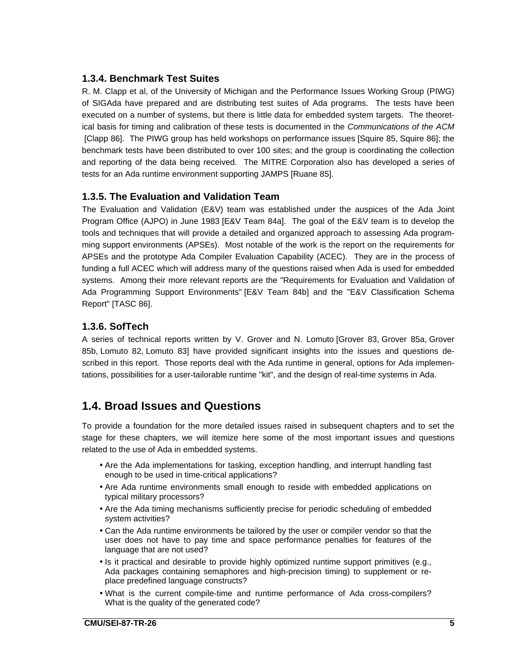### **1.3.4. Benchmark Test Suites**

R. M. Clapp et al, of the University of Michigan and the Performance Issues Working Group (PIWG) of SIGAda have prepared and are distributing test suites of Ada programs. The tests have been executed on a number of systems, but there is little data for embedded system targets. The theoretical basis for timing and calibration of these tests is documented in the Communications of the ACM [Clapp 86]. The PIWG group has held workshops on performance issues [Squire 85, Squire 86]; the benchmark tests have been distributed to over 100 sites; and the group is coordinating the collection and reporting of the data being received. The MITRE Corporation also has developed a series of tests for an Ada runtime environment supporting JAMPS [Ruane 85].

### **1.3.5. The Evaluation and Validation Team**

The Evaluation and Validation (E&V) team was established under the auspices of the Ada Joint Program Office (AJPO) in June 1983 [E&V Team 84a]. The goal of the E&V team is to develop the tools and techniques that will provide a detailed and organized approach to assessing Ada programming support environments (APSEs). Most notable of the work is the report on the requirements for APSEs and the prototype Ada Compiler Evaluation Capability (ACEC). They are in the process of funding a full ACEC which will address many of the questions raised when Ada is used for embedded systems. Among their more relevant reports are the "Requirements for Evaluation and Validation of Ada Programming Support Environments" [E&V Team 84b] and the "E&V Classification Schema Report" [TASC 86].

### **1.3.6. SofTech**

A series of technical reports written by V. Grover and N. Lomuto [Grover 83, Grover 85a, Grover 85b, Lomuto 82, Lomuto 83] have provided significant insights into the issues and questions described in this report. Those reports deal with the Ada runtime in general, options for Ada implementations, possibilities for a user-tailorable runtime "kit", and the design of real-time systems in Ada.

## **1.4. Broad Issues and Questions**

To provide a foundation for the more detailed issues raised in subsequent chapters and to set the stage for these chapters, we will itemize here some of the most important issues and questions related to the use of Ada in embedded systems.

- Are the Ada implementations for tasking, exception handling, and interrupt handling fast enough to be used in time-critical applications?
- Are Ada runtime environments small enough to reside with embedded applications on typical military processors?
- Are the Ada timing mechanisms sufficiently precise for periodic scheduling of embedded system activities?
- Can the Ada runtime environments be tailored by the user or compiler vendor so that the user does not have to pay time and space performance penalties for features of the language that are not used?
- Is it practical and desirable to provide highly optimized runtime support primitives (e.g., Ada packages containing semaphores and high-precision timing) to supplement or replace predefined language constructs?
- What is the current compile-time and runtime performance of Ada cross-compilers? What is the quality of the generated code?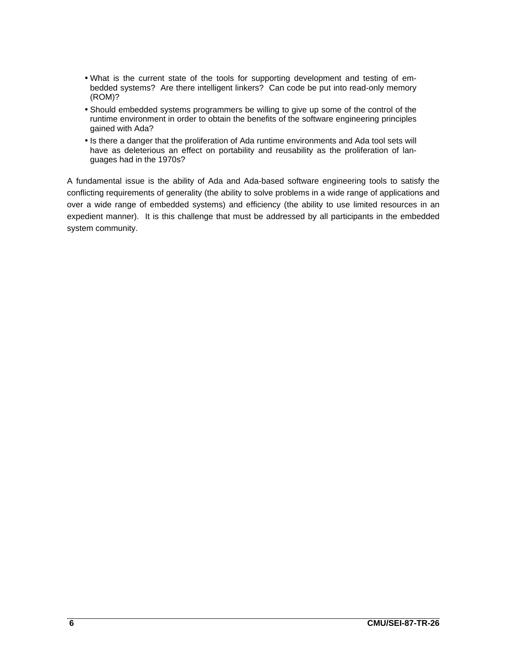- What is the current state of the tools for supporting development and testing of embedded systems? Are there intelligent linkers? Can code be put into read-only memory (ROM)?
- Should embedded systems programmers be willing to give up some of the control of the runtime environment in order to obtain the benefits of the software engineering principles gained with Ada?
- Is there a danger that the proliferation of Ada runtime environments and Ada tool sets will have as deleterious an effect on portability and reusability as the proliferation of languages had in the 1970s?

A fundamental issue is the ability of Ada and Ada-based software engineering tools to satisfy the conflicting requirements of generality (the ability to solve problems in a wide range of applications and over a wide range of embedded systems) and efficiency (the ability to use limited resources in an expedient manner). It is this challenge that must be addressed by all participants in the embedded system community.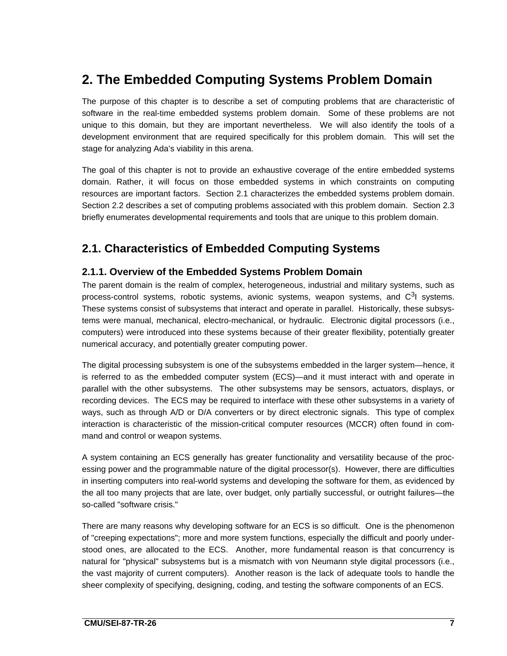## **2. The Embedded Computing Systems Problem Domain**

The purpose of this chapter is to describe a set of computing problems that are characteristic of software in the real-time embedded systems problem domain. Some of these problems are not unique to this domain, but they are important nevertheless. We will also identify the tools of a development environment that are required specifically for this problem domain. This will set the stage for analyzing Ada's viability in this arena.

The goal of this chapter is not to provide an exhaustive coverage of the entire embedded systems domain. Rather, it will focus on those embedded systems in which constraints on computing resources are important factors. Section 2.1 characterizes the embedded systems problem domain. Section 2.2 describes a set of computing problems associated with this problem domain. Section 2.3 briefly enumerates developmental requirements and tools that are unique to this problem domain.

## **2.1. Characteristics of Embedded Computing Systems**

### **2.1.1. Overview of the Embedded Systems Problem Domain**

The parent domain is the realm of complex, heterogeneous, industrial and military systems, such as process-control systems, robotic systems, avionic systems, weapon systems, and  $C<sup>3</sup>$  systems. These systems consist of subsystems that interact and operate in parallel. Historically, these subsystems were manual, mechanical, electro-mechanical, or hydraulic. Electronic digital processors (i.e., computers) were introduced into these systems because of their greater flexibility, potentially greater numerical accuracy, and potentially greater computing power.

The digital processing subsystem is one of the subsystems embedded in the larger system—hence, it is referred to as the embedded computer system (ECS)—and it must interact with and operate in parallel with the other subsystems. The other subsystems may be sensors, actuators, displays, or recording devices. The ECS may be required to interface with these other subsystems in a variety of ways, such as through A/D or D/A converters or by direct electronic signals. This type of complex interaction is characteristic of the mission-critical computer resources (MCCR) often found in command and control or weapon systems.

A system containing an ECS generally has greater functionality and versatility because of the processing power and the programmable nature of the digital processor(s). However, there are difficulties in inserting computers into real-world systems and developing the software for them, as evidenced by the all too many projects that are late, over budget, only partially successful, or outright failures—the so-called "software crisis."

There are many reasons why developing software for an ECS is so difficult. One is the phenomenon of "creeping expectations"; more and more system functions, especially the difficult and poorly understood ones, are allocated to the ECS. Another, more fundamental reason is that concurrency is natural for "physical" subsystems but is a mismatch with von Neumann style digital processors (i.e., the vast majority of current computers). Another reason is the lack of adequate tools to handle the sheer complexity of specifying, designing, coding, and testing the software components of an ECS.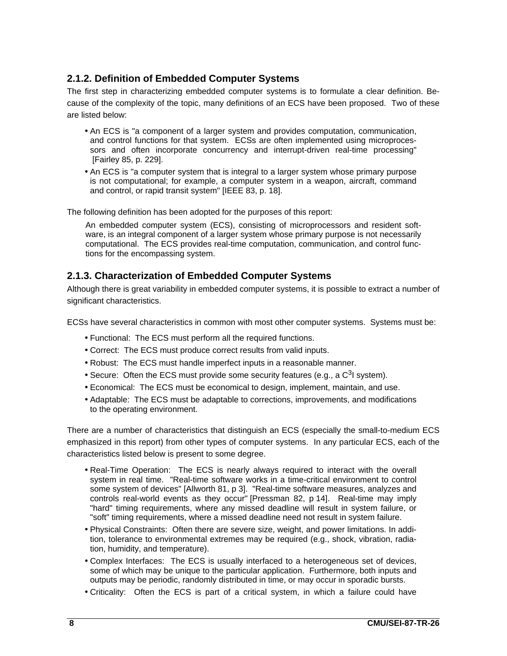### **2.1.2. Definition of Embedded Computer Systems**

The first step in characterizing embedded computer systems is to formulate a clear definition. Because of the complexity of the topic, many definitions of an ECS have been proposed. Two of these are listed below:

- An ECS is "a component of a larger system and provides computation, communication, and control functions for that system. ECSs are often implemented using microprocessors and often incorporate concurrency and interrupt-driven real-time processing" [Fairley 85, p. 229].
- An ECS is "a computer system that is integral to a larger system whose primary purpose is not computational; for example, a computer system in a weapon, aircraft, command and control, or rapid transit system" [IEEE 83, p. 18].

The following definition has been adopted for the purposes of this report:

An embedded computer system (ECS), consisting of microprocessors and resident software, is an integral component of a larger system whose primary purpose is not necessarily computational. The ECS provides real-time computation, communication, and control functions for the encompassing system.

### **2.1.3. Characterization of Embedded Computer Systems**

Although there is great variability in embedded computer systems, it is possible to extract a number of significant characteristics.

ECSs have several characteristics in common with most other computer systems. Systems must be:

- Functional: The ECS must perform all the required functions.
- Correct: The ECS must produce correct results from valid inputs.
- Robust: The ECS must handle imperfect inputs in a reasonable manner.
- Secure: Often the ECS must provide some security features (e.g., a  $C<sup>3</sup>$  system).
- Economical: The ECS must be economical to design, implement, maintain, and use.
- Adaptable: The ECS must be adaptable to corrections, improvements, and modifications to the operating environment.

There are a number of characteristics that distinguish an ECS (especially the small-to-medium ECS emphasized in this report) from other types of computer systems. In any particular ECS, each of the characteristics listed below is present to some degree.

- Real-Time Operation: The ECS is nearly always required to interact with the overall system in real time. "Real-time software works in a time-critical environment to control some system of devices" [Allworth 81, p 3]. "Real-time software measures, analyzes and controls real-world events as they occur" [Pressman 82, p 14]. Real-time may imply "hard" timing requirements, where any missed deadline will result in system failure, or "soft" timing requirements, where a missed deadline need not result in system failure.
- Physical Constraints: Often there are severe size, weight, and power limitations. In addition, tolerance to environmental extremes may be required (e.g., shock, vibration, radiation, humidity, and temperature).
- Complex Interfaces: The ECS is usually interfaced to a heterogeneous set of devices, some of which may be unique to the particular application. Furthermore, both inputs and outputs may be periodic, randomly distributed in time, or may occur in sporadic bursts.
- Criticality: Often the ECS is part of a critical system, in which a failure could have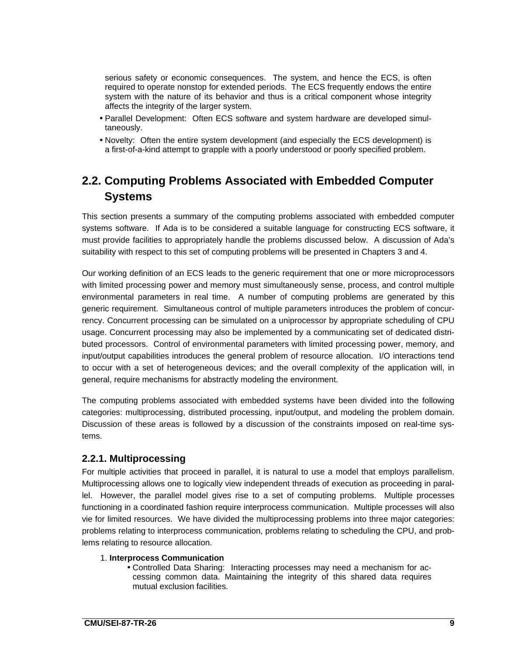serious safety or economic consequences. The system, and hence the ECS, is often required to operate nonstop for extended periods. The ECS frequently endows the entire system with the nature of its behavior and thus is a critical component whose integrity affects the integrity of the larger system.

- Parallel Development: Often ECS software and system hardware are developed simultaneously.
- Novelty: Often the entire system development (and especially the ECS development) is a first-of-a-kind attempt to grapple with a poorly understood or poorly specified problem.

## **2.2. Computing Problems Associated with Embedded Computer Systems**

This section presents a summary of the computing problems associated with embedded computer systems software. If Ada is to be considered a suitable language for constructing ECS software, it must provide facilities to appropriately handle the problems discussed below. A discussion of Ada's suitability with respect to this set of computing problems will be presented in Chapters 3 and 4.

Our working definition of an ECS leads to the generic requirement that one or more microprocessors with limited processing power and memory must simultaneously sense, process, and control multiple environmental parameters in real time. A number of computing problems are generated by this generic requirement. Simultaneous control of multiple parameters introduces the problem of concurrency. Concurrent processing can be simulated on a uniprocessor by appropriate scheduling of CPU usage. Concurrent processing may also be implemented by a communicating set of dedicated distributed processors. Control of environmental parameters with limited processing power, memory, and input/output capabilities introduces the general problem of resource allocation. I/O interactions tend to occur with a set of heterogeneous devices; and the overall complexity of the application will, in general, require mechanisms for abstractly modeling the environment.

The computing problems associated with embedded systems have been divided into the following categories: multiprocessing, distributed processing, input/output, and modeling the problem domain. Discussion of these areas is followed by a discussion of the constraints imposed on real-time systems.

### **2.2.1. Multiprocessing**

For multiple activities that proceed in parallel, it is natural to use a model that employs parallelism. Multiprocessing allows one to logically view independent threads of execution as proceeding in parallel. However, the parallel model gives rise to a set of computing problems. Multiple processes functioning in a coordinated fashion require interprocess communication. Multiple processes will also vie for limited resources. We have divided the multiprocessing problems into three major categories: problems relating to interprocess communication, problems relating to scheduling the CPU, and problems relating to resource allocation.

#### 1. **Interprocess Communication**

• Controlled Data Sharing: Interacting processes may need a mechanism for accessing common data. Maintaining the integrity of this shared data requires mutual exclusion facilities.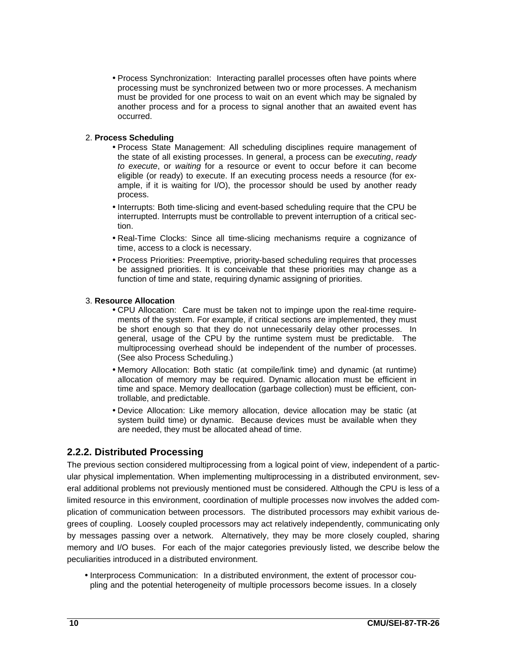• Process Synchronization: Interacting parallel processes often have points where processing must be synchronized between two or more processes. A mechanism must be provided for one process to wait on an event which may be signaled by another process and for a process to signal another that an awaited event has occurred.

#### 2. **Process Scheduling**

- Process State Management: All scheduling disciplines require management of the state of all existing processes. In general, a process can be executing, ready to execute, or waiting for a resource or event to occur before it can become eligible (or ready) to execute. If an executing process needs a resource (for example, if it is waiting for I/O), the processor should be used by another ready process.
- Interrupts: Both time-slicing and event-based scheduling require that the CPU be interrupted. Interrupts must be controllable to prevent interruption of a critical section.
- Real-Time Clocks: Since all time-slicing mechanisms require a cognizance of time, access to a clock is necessary.
- Process Priorities: Preemptive, priority-based scheduling requires that processes be assigned priorities. It is conceivable that these priorities may change as a function of time and state, requiring dynamic assigning of priorities.

#### 3. **Resource Allocation**

- CPU Allocation: Care must be taken not to impinge upon the real-time requirements of the system. For example, if critical sections are implemented, they must be short enough so that they do not unnecessarily delay other processes. In general, usage of the CPU by the runtime system must be predictable. The multiprocessing overhead should be independent of the number of processes. (See also Process Scheduling.)
- Memory Allocation: Both static (at compile/link time) and dynamic (at runtime) allocation of memory may be required. Dynamic allocation must be efficient in time and space. Memory deallocation (garbage collection) must be efficient, controllable, and predictable.
- Device Allocation: Like memory allocation, device allocation may be static (at system build time) or dynamic. Because devices must be available when they are needed, they must be allocated ahead of time.

### **2.2.2. Distributed Processing**

The previous section considered multiprocessing from a logical point of view, independent of a particular physical implementation. When implementing multiprocessing in a distributed environment, several additional problems not previously mentioned must be considered. Although the CPU is less of a limited resource in this environment, coordination of multiple processes now involves the added complication of communication between processors. The distributed processors may exhibit various degrees of coupling. Loosely coupled processors may act relatively independently, communicating only by messages passing over a network. Alternatively, they may be more closely coupled, sharing memory and I/O buses. For each of the major categories previously listed, we describe below the peculiarities introduced in a distributed environment.

• Interprocess Communication: In a distributed environment, the extent of processor coupling and the potential heterogeneity of multiple processors become issues. In a closely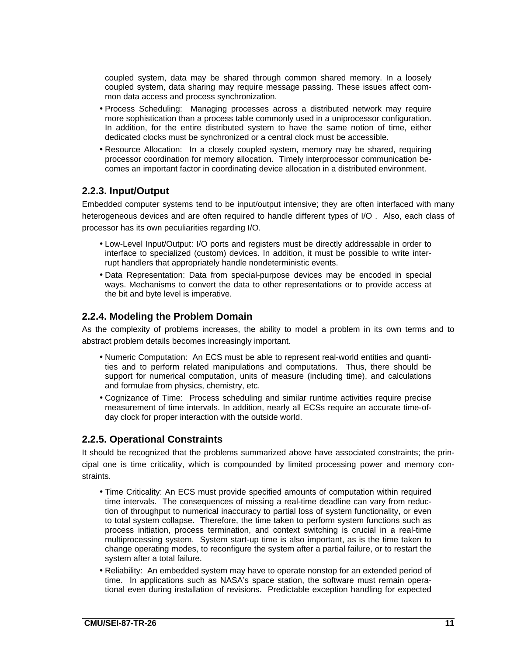coupled system, data may be shared through common shared memory. In a loosely coupled system, data sharing may require message passing. These issues affect common data access and process synchronization.

- Process Scheduling: Managing processes across a distributed network may require more sophistication than a process table commonly used in a uniprocessor configuration. In addition, for the entire distributed system to have the same notion of time, either dedicated clocks must be synchronized or a central clock must be accessible.
- Resource Allocation: In a closely coupled system, memory may be shared, requiring processor coordination for memory allocation. Timely interprocessor communication becomes an important factor in coordinating device allocation in a distributed environment.

### **2.2.3. Input/Output**

Embedded computer systems tend to be input/output intensive; they are often interfaced with many heterogeneous devices and are often required to handle different types of I/O . Also, each class of processor has its own peculiarities regarding I/O.

- Low-Level Input/Output: I/O ports and registers must be directly addressable in order to interface to specialized (custom) devices. In addition, it must be possible to write interrupt handlers that appropriately handle nondeterministic events.
- Data Representation: Data from special-purpose devices may be encoded in special ways. Mechanisms to convert the data to other representations or to provide access at the bit and byte level is imperative.

### **2.2.4. Modeling the Problem Domain**

As the complexity of problems increases, the ability to model a problem in its own terms and to abstract problem details becomes increasingly important.

- Numeric Computation: An ECS must be able to represent real-world entities and quantities and to perform related manipulations and computations. Thus, there should be support for numerical computation, units of measure (including time), and calculations and formulae from physics, chemistry, etc.
- Cognizance of Time: Process scheduling and similar runtime activities require precise measurement of time intervals. In addition, nearly all ECSs require an accurate time-ofday clock for proper interaction with the outside world.

#### **2.2.5. Operational Constraints**

It should be recognized that the problems summarized above have associated constraints; the principal one is time criticality, which is compounded by limited processing power and memory constraints.

- Time Criticality: An ECS must provide specified amounts of computation within required time intervals. The consequences of missing a real-time deadline can vary from reduction of throughput to numerical inaccuracy to partial loss of system functionality, or even to total system collapse. Therefore, the time taken to perform system functions such as process initiation, process termination, and context switching is crucial in a real-time multiprocessing system. System start-up time is also important, as is the time taken to change operating modes, to reconfigure the system after a partial failure, or to restart the system after a total failure.
- Reliability: An embedded system may have to operate nonstop for an extended period of time. In applications such as NASA's space station, the software must remain operational even during installation of revisions. Predictable exception handling for expected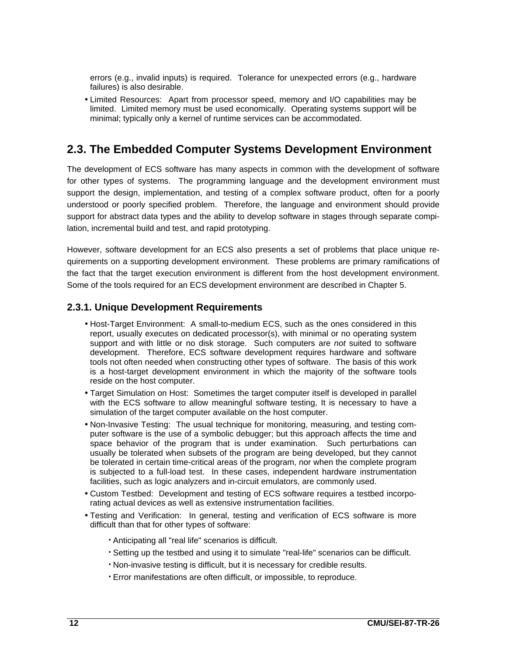errors (e.g., invalid inputs) is required. Tolerance for unexpected errors (e.g., hardware failures) is also desirable.

• Limited Resources: Apart from processor speed, memory and I/O capabilities may be limited. Limited memory must be used economically. Operating systems support will be minimal; typically only a kernel of runtime services can be accommodated.

## **2.3. The Embedded Computer Systems Development Environment**

The development of ECS software has many aspects in common with the development of software for other types of systems. The programming language and the development environment must support the design, implementation, and testing of a complex software product, often for a poorly understood or poorly specified problem. Therefore, the language and environment should provide support for abstract data types and the ability to develop software in stages through separate compilation, incremental build and test, and rapid prototyping.

However, software development for an ECS also presents a set of problems that place unique requirements on a supporting development environment. These problems are primary ramifications of the fact that the target execution environment is different from the host development environment. Some of the tools required for an ECS development environment are described in Chapter 5.

### **2.3.1. Unique Development Requirements**

- Host-Target Environment: A small-to-medium ECS, such as the ones considered in this report, usually executes on dedicated processor(s), with minimal or no operating system support and with little or no disk storage. Such computers are not suited to software development. Therefore, ECS software development requires hardware and software tools not often needed when constructing other types of software. The basis of this work is a host-target development environment in which the majority of the software tools reside on the host computer.
- Target Simulation on Host: Sometimes the target computer itself is developed in parallel with the ECS software to allow meaningful software testing, It is necessary to have a simulation of the target computer available on the host computer.
- Non-Invasive Testing: The usual technique for monitoring, measuring, and testing computer software is the use of a symbolic debugger; but this approach affects the time and space behavior of the program that is under examination. Such perturbations can usually be tolerated when subsets of the program are being developed, but they cannot be tolerated in certain time-critical areas of the program, nor when the complete program is subjected to a full-load test. In these cases, independent hardware instrumentation facilities, such as logic analyzers and in-circuit emulators, are commonly used.
- Custom Testbed: Development and testing of ECS software requires a testbed incorporating actual devices as well as extensive instrumentation facilities.
- Testing and Verification: In general, testing and verification of ECS software is more difficult than that for other types of software:
	- Anticipating all "real life" scenarios is difficult.
	- Setting up the testbed and using it to simulate "real-life" scenarios can be difficult.
	- Non-invasive testing is difficult, but it is necessary for credible results.
	- Error manifestations are often difficult, or impossible, to reproduce.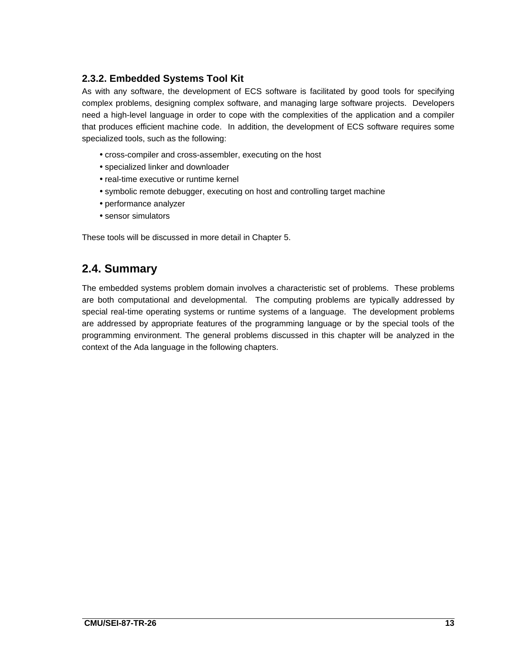### **2.3.2. Embedded Systems Tool Kit**

As with any software, the development of ECS software is facilitated by good tools for specifying complex problems, designing complex software, and managing large software projects. Developers need a high-level language in order to cope with the complexities of the application and a compiler that produces efficient machine code. In addition, the development of ECS software requires some specialized tools, such as the following:

- cross-compiler and cross-assembler, executing on the host
- specialized linker and downloader
- real-time executive or runtime kernel
- symbolic remote debugger, executing on host and controlling target machine
- performance analyzer
- sensor simulators

These tools will be discussed in more detail in Chapter 5.

## **2.4. Summary**

The embedded systems problem domain involves a characteristic set of problems. These problems are both computational and developmental. The computing problems are typically addressed by special real-time operating systems or runtime systems of a language. The development problems are addressed by appropriate features of the programming language or by the special tools of the programming environment. The general problems discussed in this chapter will be analyzed in the context of the Ada language in the following chapters.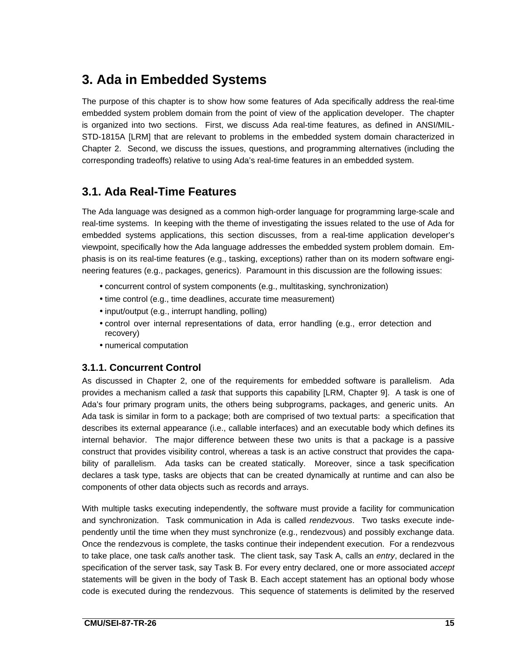## **3. Ada in Embedded Systems**

The purpose of this chapter is to show how some features of Ada specifically address the real-time embedded system problem domain from the point of view of the application developer. The chapter is organized into two sections. First, we discuss Ada real-time features, as defined in ANSI/MIL-STD-1815A [LRM] that are relevant to problems in the embedded system domain characterized in Chapter 2. Second, we discuss the issues, questions, and programming alternatives (including the corresponding tradeoffs) relative to using Ada's real-time features in an embedded system.

## **3.1. Ada Real-Time Features**

The Ada language was designed as a common high-order language for programming large-scale and real-time systems. In keeping with the theme of investigating the issues related to the use of Ada for embedded systems applications, this section discusses, from a real-time application developer's viewpoint, specifically how the Ada language addresses the embedded system problem domain. Emphasis is on its real-time features (e.g., tasking, exceptions) rather than on its modern software engineering features (e.g., packages, generics). Paramount in this discussion are the following issues:

- concurrent control of system components (e.g., multitasking, synchronization)
- time control (e.g., time deadlines, accurate time measurement)
- input/output (e.g., interrupt handling, polling)
- control over internal representations of data, error handling (e.g., error detection and recovery)
- numerical computation

### **3.1.1. Concurrent Control**

As discussed in Chapter 2, one of the requirements for embedded software is parallelism. Ada provides a mechanism called a task that supports this capability [LRM, Chapter 9]. A task is one of Ada's four primary program units, the others being subprograms, packages, and generic units. An Ada task is similar in form to a package; both are comprised of two textual parts: a specification that describes its external appearance (i.e., callable interfaces) and an executable body which defines its internal behavior. The major difference between these two units is that a package is a passive construct that provides visibility control, whereas a task is an active construct that provides the capability of parallelism. Ada tasks can be created statically. Moreover, since a task specification declares a task type, tasks are objects that can be created dynamically at runtime and can also be components of other data objects such as records and arrays.

With multiple tasks executing independently, the software must provide a facility for communication and synchronization. Task communication in Ada is called *rendezvous*. Two tasks execute independently until the time when they must synchronize (e.g., rendezvous) and possibly exchange data. Once the rendezvous is complete, the tasks continue their independent execution. For a rendezvous to take place, one task calls another task. The client task, say Task A, calls an entry, declared in the specification of the server task, say Task B. For every entry declared, one or more associated accept statements will be given in the body of Task B. Each accept statement has an optional body whose code is executed during the rendezvous. This sequence of statements is delimited by the reserved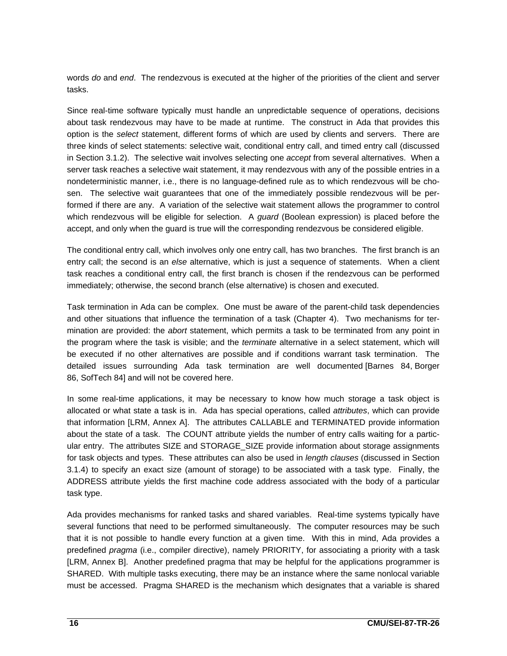words do and end. The rendezvous is executed at the higher of the priorities of the client and server tasks.

Since real-time software typically must handle an unpredictable sequence of operations, decisions about task rendezvous may have to be made at runtime. The construct in Ada that provides this option is the select statement, different forms of which are used by clients and servers. There are three kinds of select statements: selective wait, conditional entry call, and timed entry call (discussed in Section 3.1.2). The selective wait involves selecting one *accept* from several alternatives. When a server task reaches a selective wait statement, it may rendezvous with any of the possible entries in a nondeterministic manner, i.e., there is no language-defined rule as to which rendezvous will be chosen. The selective wait guarantees that one of the immediately possible rendezvous will be performed if there are any. A variation of the selective wait statement allows the programmer to control which rendezvous will be eligible for selection. A *guard* (Boolean expression) is placed before the accept, and only when the guard is true will the corresponding rendezvous be considered eligible.

The conditional entry call, which involves only one entry call, has two branches. The first branch is an entry call; the second is an else alternative, which is just a sequence of statements. When a client task reaches a conditional entry call, the first branch is chosen if the rendezvous can be performed immediately; otherwise, the second branch (else alternative) is chosen and executed.

Task termination in Ada can be complex. One must be aware of the parent-child task dependencies and other situations that influence the termination of a task (Chapter 4). Two mechanisms for termination are provided: the abort statement, which permits a task to be terminated from any point in the program where the task is visible; and the *terminate* alternative in a select statement, which will be executed if no other alternatives are possible and if conditions warrant task termination. The detailed issues surrounding Ada task termination are well documented [Barnes 84, Borger 86, SofTech 84] and will not be covered here.

In some real-time applications, it may be necessary to know how much storage a task object is allocated or what state a task is in. Ada has special operations, called attributes, which can provide that information [LRM, Annex A]. The attributes CALLABLE and TERMINATED provide information about the state of a task. The COUNT attribute yields the number of entry calls waiting for a particular entry. The attributes SIZE and STORAGE\_SIZE provide information about storage assignments for task objects and types. These attributes can also be used in length clauses (discussed in Section 3.1.4) to specify an exact size (amount of storage) to be associated with a task type. Finally, the ADDRESS attribute yields the first machine code address associated with the body of a particular task type.

Ada provides mechanisms for ranked tasks and shared variables. Real-time systems typically have several functions that need to be performed simultaneously. The computer resources may be such that it is not possible to handle every function at a given time. With this in mind, Ada provides a predefined pragma (i.e., compiler directive), namely PRIORITY, for associating a priority with a task [LRM, Annex B]. Another predefined pragma that may be helpful for the applications programmer is SHARED. With multiple tasks executing, there may be an instance where the same nonlocal variable must be accessed. Pragma SHARED is the mechanism which designates that a variable is shared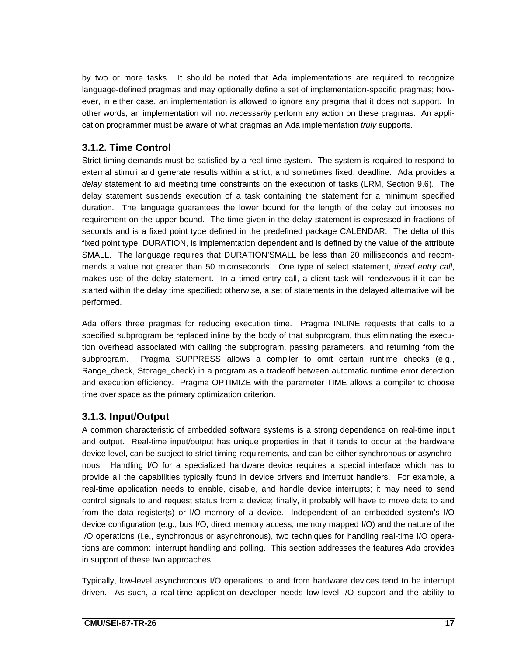by two or more tasks. It should be noted that Ada implementations are required to recognize language-defined pragmas and may optionally define a set of implementation-specific pragmas; however, in either case, an implementation is allowed to ignore any pragma that it does not support. In other words, an implementation will not necessarily perform any action on these pragmas. An application programmer must be aware of what pragmas an Ada implementation *truly* supports.

### **3.1.2. Time Control**

Strict timing demands must be satisfied by a real-time system. The system is required to respond to external stimuli and generate results within a strict, and sometimes fixed, deadline. Ada provides a delay statement to aid meeting time constraints on the execution of tasks (LRM, Section 9.6). The delay statement suspends execution of a task containing the statement for a minimum specified duration. The language guarantees the lower bound for the length of the delay but imposes no requirement on the upper bound. The time given in the delay statement is expressed in fractions of seconds and is a fixed point type defined in the predefined package CALENDAR. The delta of this fixed point type, DURATION, is implementation dependent and is defined by the value of the attribute SMALL. The language requires that DURATION'SMALL be less than 20 milliseconds and recommends a value not greater than 50 microseconds. One type of select statement, timed entry call, makes use of the delay statement. In a timed entry call, a client task will rendezvous if it can be started within the delay time specified; otherwise, a set of statements in the delayed alternative will be performed.

Ada offers three pragmas for reducing execution time. Pragma INLINE requests that calls to a specified subprogram be replaced inline by the body of that subprogram, thus eliminating the execution overhead associated with calling the subprogram, passing parameters, and returning from the subprogram. Pragma SUPPRESS allows a compiler to omit certain runtime checks (e.g., Range\_check, Storage\_check) in a program as a tradeoff between automatic runtime error detection and execution efficiency. Pragma OPTIMIZE with the parameter TIME allows a compiler to choose time over space as the primary optimization criterion.

### **3.1.3. Input/Output**

A common characteristic of embedded software systems is a strong dependence on real-time input and output. Real-time input/output has unique properties in that it tends to occur at the hardware device level, can be subject to strict timing requirements, and can be either synchronous or asynchronous. Handling I/O for a specialized hardware device requires a special interface which has to provide all the capabilities typically found in device drivers and interrupt handlers. For example, a real-time application needs to enable, disable, and handle device interrupts; it may need to send control signals to and request status from a device; finally, it probably will have to move data to and from the data register(s) or I/O memory of a device. Independent of an embedded system's I/O device configuration (e.g., bus I/O, direct memory access, memory mapped I/O) and the nature of the I/O operations (i.e., synchronous or asynchronous), two techniques for handling real-time I/O operations are common: interrupt handling and polling. This section addresses the features Ada provides in support of these two approaches.

Typically, low-level asynchronous I/O operations to and from hardware devices tend to be interrupt driven. As such, a real-time application developer needs low-level I/O support and the ability to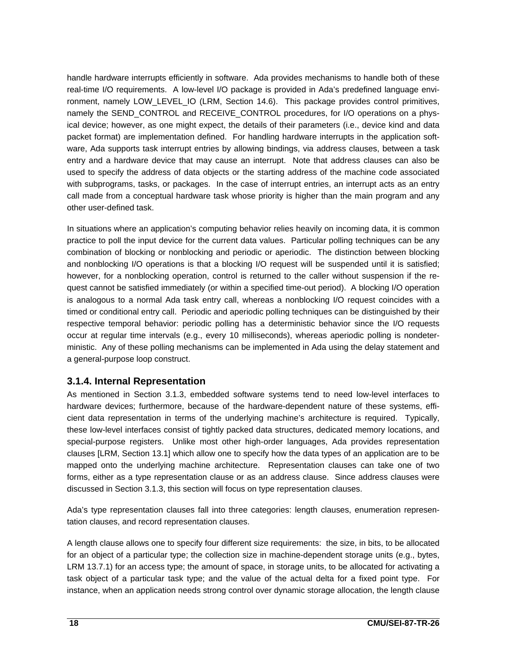handle hardware interrupts efficiently in software. Ada provides mechanisms to handle both of these real-time I/O requirements. A low-level I/O package is provided in Ada's predefined language environment, namely LOW\_LEVEL\_IO (LRM, Section 14.6). This package provides control primitives, namely the SEND\_CONTROL and RECEIVE\_CONTROL procedures, for I/O operations on a physical device; however, as one might expect, the details of their parameters (i.e., device kind and data packet format) are implementation defined. For handling hardware interrupts in the application software, Ada supports task interrupt entries by allowing bindings, via address clauses, between a task entry and a hardware device that may cause an interrupt. Note that address clauses can also be used to specify the address of data objects or the starting address of the machine code associated with subprograms, tasks, or packages. In the case of interrupt entries, an interrupt acts as an entry call made from a conceptual hardware task whose priority is higher than the main program and any other user-defined task.

In situations where an application's computing behavior relies heavily on incoming data, it is common practice to poll the input device for the current data values. Particular polling techniques can be any combination of blocking or nonblocking and periodic or aperiodic. The distinction between blocking and nonblocking I/O operations is that a blocking I/O request will be suspended until it is satisfied; however, for a nonblocking operation, control is returned to the caller without suspension if the request cannot be satisfied immediately (or within a specified time-out period). A blocking I/O operation is analogous to a normal Ada task entry call, whereas a nonblocking I/O request coincides with a timed or conditional entry call. Periodic and aperiodic polling techniques can be distinguished by their respective temporal behavior: periodic polling has a deterministic behavior since the I/O requests occur at regular time intervals (e.g., every 10 milliseconds), whereas aperiodic polling is nondeterministic. Any of these polling mechanisms can be implemented in Ada using the delay statement and a general-purpose loop construct.

### **3.1.4. Internal Representation**

As mentioned in Section 3.1.3, embedded software systems tend to need low-level interfaces to hardware devices; furthermore, because of the hardware-dependent nature of these systems, efficient data representation in terms of the underlying machine's architecture is required. Typically, these low-level interfaces consist of tightly packed data structures, dedicated memory locations, and special-purpose registers. Unlike most other high-order languages, Ada provides representation clauses [LRM, Section 13.1] which allow one to specify how the data types of an application are to be mapped onto the underlying machine architecture. Representation clauses can take one of two forms, either as a type representation clause or as an address clause. Since address clauses were discussed in Section 3.1.3, this section will focus on type representation clauses.

Ada's type representation clauses fall into three categories: length clauses, enumeration representation clauses, and record representation clauses.

A length clause allows one to specify four different size requirements: the size, in bits, to be allocated for an object of a particular type; the collection size in machine-dependent storage units (e.g., bytes, LRM 13.7.1) for an access type; the amount of space, in storage units, to be allocated for activating a task object of a particular task type; and the value of the actual delta for a fixed point type. For instance, when an application needs strong control over dynamic storage allocation, the length clause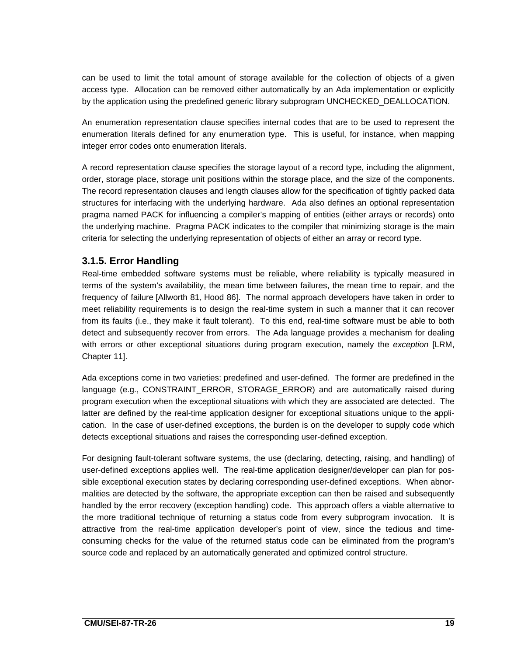can be used to limit the total amount of storage available for the collection of objects of a given access type. Allocation can be removed either automatically by an Ada implementation or explicitly by the application using the predefined generic library subprogram UNCHECKED\_DEALLOCATION.

An enumeration representation clause specifies internal codes that are to be used to represent the enumeration literals defined for any enumeration type. This is useful, for instance, when mapping integer error codes onto enumeration literals.

A record representation clause specifies the storage layout of a record type, including the alignment, order, storage place, storage unit positions within the storage place, and the size of the components. The record representation clauses and length clauses allow for the specification of tightly packed data structures for interfacing with the underlying hardware. Ada also defines an optional representation pragma named PACK for influencing a compiler's mapping of entities (either arrays or records) onto the underlying machine. Pragma PACK indicates to the compiler that minimizing storage is the main criteria for selecting the underlying representation of objects of either an array or record type.

### **3.1.5. Error Handling**

Real-time embedded software systems must be reliable, where reliability is typically measured in terms of the system's availability, the mean time between failures, the mean time to repair, and the frequency of failure [Allworth 81, Hood 86]. The normal approach developers have taken in order to meet reliability requirements is to design the real-time system in such a manner that it can recover from its faults (i.e., they make it fault tolerant). To this end, real-time software must be able to both detect and subsequently recover from errors. The Ada language provides a mechanism for dealing with errors or other exceptional situations during program execution, namely the exception [LRM, Chapter 11].

Ada exceptions come in two varieties: predefined and user-defined. The former are predefined in the language (e.g., CONSTRAINT\_ERROR, STORAGE\_ERROR) and are automatically raised during program execution when the exceptional situations with which they are associated are detected. The latter are defined by the real-time application designer for exceptional situations unique to the application. In the case of user-defined exceptions, the burden is on the developer to supply code which detects exceptional situations and raises the corresponding user-defined exception.

For designing fault-tolerant software systems, the use (declaring, detecting, raising, and handling) of user-defined exceptions applies well. The real-time application designer/developer can plan for possible exceptional execution states by declaring corresponding user-defined exceptions. When abnormalities are detected by the software, the appropriate exception can then be raised and subsequently handled by the error recovery (exception handling) code. This approach offers a viable alternative to the more traditional technique of returning a status code from every subprogram invocation. It is attractive from the real-time application developer's point of view, since the tedious and timeconsuming checks for the value of the returned status code can be eliminated from the program's source code and replaced by an automatically generated and optimized control structure.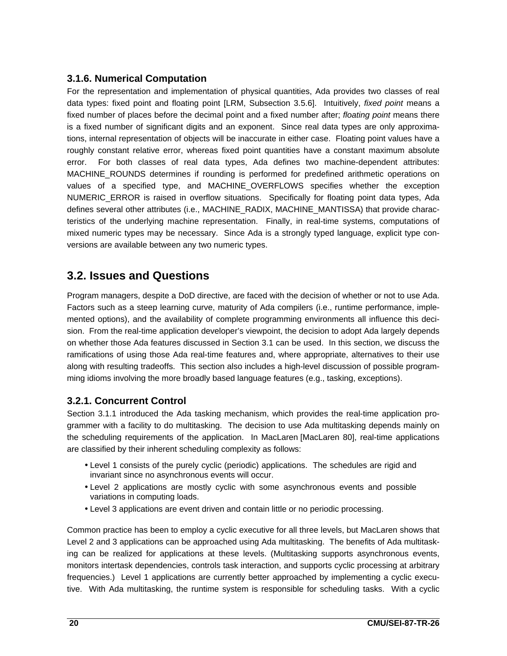### **3.1.6. Numerical Computation**

For the representation and implementation of physical quantities, Ada provides two classes of real data types: fixed point and floating point [LRM, Subsection 3.5.6]. Intuitively, fixed point means a fixed number of places before the decimal point and a fixed number after; floating point means there is a fixed number of significant digits and an exponent. Since real data types are only approximations, internal representation of objects will be inaccurate in either case. Floating point values have a roughly constant relative error, whereas fixed point quantities have a constant maximum absolute error. For both classes of real data types, Ada defines two machine-dependent attributes: MACHINE\_ROUNDS determines if rounding is performed for predefined arithmetic operations on values of a specified type, and MACHINE\_OVERFLOWS specifies whether the exception NUMERIC ERROR is raised in overflow situations. Specifically for floating point data types, Ada defines several other attributes (i.e., MACHINE\_RADIX, MACHINE\_MANTISSA) that provide characteristics of the underlying machine representation. Finally, in real-time systems, computations of mixed numeric types may be necessary. Since Ada is a strongly typed language, explicit type conversions are available between any two numeric types.

## **3.2. Issues and Questions**

Program managers, despite a DoD directive, are faced with the decision of whether or not to use Ada. Factors such as a steep learning curve, maturity of Ada compilers (i.e., runtime performance, implemented options), and the availability of complete programming environments all influence this decision. From the real-time application developer's viewpoint, the decision to adopt Ada largely depends on whether those Ada features discussed in Section 3.1 can be used. In this section, we discuss the ramifications of using those Ada real-time features and, where appropriate, alternatives to their use along with resulting tradeoffs. This section also includes a high-level discussion of possible programming idioms involving the more broadly based language features (e.g., tasking, exceptions).

### **3.2.1. Concurrent Control**

Section 3.1.1 introduced the Ada tasking mechanism, which provides the real-time application programmer with a facility to do multitasking. The decision to use Ada multitasking depends mainly on the scheduling requirements of the application. In MacLaren [MacLaren 80], real-time applications are classified by their inherent scheduling complexity as follows:

- Level 1 consists of the purely cyclic (periodic) applications. The schedules are rigid and invariant since no asynchronous events will occur.
- Level 2 applications are mostly cyclic with some asynchronous events and possible variations in computing loads.
- Level 3 applications are event driven and contain little or no periodic processing.

Common practice has been to employ a cyclic executive for all three levels, but MacLaren shows that Level 2 and 3 applications can be approached using Ada multitasking. The benefits of Ada multitasking can be realized for applications at these levels. (Multitasking supports asynchronous events, monitors intertask dependencies, controls task interaction, and supports cyclic processing at arbitrary frequencies.) Level 1 applications are currently better approached by implementing a cyclic executive. With Ada multitasking, the runtime system is responsible for scheduling tasks. With a cyclic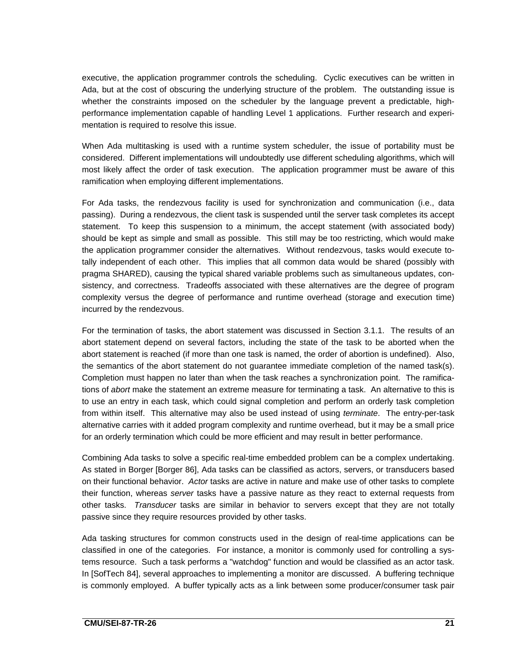executive, the application programmer controls the scheduling. Cyclic executives can be written in Ada, but at the cost of obscuring the underlying structure of the problem. The outstanding issue is whether the constraints imposed on the scheduler by the language prevent a predictable, highperformance implementation capable of handling Level 1 applications. Further research and experimentation is required to resolve this issue.

When Ada multitasking is used with a runtime system scheduler, the issue of portability must be considered. Different implementations will undoubtedly use different scheduling algorithms, which will most likely affect the order of task execution. The application programmer must be aware of this ramification when employing different implementations.

For Ada tasks, the rendezvous facility is used for synchronization and communication (i.e., data passing). During a rendezvous, the client task is suspended until the server task completes its accept statement. To keep this suspension to a minimum, the accept statement (with associated body) should be kept as simple and small as possible. This still may be too restricting, which would make the application programmer consider the alternatives. Without rendezvous, tasks would execute totally independent of each other. This implies that all common data would be shared (possibly with pragma SHARED), causing the typical shared variable problems such as simultaneous updates, consistency, and correctness. Tradeoffs associated with these alternatives are the degree of program complexity versus the degree of performance and runtime overhead (storage and execution time) incurred by the rendezvous.

For the termination of tasks, the abort statement was discussed in Section 3.1.1. The results of an abort statement depend on several factors, including the state of the task to be aborted when the abort statement is reached (if more than one task is named, the order of abortion is undefined). Also, the semantics of the abort statement do not guarantee immediate completion of the named task(s). Completion must happen no later than when the task reaches a synchronization point. The ramifications of abort make the statement an extreme measure for terminating a task. An alternative to this is to use an entry in each task, which could signal completion and perform an orderly task completion from within itself. This alternative may also be used instead of using terminate. The entry-per-task alternative carries with it added program complexity and runtime overhead, but it may be a small price for an orderly termination which could be more efficient and may result in better performance.

Combining Ada tasks to solve a specific real-time embedded problem can be a complex undertaking. As stated in Borger [Borger 86], Ada tasks can be classified as actors, servers, or transducers based on their functional behavior. Actor tasks are active in nature and make use of other tasks to complete their function, whereas server tasks have a passive nature as they react to external requests from other tasks. Transducer tasks are similar in behavior to servers except that they are not totally passive since they require resources provided by other tasks.

Ada tasking structures for common constructs used in the design of real-time applications can be classified in one of the categories. For instance, a monitor is commonly used for controlling a systems resource. Such a task performs a "watchdog" function and would be classified as an actor task. In [SofTech 84], several approaches to implementing a monitor are discussed. A buffering technique is commonly employed. A buffer typically acts as a link between some producer/consumer task pair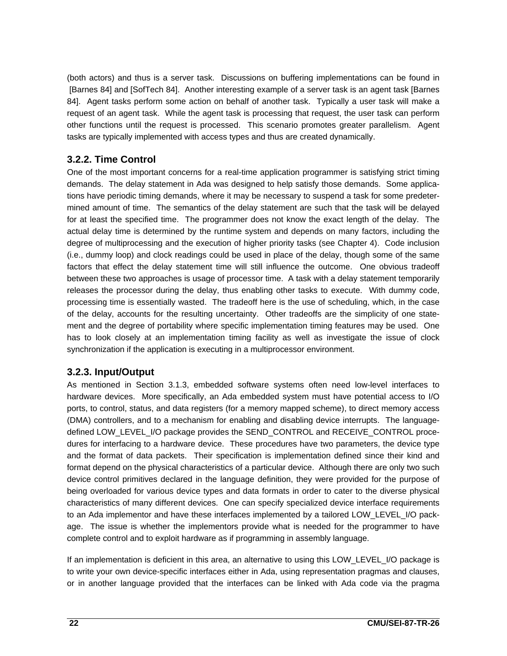(both actors) and thus is a server task. Discussions on buffering implementations can be found in [Barnes 84] and [SofTech 84]. Another interesting example of a server task is an agent task [Barnes 84]. Agent tasks perform some action on behalf of another task. Typically a user task will make a request of an agent task. While the agent task is processing that request, the user task can perform other functions until the request is processed. This scenario promotes greater parallelism. Agent tasks are typically implemented with access types and thus are created dynamically.

### **3.2.2. Time Control**

One of the most important concerns for a real-time application programmer is satisfying strict timing demands. The delay statement in Ada was designed to help satisfy those demands. Some applications have periodic timing demands, where it may be necessary to suspend a task for some predetermined amount of time. The semantics of the delay statement are such that the task will be delayed for at least the specified time. The programmer does not know the exact length of the delay. The actual delay time is determined by the runtime system and depends on many factors, including the degree of multiprocessing and the execution of higher priority tasks (see Chapter 4). Code inclusion (i.e., dummy loop) and clock readings could be used in place of the delay, though some of the same factors that effect the delay statement time will still influence the outcome. One obvious tradeoff between these two approaches is usage of processor time. A task with a delay statement temporarily releases the processor during the delay, thus enabling other tasks to execute. With dummy code, processing time is essentially wasted. The tradeoff here is the use of scheduling, which, in the case of the delay, accounts for the resulting uncertainty. Other tradeoffs are the simplicity of one statement and the degree of portability where specific implementation timing features may be used. One has to look closely at an implementation timing facility as well as investigate the issue of clock synchronization if the application is executing in a multiprocessor environment.

### **3.2.3. Input/Output**

As mentioned in Section 3.1.3, embedded software systems often need low-level interfaces to hardware devices. More specifically, an Ada embedded system must have potential access to I/O ports, to control, status, and data registers (for a memory mapped scheme), to direct memory access (DMA) controllers, and to a mechanism for enabling and disabling device interrupts. The languagedefined LOW\_LEVEL\_I/O package provides the SEND\_CONTROL and RECEIVE\_CONTROL procedures for interfacing to a hardware device. These procedures have two parameters, the device type and the format of data packets. Their specification is implementation defined since their kind and format depend on the physical characteristics of a particular device. Although there are only two such device control primitives declared in the language definition, they were provided for the purpose of being overloaded for various device types and data formats in order to cater to the diverse physical characteristics of many different devices. One can specify specialized device interface requirements to an Ada implementor and have these interfaces implemented by a tailored LOW\_LEVEL\_I/O package. The issue is whether the implementors provide what is needed for the programmer to have complete control and to exploit hardware as if programming in assembly language.

If an implementation is deficient in this area, an alternative to using this LOW\_LEVEL\_I/O package is to write your own device-specific interfaces either in Ada, using representation pragmas and clauses, or in another language provided that the interfaces can be linked with Ada code via the pragma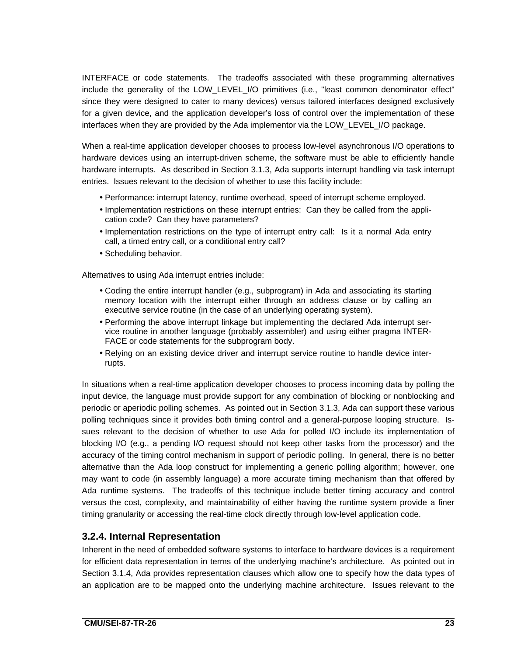INTERFACE or code statements. The tradeoffs associated with these programming alternatives include the generality of the LOW\_LEVEL\_I/O primitives (i.e., "least common denominator effect" since they were designed to cater to many devices) versus tailored interfaces designed exclusively for a given device, and the application developer's loss of control over the implementation of these interfaces when they are provided by the Ada implementor via the LOW\_LEVEL\_I/O package.

When a real-time application developer chooses to process low-level asynchronous I/O operations to hardware devices using an interrupt-driven scheme, the software must be able to efficiently handle hardware interrupts. As described in Section 3.1.3, Ada supports interrupt handling via task interrupt entries. Issues relevant to the decision of whether to use this facility include:

- Performance: interrupt latency, runtime overhead, speed of interrupt scheme employed.
- Implementation restrictions on these interrupt entries: Can they be called from the application code? Can they have parameters?
- Implementation restrictions on the type of interrupt entry call: Is it a normal Ada entry call, a timed entry call, or a conditional entry call?
- Scheduling behavior.

Alternatives to using Ada interrupt entries include:

- Coding the entire interrupt handler (e.g., subprogram) in Ada and associating its starting memory location with the interrupt either through an address clause or by calling an executive service routine (in the case of an underlying operating system).
- Performing the above interrupt linkage but implementing the declared Ada interrupt service routine in another language (probably assembler) and using either pragma INTER-FACE or code statements for the subprogram body.
- Relying on an existing device driver and interrupt service routine to handle device interrupts.

In situations when a real-time application developer chooses to process incoming data by polling the input device, the language must provide support for any combination of blocking or nonblocking and periodic or aperiodic polling schemes. As pointed out in Section 3.1.3, Ada can support these various polling techniques since it provides both timing control and a general-purpose looping structure. Issues relevant to the decision of whether to use Ada for polled I/O include its implementation of blocking I/O (e.g., a pending I/O request should not keep other tasks from the processor) and the accuracy of the timing control mechanism in support of periodic polling. In general, there is no better alternative than the Ada loop construct for implementing a generic polling algorithm; however, one may want to code (in assembly language) a more accurate timing mechanism than that offered by Ada runtime systems. The tradeoffs of this technique include better timing accuracy and control versus the cost, complexity, and maintainability of either having the runtime system provide a finer timing granularity or accessing the real-time clock directly through low-level application code.

### **3.2.4. Internal Representation**

Inherent in the need of embedded software systems to interface to hardware devices is a requirement for efficient data representation in terms of the underlying machine's architecture. As pointed out in Section 3.1.4, Ada provides representation clauses which allow one to specify how the data types of an application are to be mapped onto the underlying machine architecture. Issues relevant to the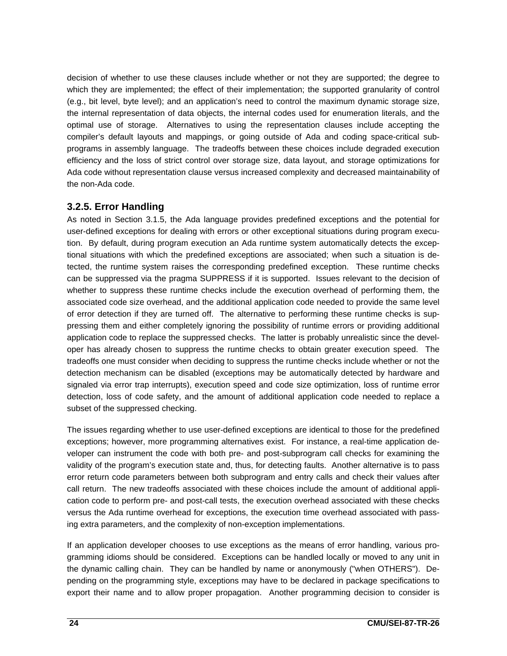decision of whether to use these clauses include whether or not they are supported; the degree to which they are implemented; the effect of their implementation; the supported granularity of control (e.g., bit level, byte level); and an application's need to control the maximum dynamic storage size, the internal representation of data objects, the internal codes used for enumeration literals, and the optimal use of storage. Alternatives to using the representation clauses include accepting the compiler's default layouts and mappings, or going outside of Ada and coding space-critical subprograms in assembly language. The tradeoffs between these choices include degraded execution efficiency and the loss of strict control over storage size, data layout, and storage optimizations for Ada code without representation clause versus increased complexity and decreased maintainability of the non-Ada code.

### **3.2.5. Error Handling**

As noted in Section 3.1.5, the Ada language provides predefined exceptions and the potential for user-defined exceptions for dealing with errors or other exceptional situations during program execution. By default, during program execution an Ada runtime system automatically detects the exceptional situations with which the predefined exceptions are associated; when such a situation is detected, the runtime system raises the corresponding predefined exception. These runtime checks can be suppressed via the pragma SUPPRESS if it is supported. Issues relevant to the decision of whether to suppress these runtime checks include the execution overhead of performing them, the associated code size overhead, and the additional application code needed to provide the same level of error detection if they are turned off. The alternative to performing these runtime checks is suppressing them and either completely ignoring the possibility of runtime errors or providing additional application code to replace the suppressed checks. The latter is probably unrealistic since the developer has already chosen to suppress the runtime checks to obtain greater execution speed. The tradeoffs one must consider when deciding to suppress the runtime checks include whether or not the detection mechanism can be disabled (exceptions may be automatically detected by hardware and signaled via error trap interrupts), execution speed and code size optimization, loss of runtime error detection, loss of code safety, and the amount of additional application code needed to replace a subset of the suppressed checking.

The issues regarding whether to use user-defined exceptions are identical to those for the predefined exceptions; however, more programming alternatives exist. For instance, a real-time application developer can instrument the code with both pre- and post-subprogram call checks for examining the validity of the program's execution state and, thus, for detecting faults. Another alternative is to pass error return code parameters between both subprogram and entry calls and check their values after call return. The new tradeoffs associated with these choices include the amount of additional application code to perform pre- and post-call tests, the execution overhead associated with these checks versus the Ada runtime overhead for exceptions, the execution time overhead associated with passing extra parameters, and the complexity of non-exception implementations.

If an application developer chooses to use exceptions as the means of error handling, various programming idioms should be considered. Exceptions can be handled locally or moved to any unit in the dynamic calling chain. They can be handled by name or anonymously ("when OTHERS"). Depending on the programming style, exceptions may have to be declared in package specifications to export their name and to allow proper propagation. Another programming decision to consider is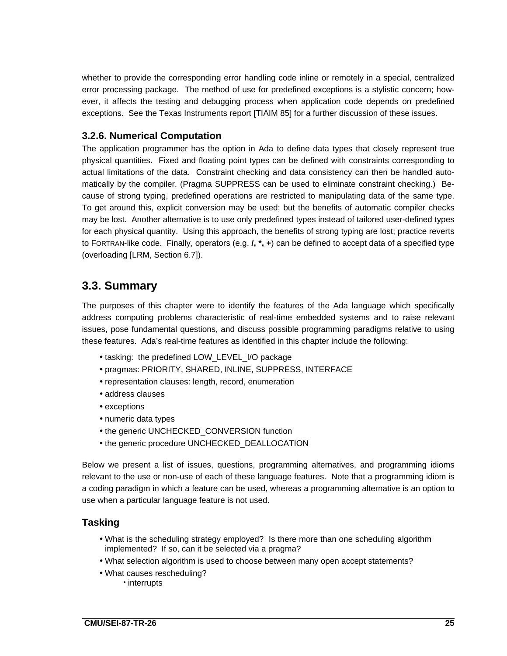whether to provide the corresponding error handling code inline or remotely in a special, centralized error processing package. The method of use for predefined exceptions is a stylistic concern; however, it affects the testing and debugging process when application code depends on predefined exceptions. See the Texas Instruments report [TIAIM 85] for a further discussion of these issues.

### **3.2.6. Numerical Computation**

The application programmer has the option in Ada to define data types that closely represent true physical quantities. Fixed and floating point types can be defined with constraints corresponding to actual limitations of the data. Constraint checking and data consistency can then be handled automatically by the compiler. (Pragma SUPPRESS can be used to eliminate constraint checking.) Because of strong typing, predefined operations are restricted to manipulating data of the same type. To get around this, explicit conversion may be used; but the benefits of automatic compiler checks may be lost. Another alternative is to use only predefined types instead of tailored user-defined types for each physical quantity. Using this approach, the benefits of strong typing are lost; practice reverts to FORTRAN-like code. Finally, operators (e.g. **/, \*, +**) can be defined to accept data of a specified type (overloading [LRM, Section 6.7]).

## **3.3. Summary**

The purposes of this chapter were to identify the features of the Ada language which specifically address computing problems characteristic of real-time embedded systems and to raise relevant issues, pose fundamental questions, and discuss possible programming paradigms relative to using these features. Ada's real-time features as identified in this chapter include the following:

- tasking: the predefined LOW\_LEVEL\_I/O package
- pragmas: PRIORITY, SHARED, INLINE, SUPPRESS, INTERFACE
- representation clauses: length, record, enumeration
- address clauses
- exceptions
- numeric data types
- the generic UNCHECKED\_CONVERSION function
- the generic procedure UNCHECKED\_DEALLOCATION

Below we present a list of issues, questions, programming alternatives, and programming idioms relevant to the use or non-use of each of these language features. Note that a programming idiom is a coding paradigm in which a feature can be used, whereas a programming alternative is an option to use when a particular language feature is not used.

### **Tasking**

- What is the scheduling strategy employed? Is there more than one scheduling algorithm implemented? If so, can it be selected via a pragma?
- What selection algorithm is used to choose between many open accept statements?
- What causes rescheduling?
	- interrupts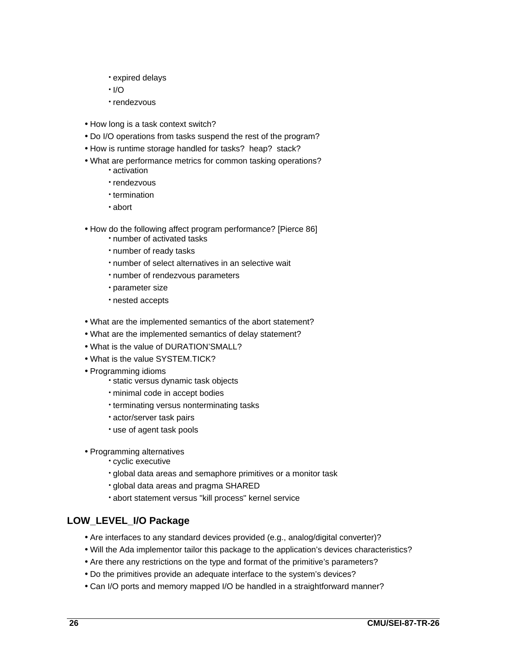- expired delays
- $\cdot$  I/O
- rendezvous
- How long is a task context switch?
- Do I/O operations from tasks suspend the rest of the program?
- How is runtime storage handled for tasks? heap? stack?
- What are performance metrics for common tasking operations?
	- activation
	- rendezvous
	- termination
	- abort
- How do the following affect program performance? [Pierce 86]
	- number of activated tasks
	- number of ready tasks
	- number of select alternatives in an selective wait
	- number of rendezvous parameters
	- parameter size
	- nested accepts
- What are the implemented semantics of the abort statement?
- What are the implemented semantics of delay statement?
- What is the value of DURATION'SMALL?
- What is the value SYSTEM.TICK?
- Programming idioms
	- static versus dynamic task objects
	- minimal code in accept bodies
	- terminating versus nonterminating tasks
	- actor/server task pairs
	- use of agent task pools
- Programming alternatives
	- cyclic executive
	- global data areas and semaphore primitives or a monitor task
	- global data areas and pragma SHARED
	- abort statement versus "kill process" kernel service

### **LOW\_LEVEL\_I/O Package**

- Are interfaces to any standard devices provided (e.g., analog/digital converter)?
- Will the Ada implementor tailor this package to the application's devices characteristics?
- Are there any restrictions on the type and format of the primitive's parameters?
- Do the primitives provide an adequate interface to the system's devices?
- Can I/O ports and memory mapped I/O be handled in a straightforward manner?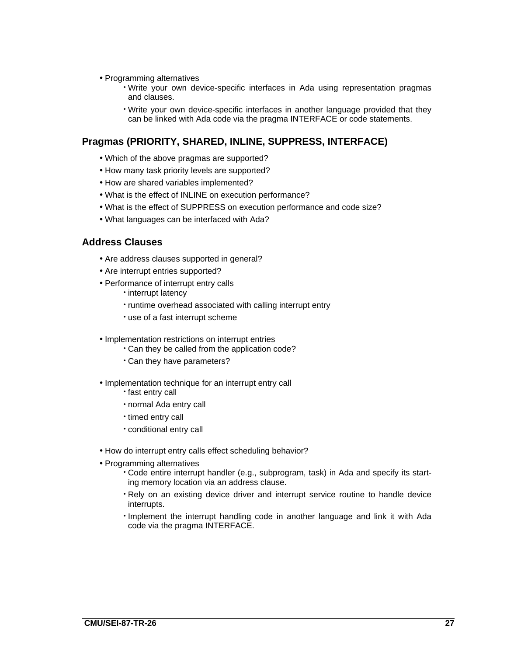- Programming alternatives
	- Write your own device-specific interfaces in Ada using representation pragmas and clauses.
	- Write your own device-specific interfaces in another language provided that they can be linked with Ada code via the pragma INTERFACE or code statements.

### **Pragmas (PRIORITY, SHARED, INLINE, SUPPRESS, INTERFACE)**

- Which of the above pragmas are supported?
- How many task priority levels are supported?
- How are shared variables implemented?
- What is the effect of INLINE on execution performance?
- What is the effect of SUPPRESS on execution performance and code size?
- What languages can be interfaced with Ada?

### **Address Clauses**

- Are address clauses supported in general?
- Are interrupt entries supported?
- Performance of interrupt entry calls
	- interrupt latency
	- runtime overhead associated with calling interrupt entry
	- use of a fast interrupt scheme
- Implementation restrictions on interrupt entries
	- Can they be called from the application code?
	- Can they have parameters?
- Implementation technique for an interrupt entry call
	- fast entry call
	- normal Ada entry call
	- timed entry call
	- conditional entry call
- How do interrupt entry calls effect scheduling behavior?
- Programming alternatives
	- Code entire interrupt handler (e.g., subprogram, task) in Ada and specify its starting memory location via an address clause.
	- Rely on an existing device driver and interrupt service routine to handle device interrupts.
	- Implement the interrupt handling code in another language and link it with Ada code via the pragma INTERFACE.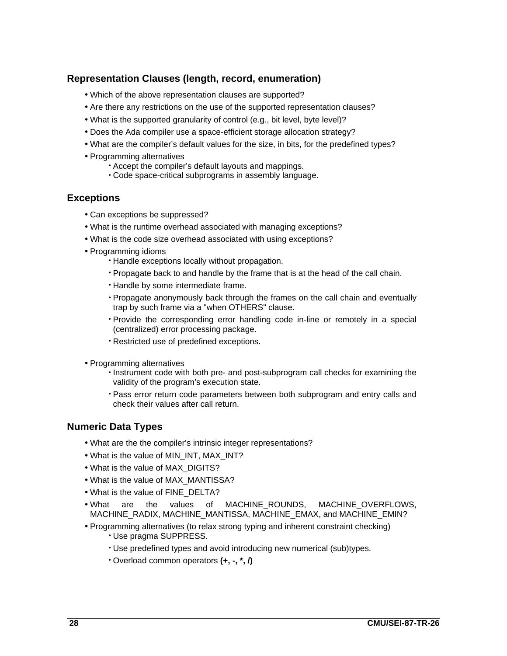### **Representation Clauses (length, record, enumeration)**

- Which of the above representation clauses are supported?
- Are there any restrictions on the use of the supported representation clauses?
- What is the supported granularity of control (e.g., bit level, byte level)?
- Does the Ada compiler use a space-efficient storage allocation strategy?
- What are the compiler's default values for the size, in bits, for the predefined types?
- Programming alternatives
	- Accept the compiler's default layouts and mappings.
	- Code space-critical subprograms in assembly language.

### **Exceptions**

- Can exceptions be suppressed?
- What is the runtime overhead associated with managing exceptions?
- What is the code size overhead associated with using exceptions?
- Programming idioms
	- Handle exceptions locally without propagation.
	- Propagate back to and handle by the frame that is at the head of the call chain.
	- Handle by some intermediate frame.
	- Propagate anonymously back through the frames on the call chain and eventually trap by such frame via a "when OTHERS" clause.
	- Provide the corresponding error handling code in-line or remotely in a special (centralized) error processing package.
	- Restricted use of predefined exceptions.
- Programming alternatives
	- Instrument code with both pre- and post-subprogram call checks for examining the validity of the program's execution state.
	- Pass error return code parameters between both subprogram and entry calls and check their values after call return.

### **Numeric Data Types**

- What are the the compiler's intrinsic integer representations?
- What is the value of MIN\_INT, MAX\_INT?
- What is the value of MAX\_DIGITS?
- What is the value of MAX\_MANTISSA?
- What is the value of FINE\_DELTA?
- What are the values of MACHINE\_ROUNDS, MACHINE\_OVERFLOWS, MACHINE\_RADIX, MACHINE\_MANTISSA, MACHINE\_EMAX, and MACHINE\_EMIN?
- Programming alternatives (to relax strong typing and inherent constraint checking)
	- Use pragma SUPPRESS.
	- Use predefined types and avoid introducing new numerical (sub)types.
	- Overload common operators **(+, -, \*, /)**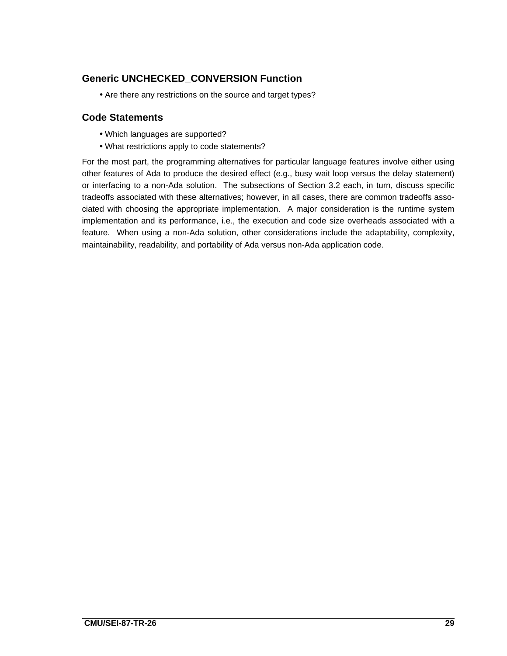### **Generic UNCHECKED\_CONVERSION Function**

• Are there any restrictions on the source and target types?

### **Code Statements**

- Which languages are supported?
- What restrictions apply to code statements?

For the most part, the programming alternatives for particular language features involve either using other features of Ada to produce the desired effect (e.g., busy wait loop versus the delay statement) or interfacing to a non-Ada solution. The subsections of Section 3.2 each, in turn, discuss specific tradeoffs associated with these alternatives; however, in all cases, there are common tradeoffs associated with choosing the appropriate implementation. A major consideration is the runtime system implementation and its performance, i.e., the execution and code size overheads associated with a feature. When using a non-Ada solution, other considerations include the adaptability, complexity, maintainability, readability, and portability of Ada versus non-Ada application code.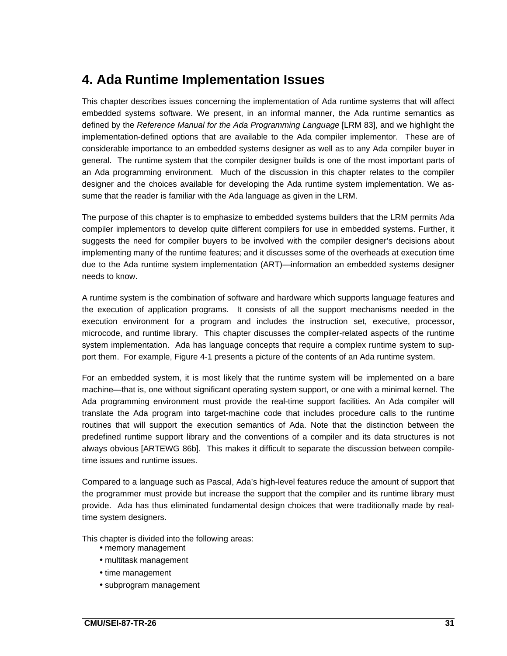## **4. Ada Runtime Implementation Issues**

This chapter describes issues concerning the implementation of Ada runtime systems that will affect embedded systems software. We present, in an informal manner, the Ada runtime semantics as defined by the Reference Manual for the Ada Programming Language [LRM 83], and we highlight the implementation-defined options that are available to the Ada compiler implementor. These are of considerable importance to an embedded systems designer as well as to any Ada compiler buyer in general. The runtime system that the compiler designer builds is one of the most important parts of an Ada programming environment. Much of the discussion in this chapter relates to the compiler designer and the choices available for developing the Ada runtime system implementation. We assume that the reader is familiar with the Ada language as given in the LRM.

The purpose of this chapter is to emphasize to embedded systems builders that the LRM permits Ada compiler implementors to develop quite different compilers for use in embedded systems. Further, it suggests the need for compiler buyers to be involved with the compiler designer's decisions about implementing many of the runtime features; and it discusses some of the overheads at execution time due to the Ada runtime system implementation (ART)—information an embedded systems designer needs to know.

A runtime system is the combination of software and hardware which supports language features and the execution of application programs. It consists of all the support mechanisms needed in the execution environment for a program and includes the instruction set, executive, processor, microcode, and runtime library. This chapter discusses the compiler-related aspects of the runtime system implementation. Ada has language concepts that require a complex runtime system to support them. For example, Figure 4-1 presents a picture of the contents of an Ada runtime system.

For an embedded system, it is most likely that the runtime system will be implemented on a bare machine—that is, one without significant operating system support, or one with a minimal kernel. The Ada programming environment must provide the real-time support facilities. An Ada compiler will translate the Ada program into target-machine code that includes procedure calls to the runtime routines that will support the execution semantics of Ada. Note that the distinction between the predefined runtime support library and the conventions of a compiler and its data structures is not always obvious [ARTEWG 86b]. This makes it difficult to separate the discussion between compiletime issues and runtime issues.

Compared to a language such as Pascal, Ada's high-level features reduce the amount of support that the programmer must provide but increase the support that the compiler and its runtime library must provide. Ada has thus eliminated fundamental design choices that were traditionally made by realtime system designers.

This chapter is divided into the following areas:

- memory management
- multitask management
- time management
- subprogram management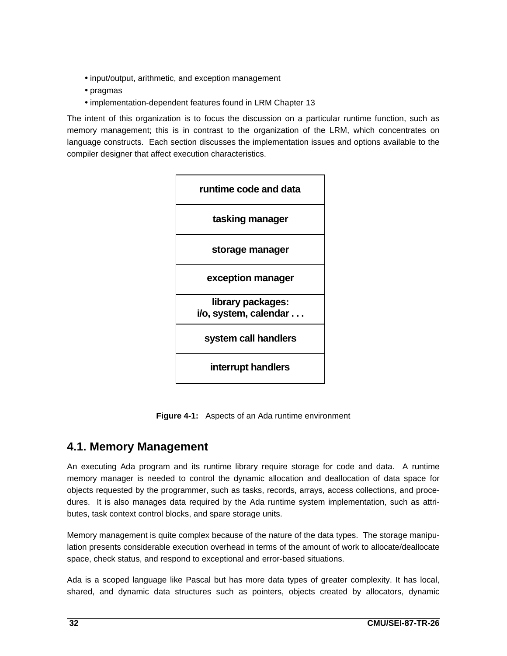- input/output, arithmetic, and exception management
- pragmas
- implementation-dependent features found in LRM Chapter 13

The intent of this organization is to focus the discussion on a particular runtime function, such as memory management; this is in contrast to the organization of the LRM, which concentrates on language constructs. Each section discusses the implementation issues and options available to the compiler designer that affect execution characteristics.



**Figure 4-1:** Aspects of an Ada runtime environment

## **4.1. Memory Management**

An executing Ada program and its runtime library require storage for code and data. A runtime memory manager is needed to control the dynamic allocation and deallocation of data space for objects requested by the programmer, such as tasks, records, arrays, access collections, and procedures. It is also manages data required by the Ada runtime system implementation, such as attributes, task context control blocks, and spare storage units.

Memory management is quite complex because of the nature of the data types. The storage manipulation presents considerable execution overhead in terms of the amount of work to allocate/deallocate space, check status, and respond to exceptional and error-based situations.

Ada is a scoped language like Pascal but has more data types of greater complexity. It has local, shared, and dynamic data structures such as pointers, objects created by allocators, dynamic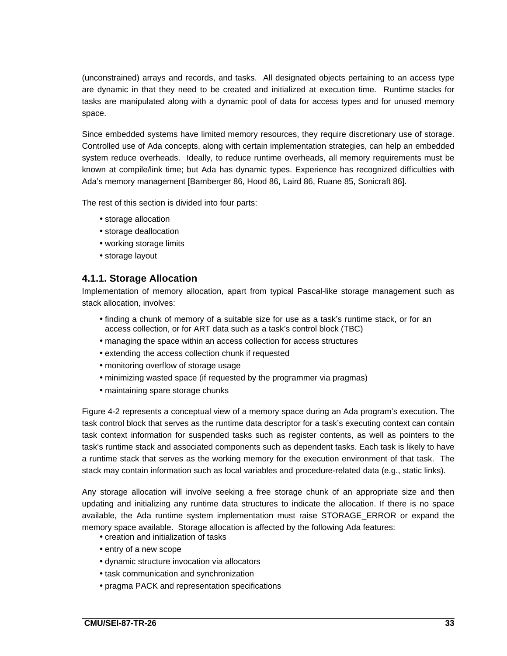(unconstrained) arrays and records, and tasks. All designated objects pertaining to an access type are dynamic in that they need to be created and initialized at execution time. Runtime stacks for tasks are manipulated along with a dynamic pool of data for access types and for unused memory space.

Since embedded systems have limited memory resources, they require discretionary use of storage. Controlled use of Ada concepts, along with certain implementation strategies, can help an embedded system reduce overheads. Ideally, to reduce runtime overheads, all memory requirements must be known at compile/link time; but Ada has dynamic types. Experience has recognized difficulties with Ada's memory management [Bamberger 86, Hood 86, Laird 86, Ruane 85, Sonicraft 86].

The rest of this section is divided into four parts:

- storage allocation
- storage deallocation
- working storage limits
- storage layout

### **4.1.1. Storage Allocation**

Implementation of memory allocation, apart from typical Pascal-like storage management such as stack allocation, involves:

- finding a chunk of memory of a suitable size for use as a task's runtime stack, or for an access collection, or for ART data such as a task's control block (TBC)
- managing the space within an access collection for access structures
- extending the access collection chunk if requested
- monitoring overflow of storage usage
- minimizing wasted space (if requested by the programmer via pragmas)
- maintaining spare storage chunks

Figure 4-2 represents a conceptual view of a memory space during an Ada program's execution. The task control block that serves as the runtime data descriptor for a task's executing context can contain task context information for suspended tasks such as register contents, as well as pointers to the task's runtime stack and associated components such as dependent tasks. Each task is likely to have a runtime stack that serves as the working memory for the execution environment of that task. The stack may contain information such as local variables and procedure-related data (e.g., static links).

Any storage allocation will involve seeking a free storage chunk of an appropriate size and then updating and initializing any runtime data structures to indicate the allocation. If there is no space available, the Ada runtime system implementation must raise STORAGE\_ERROR or expand the memory space available. Storage allocation is affected by the following Ada features:

- creation and initialization of tasks
- entry of a new scope
- dynamic structure invocation via allocators
- task communication and synchronization
- pragma PACK and representation specifications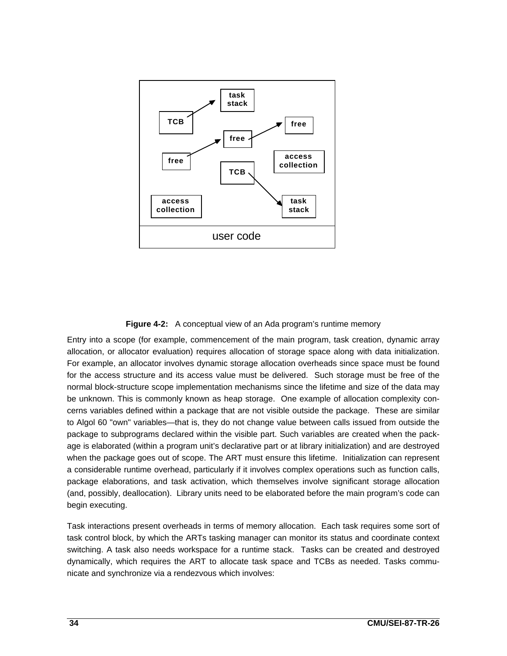

#### **Figure 4-2:** A conceptual view of an Ada program's runtime memory

Entry into a scope (for example, commencement of the main program, task creation, dynamic array allocation, or allocator evaluation) requires allocation of storage space along with data initialization. For example, an allocator involves dynamic storage allocation overheads since space must be found for the access structure and its access value must be delivered. Such storage must be free of the normal block-structure scope implementation mechanisms since the lifetime and size of the data may be unknown. This is commonly known as heap storage. One example of allocation complexity concerns variables defined within a package that are not visible outside the package. These are similar to Algol 60 "own" variables—that is, they do not change value between calls issued from outside the package to subprograms declared within the visible part. Such variables are created when the package is elaborated (within a program unit's declarative part or at library initialization) and are destroyed when the package goes out of scope. The ART must ensure this lifetime. Initialization can represent a considerable runtime overhead, particularly if it involves complex operations such as function calls, package elaborations, and task activation, which themselves involve significant storage allocation (and, possibly, deallocation). Library units need to be elaborated before the main program's code can begin executing.

Task interactions present overheads in terms of memory allocation. Each task requires some sort of task control block, by which the ARTs tasking manager can monitor its status and coordinate context switching. A task also needs workspace for a runtime stack. Tasks can be created and destroyed dynamically, which requires the ART to allocate task space and TCBs as needed. Tasks communicate and synchronize via a rendezvous which involves: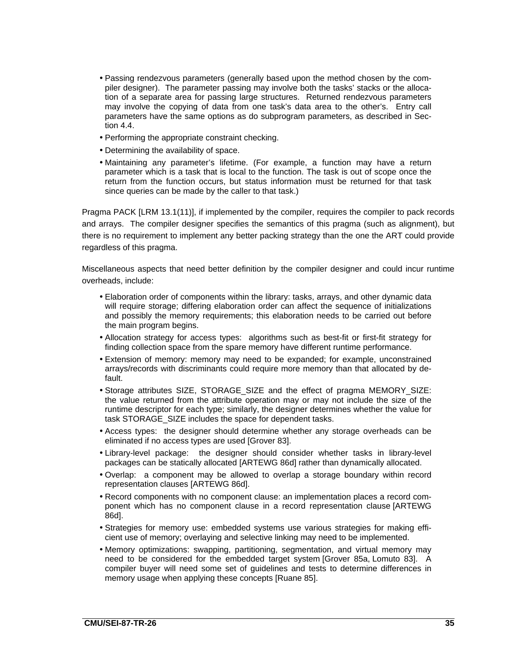- Passing rendezvous parameters (generally based upon the method chosen by the compiler designer). The parameter passing may involve both the tasks' stacks or the allocation of a separate area for passing large structures. Returned rendezvous parameters may involve the copying of data from one task's data area to the other's. Entry call parameters have the same options as do subprogram parameters, as described in Section 4.4.
- Performing the appropriate constraint checking.
- Determining the availability of space.
- Maintaining any parameter's lifetime. (For example, a function may have a return parameter which is a task that is local to the function. The task is out of scope once the return from the function occurs, but status information must be returned for that task since queries can be made by the caller to that task.)

Pragma PACK [LRM 13.1(11)], if implemented by the compiler, requires the compiler to pack records and arrays. The compiler designer specifies the semantics of this pragma (such as alignment), but there is no requirement to implement any better packing strategy than the one the ART could provide regardless of this pragma.

Miscellaneous aspects that need better definition by the compiler designer and could incur runtime overheads, include:

- Elaboration order of components within the library: tasks, arrays, and other dynamic data will require storage; differing elaboration order can affect the sequence of initializations and possibly the memory requirements; this elaboration needs to be carried out before the main program begins.
- Allocation strategy for access types: algorithms such as best-fit or first-fit strategy for finding collection space from the spare memory have different runtime performance.
- Extension of memory: memory may need to be expanded; for example, unconstrained arrays/records with discriminants could require more memory than that allocated by default.
- Storage attributes SIZE, STORAGE SIZE and the effect of pragma MEMORY SIZE: the value returned from the attribute operation may or may not include the size of the runtime descriptor for each type; similarly, the designer determines whether the value for task STORAGE\_SIZE includes the space for dependent tasks.
- Access types: the designer should determine whether any storage overheads can be eliminated if no access types are used [Grover 83].
- Library-level package: the designer should consider whether tasks in library-level packages can be statically allocated [ARTEWG 86d] rather than dynamically allocated.
- Overlap: a component may be allowed to overlap a storage boundary within record representation clauses [ARTEWG 86d].
- Record components with no component clause: an implementation places a record component which has no component clause in a record representation clause [ARTEWG 86d].
- Strategies for memory use: embedded systems use various strategies for making efficient use of memory; overlaying and selective linking may need to be implemented.
- Memory optimizations: swapping, partitioning, segmentation, and virtual memory may need to be considered for the embedded target system [Grover 85a, Lomuto 83]. A compiler buyer will need some set of guidelines and tests to determine differences in memory usage when applying these concepts [Ruane 85].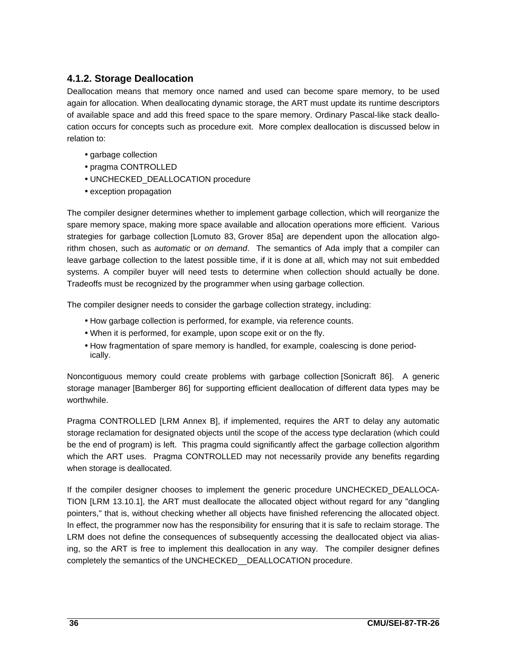## **4.1.2. Storage Deallocation**

Deallocation means that memory once named and used can become spare memory, to be used again for allocation. When deallocating dynamic storage, the ART must update its runtime descriptors of available space and add this freed space to the spare memory. Ordinary Pascal-like stack deallocation occurs for concepts such as procedure exit. More complex deallocation is discussed below in relation to:

- garbage collection
- pragma CONTROLLED
- UNCHECKED\_DEALLOCATION procedure
- exception propagation

The compiler designer determines whether to implement garbage collection, which will reorganize the spare memory space, making more space available and allocation operations more efficient. Various strategies for garbage collection [Lomuto 83, Grover 85a] are dependent upon the allocation algorithm chosen, such as *automatic* or on demand. The semantics of Ada imply that a compiler can leave garbage collection to the latest possible time, if it is done at all, which may not suit embedded systems. A compiler buyer will need tests to determine when collection should actually be done. Tradeoffs must be recognized by the programmer when using garbage collection.

The compiler designer needs to consider the garbage collection strategy, including:

- How garbage collection is performed, for example, via reference counts.
- When it is performed, for example, upon scope exit or on the fly.
- How fragmentation of spare memory is handled, for example, coalescing is done periodically.

Noncontiguous memory could create problems with garbage collection [Sonicraft 86]. A generic storage manager [Bamberger 86] for supporting efficient deallocation of different data types may be worthwhile.

Pragma CONTROLLED [LRM Annex B], if implemented, requires the ART to delay any automatic storage reclamation for designated objects until the scope of the access type declaration (which could be the end of program) is left. This pragma could significantly affect the garbage collection algorithm which the ART uses. Pragma CONTROLLED may not necessarily provide any benefits regarding when storage is deallocated.

If the compiler designer chooses to implement the generic procedure UNCHECKED\_DEALLOCA-TION [LRM 13.10.1], the ART must deallocate the allocated object without regard for any "dangling pointers," that is, without checking whether all objects have finished referencing the allocated object. In effect, the programmer now has the responsibility for ensuring that it is safe to reclaim storage. The LRM does not define the consequences of subsequently accessing the deallocated object via aliasing, so the ART is free to implement this deallocation in any way. The compiler designer defines completely the semantics of the UNCHECKED\_\_DEALLOCATION procedure.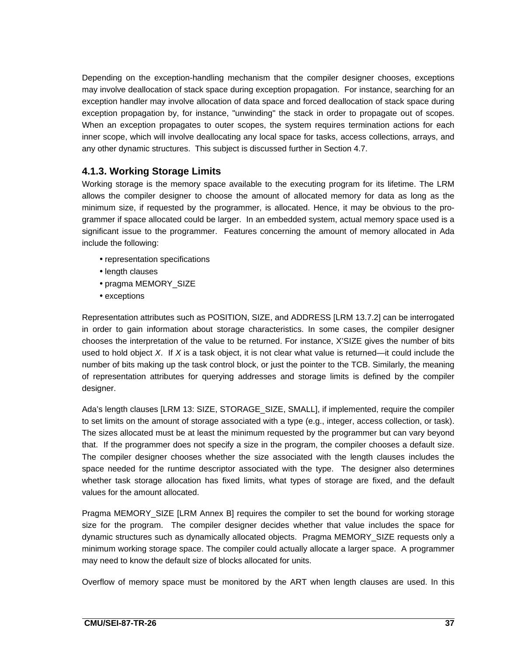Depending on the exception-handling mechanism that the compiler designer chooses, exceptions may involve deallocation of stack space during exception propagation. For instance, searching for an exception handler may involve allocation of data space and forced deallocation of stack space during exception propagation by, for instance, "unwinding" the stack in order to propagate out of scopes. When an exception propagates to outer scopes, the system requires termination actions for each inner scope, which will involve deallocating any local space for tasks, access collections, arrays, and any other dynamic structures. This subject is discussed further in Section 4.7.

## **4.1.3. Working Storage Limits**

Working storage is the memory space available to the executing program for its lifetime. The LRM allows the compiler designer to choose the amount of allocated memory for data as long as the minimum size, if requested by the programmer, is allocated. Hence, it may be obvious to the programmer if space allocated could be larger. In an embedded system, actual memory space used is a significant issue to the programmer. Features concerning the amount of memory allocated in Ada include the following:

- representation specifications
- length clauses
- pragma MEMORY\_SIZE
- exceptions

Representation attributes such as POSITION, SIZE, and ADDRESS [LRM 13.7.2] can be interrogated in order to gain information about storage characteristics. In some cases, the compiler designer chooses the interpretation of the value to be returned. For instance, X'SIZE gives the number of bits used to hold object  $X$ . If  $X$  is a task object, it is not clear what value is returned—it could include the number of bits making up the task control block, or just the pointer to the TCB. Similarly, the meaning of representation attributes for querying addresses and storage limits is defined by the compiler designer.

Ada's length clauses [LRM 13: SIZE, STORAGE\_SIZE, SMALL], if implemented, require the compiler to set limits on the amount of storage associated with a type (e.g., integer, access collection, or task). The sizes allocated must be at least the minimum requested by the programmer but can vary beyond that. If the programmer does not specify a size in the program, the compiler chooses a default size. The compiler designer chooses whether the size associated with the length clauses includes the space needed for the runtime descriptor associated with the type. The designer also determines whether task storage allocation has fixed limits, what types of storage are fixed, and the default values for the amount allocated.

Pragma MEMORY\_SIZE [LRM Annex B] requires the compiler to set the bound for working storage size for the program. The compiler designer decides whether that value includes the space for dynamic structures such as dynamically allocated objects. Pragma MEMORY\_SIZE requests only a minimum working storage space. The compiler could actually allocate a larger space. A programmer may need to know the default size of blocks allocated for units.

Overflow of memory space must be monitored by the ART when length clauses are used. In this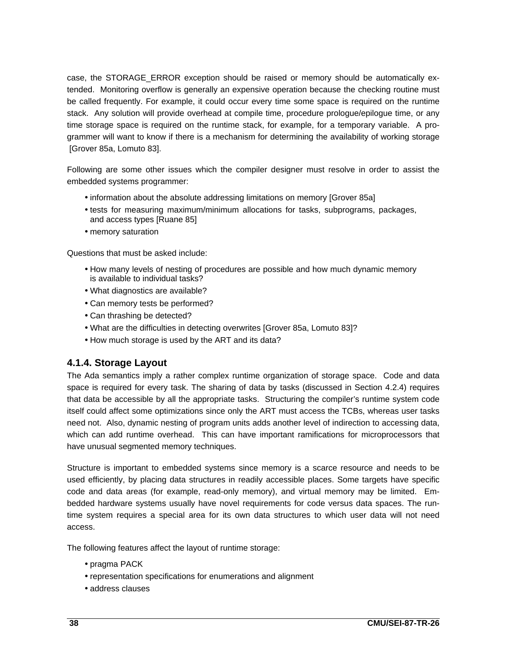case, the STORAGE\_ERROR exception should be raised or memory should be automatically extended. Monitoring overflow is generally an expensive operation because the checking routine must be called frequently. For example, it could occur every time some space is required on the runtime stack. Any solution will provide overhead at compile time, procedure prologue/epilogue time, or any time storage space is required on the runtime stack, for example, for a temporary variable. A programmer will want to know if there is a mechanism for determining the availability of working storage [Grover 85a, Lomuto 83].

Following are some other issues which the compiler designer must resolve in order to assist the embedded systems programmer:

- information about the absolute addressing limitations on memory [Grover 85a]
- tests for measuring maximum/minimum allocations for tasks, subprograms, packages, and access types [Ruane 85]
- memory saturation

Questions that must be asked include:

- How many levels of nesting of procedures are possible and how much dynamic memory is available to individual tasks?
- What diagnostics are available?
- Can memory tests be performed?
- Can thrashing be detected?
- What are the difficulties in detecting overwrites [Grover 85a, Lomuto 83]?
- How much storage is used by the ART and its data?

### **4.1.4. Storage Layout**

The Ada semantics imply a rather complex runtime organization of storage space. Code and data space is required for every task. The sharing of data by tasks (discussed in Section 4.2.4) requires that data be accessible by all the appropriate tasks. Structuring the compiler's runtime system code itself could affect some optimizations since only the ART must access the TCBs, whereas user tasks need not. Also, dynamic nesting of program units adds another level of indirection to accessing data, which can add runtime overhead. This can have important ramifications for microprocessors that have unusual segmented memory techniques.

Structure is important to embedded systems since memory is a scarce resource and needs to be used efficiently, by placing data structures in readily accessible places. Some targets have specific code and data areas (for example, read-only memory), and virtual memory may be limited. Embedded hardware systems usually have novel requirements for code versus data spaces. The runtime system requires a special area for its own data structures to which user data will not need access.

The following features affect the layout of runtime storage:

- pragma PACK
- representation specifications for enumerations and alignment
- address clauses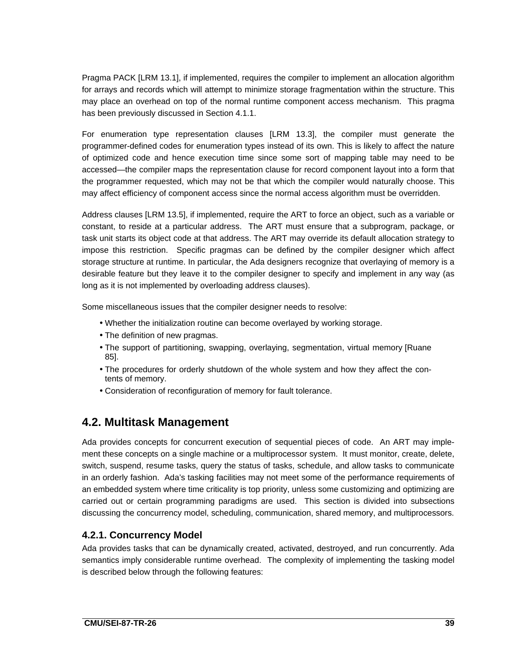Pragma PACK [LRM 13.1], if implemented, requires the compiler to implement an allocation algorithm for arrays and records which will attempt to minimize storage fragmentation within the structure. This may place an overhead on top of the normal runtime component access mechanism. This pragma has been previously discussed in Section 4.1.1.

For enumeration type representation clauses [LRM 13.3], the compiler must generate the programmer-defined codes for enumeration types instead of its own. This is likely to affect the nature of optimized code and hence execution time since some sort of mapping table may need to be accessed—the compiler maps the representation clause for record component layout into a form that the programmer requested, which may not be that which the compiler would naturally choose. This may affect efficiency of component access since the normal access algorithm must be overridden.

Address clauses [LRM 13.5], if implemented, require the ART to force an object, such as a variable or constant, to reside at a particular address. The ART must ensure that a subprogram, package, or task unit starts its object code at that address. The ART may override its default allocation strategy to impose this restriction. Specific pragmas can be defined by the compiler designer which affect storage structure at runtime. In particular, the Ada designers recognize that overlaying of memory is a desirable feature but they leave it to the compiler designer to specify and implement in any way (as long as it is not implemented by overloading address clauses).

Some miscellaneous issues that the compiler designer needs to resolve:

- Whether the initialization routine can become overlayed by working storage.
- The definition of new pragmas.
- The support of partitioning, swapping, overlaying, segmentation, virtual memory [Ruane 85].
- The procedures for orderly shutdown of the whole system and how they affect the contents of memory.
- Consideration of reconfiguration of memory for fault tolerance.

# **4.2. Multitask Management**

Ada provides concepts for concurrent execution of sequential pieces of code. An ART may implement these concepts on a single machine or a multiprocessor system. It must monitor, create, delete, switch, suspend, resume tasks, query the status of tasks, schedule, and allow tasks to communicate in an orderly fashion. Ada's tasking facilities may not meet some of the performance requirements of an embedded system where time criticality is top priority, unless some customizing and optimizing are carried out or certain programming paradigms are used. This section is divided into subsections discussing the concurrency model, scheduling, communication, shared memory, and multiprocessors.

### **4.2.1. Concurrency Model**

Ada provides tasks that can be dynamically created, activated, destroyed, and run concurrently. Ada semantics imply considerable runtime overhead. The complexity of implementing the tasking model is described below through the following features: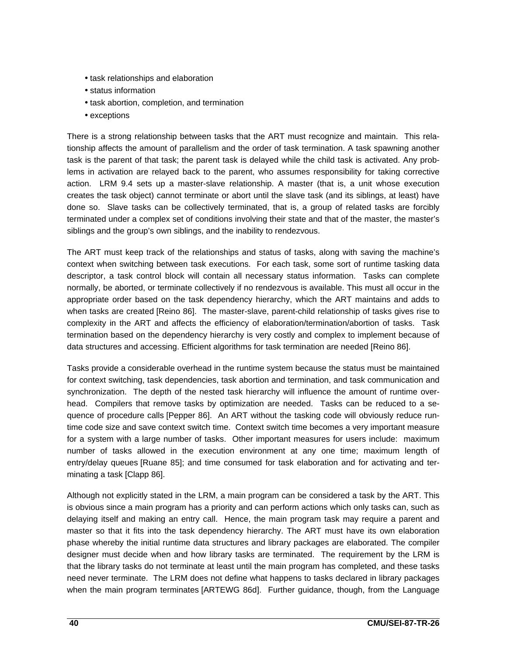- task relationships and elaboration
- status information
- task abortion, completion, and termination
- exceptions

There is a strong relationship between tasks that the ART must recognize and maintain. This relationship affects the amount of parallelism and the order of task termination. A task spawning another task is the parent of that task; the parent task is delayed while the child task is activated. Any problems in activation are relayed back to the parent, who assumes responsibility for taking corrective action. LRM 9.4 sets up a master-slave relationship. A master (that is, a unit whose execution creates the task object) cannot terminate or abort until the slave task (and its siblings, at least) have done so. Slave tasks can be collectively terminated, that is, a group of related tasks are forcibly terminated under a complex set of conditions involving their state and that of the master, the master's siblings and the group's own siblings, and the inability to rendezvous.

The ART must keep track of the relationships and status of tasks, along with saving the machine's context when switching between task executions. For each task, some sort of runtime tasking data descriptor, a task control block will contain all necessary status information. Tasks can complete normally, be aborted, or terminate collectively if no rendezvous is available. This must all occur in the appropriate order based on the task dependency hierarchy, which the ART maintains and adds to when tasks are created [Reino 86]. The master-slave, parent-child relationship of tasks gives rise to complexity in the ART and affects the efficiency of elaboration/termination/abortion of tasks. Task termination based on the dependency hierarchy is very costly and complex to implement because of data structures and accessing. Efficient algorithms for task termination are needed [Reino 86].

Tasks provide a considerable overhead in the runtime system because the status must be maintained for context switching, task dependencies, task abortion and termination, and task communication and synchronization. The depth of the nested task hierarchy will influence the amount of runtime overhead. Compilers that remove tasks by optimization are needed. Tasks can be reduced to a sequence of procedure calls [Pepper 86]. An ART without the tasking code will obviously reduce runtime code size and save context switch time. Context switch time becomes a very important measure for a system with a large number of tasks. Other important measures for users include: maximum number of tasks allowed in the execution environment at any one time; maximum length of entry/delay queues [Ruane 85]; and time consumed for task elaboration and for activating and terminating a task [Clapp 86].

Although not explicitly stated in the LRM, a main program can be considered a task by the ART. This is obvious since a main program has a priority and can perform actions which only tasks can, such as delaying itself and making an entry call. Hence, the main program task may require a parent and master so that it fits into the task dependency hierarchy. The ART must have its own elaboration phase whereby the initial runtime data structures and library packages are elaborated. The compiler designer must decide when and how library tasks are terminated. The requirement by the LRM is that the library tasks do not terminate at least until the main program has completed, and these tasks need never terminate. The LRM does not define what happens to tasks declared in library packages when the main program terminates [ARTEWG 86d]. Further guidance, though, from the Language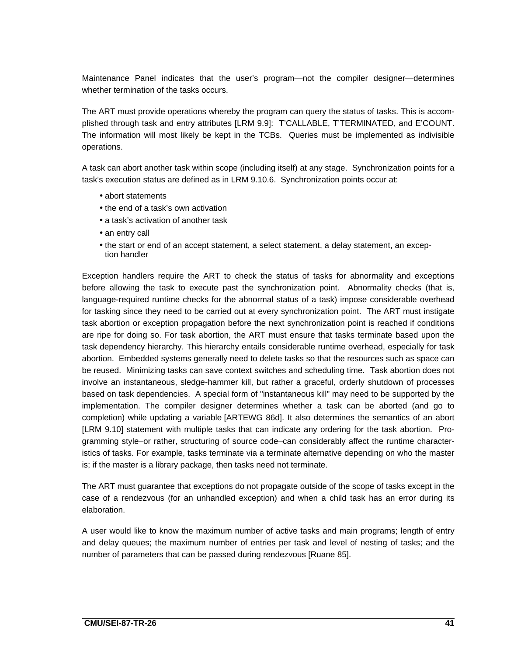Maintenance Panel indicates that the user's program—not the compiler designer—determines whether termination of the tasks occurs.

The ART must provide operations whereby the program can query the status of tasks. This is accomplished through task and entry attributes [LRM 9.9]: T'CALLABLE, T'TERMINATED, and E'COUNT. The information will most likely be kept in the TCBs. Queries must be implemented as indivisible operations.

A task can abort another task within scope (including itself) at any stage. Synchronization points for a task's execution status are defined as in LRM 9.10.6. Synchronization points occur at:

- abort statements
- the end of a task's own activation
- a task's activation of another task
- an entry call
- the start or end of an accept statement, a select statement, a delay statement, an exception handler

Exception handlers require the ART to check the status of tasks for abnormality and exceptions before allowing the task to execute past the synchronization point. Abnormality checks (that is, language-required runtime checks for the abnormal status of a task) impose considerable overhead for tasking since they need to be carried out at every synchronization point. The ART must instigate task abortion or exception propagation before the next synchronization point is reached if conditions are ripe for doing so. For task abortion, the ART must ensure that tasks terminate based upon the task dependency hierarchy. This hierarchy entails considerable runtime overhead, especially for task abortion. Embedded systems generally need to delete tasks so that the resources such as space can be reused. Minimizing tasks can save context switches and scheduling time. Task abortion does not involve an instantaneous, sledge-hammer kill, but rather a graceful, orderly shutdown of processes based on task dependencies. A special form of "instantaneous kill" may need to be supported by the implementation. The compiler designer determines whether a task can be aborted (and go to completion) while updating a variable [ARTEWG 86d]. It also determines the semantics of an abort [LRM 9.10] statement with multiple tasks that can indicate any ordering for the task abortion. Programming style–or rather, structuring of source code–can considerably affect the runtime characteristics of tasks. For example, tasks terminate via a terminate alternative depending on who the master is; if the master is a library package, then tasks need not terminate.

The ART must guarantee that exceptions do not propagate outside of the scope of tasks except in the case of a rendezvous (for an unhandled exception) and when a child task has an error during its elaboration.

A user would like to know the maximum number of active tasks and main programs; length of entry and delay queues; the maximum number of entries per task and level of nesting of tasks; and the number of parameters that can be passed during rendezvous [Ruane 85].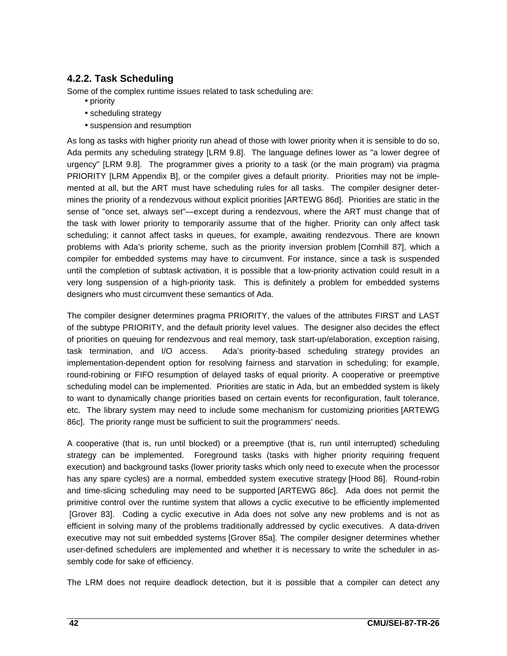## **4.2.2. Task Scheduling**

Some of the complex runtime issues related to task scheduling are:

- priority
- scheduling strategy
- suspension and resumption

As long as tasks with higher priority run ahead of those with lower priority when it is sensible to do so, Ada permits any scheduling strategy [LRM 9.8]. The language defines lower as "a lower degree of urgency" [LRM 9.8]. The programmer gives a priority to a task (or the main program) via pragma PRIORITY [LRM Appendix B], or the compiler gives a default priority. Priorities may not be implemented at all, but the ART must have scheduling rules for all tasks. The compiler designer determines the priority of a rendezvous without explicit priorities [ARTEWG 86d]. Priorities are static in the sense of "once set, always set"—except during a rendezvous, where the ART must change that of the task with lower priority to temporarily assume that of the higher. Priority can only affect task scheduling; it cannot affect tasks in queues, for example, awaiting rendezvous. There are known problems with Ada's priority scheme, such as the priority inversion problem [Cornhill 87], which a compiler for embedded systems may have to circumvent. For instance, since a task is suspended until the completion of subtask activation, it is possible that a low-priority activation could result in a very long suspension of a high-priority task. This is definitely a problem for embedded systems designers who must circumvent these semantics of Ada.

The compiler designer determines pragma PRIORITY, the values of the attributes FIRST and LAST of the subtype PRIORITY, and the default priority level values. The designer also decides the effect of priorities on queuing for rendezvous and real memory, task start-up/elaboration, exception raising, task termination, and I/O access. Ada's priority-based scheduling strategy provides an implementation-dependent option for resolving fairness and starvation in scheduling; for example, round-robining or FIFO resumption of delayed tasks of equal priority. A cooperative or preemptive scheduling model can be implemented. Priorities are static in Ada, but an embedded system is likely to want to dynamically change priorities based on certain events for reconfiguration, fault tolerance, etc. The library system may need to include some mechanism for customizing priorities [ARTEWG 86c]. The priority range must be sufficient to suit the programmers' needs.

A cooperative (that is, run until blocked) or a preemptive (that is, run until interrupted) scheduling strategy can be implemented. Foreground tasks (tasks with higher priority requiring frequent execution) and background tasks (lower priority tasks which only need to execute when the processor has any spare cycles) are a normal, embedded system executive strategy [Hood 86]. Round-robin and time-slicing scheduling may need to be supported [ARTEWG 86c]. Ada does not permit the primitive control over the runtime system that allows a cyclic executive to be efficiently implemented [Grover 83]. Coding a cyclic executive in Ada does not solve any new problems and is not as efficient in solving many of the problems traditionally addressed by cyclic executives. A data-driven executive may not suit embedded systems [Grover 85a]. The compiler designer determines whether user-defined schedulers are implemented and whether it is necessary to write the scheduler in assembly code for sake of efficiency.

The LRM does not require deadlock detection, but it is possible that a compiler can detect any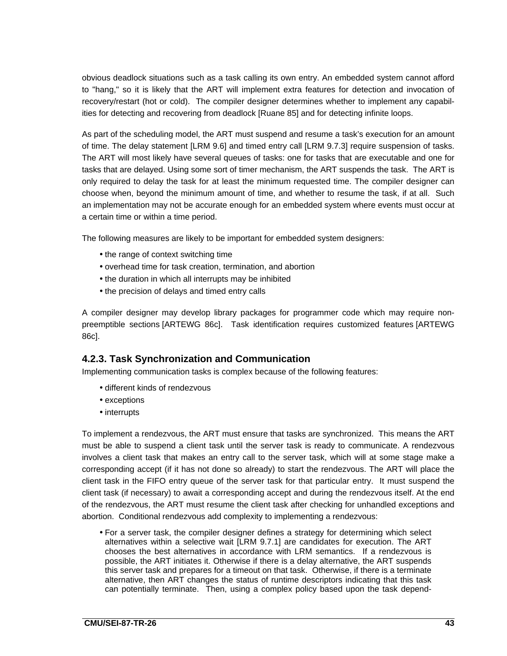obvious deadlock situations such as a task calling its own entry. An embedded system cannot afford to "hang," so it is likely that the ART will implement extra features for detection and invocation of recovery/restart (hot or cold). The compiler designer determines whether to implement any capabilities for detecting and recovering from deadlock [Ruane 85] and for detecting infinite loops.

As part of the scheduling model, the ART must suspend and resume a task's execution for an amount of time. The delay statement [LRM 9.6] and timed entry call [LRM 9.7.3] require suspension of tasks. The ART will most likely have several queues of tasks: one for tasks that are executable and one for tasks that are delayed. Using some sort of timer mechanism, the ART suspends the task. The ART is only required to delay the task for at least the minimum requested time. The compiler designer can choose when, beyond the minimum amount of time, and whether to resume the task, if at all. Such an implementation may not be accurate enough for an embedded system where events must occur at a certain time or within a time period.

The following measures are likely to be important for embedded system designers:

- the range of context switching time
- overhead time for task creation, termination, and abortion
- the duration in which all interrupts may be inhibited
- the precision of delays and timed entry calls

A compiler designer may develop library packages for programmer code which may require nonpreemptible sections [ARTEWG 86c]. Task identification requires customized features [ARTEWG 86c].

#### **4.2.3. Task Synchronization and Communication**

Implementing communication tasks is complex because of the following features:

- different kinds of rendezvous
- exceptions
- interrupts

To implement a rendezvous, the ART must ensure that tasks are synchronized. This means the ART must be able to suspend a client task until the server task is ready to communicate. A rendezvous involves a client task that makes an entry call to the server task, which will at some stage make a corresponding accept (if it has not done so already) to start the rendezvous. The ART will place the client task in the FIFO entry queue of the server task for that particular entry. It must suspend the client task (if necessary) to await a corresponding accept and during the rendezvous itself. At the end of the rendezvous, the ART must resume the client task after checking for unhandled exceptions and abortion. Conditional rendezvous add complexity to implementing a rendezvous:

• For a server task, the compiler designer defines a strategy for determining which select alternatives within a selective wait [LRM 9.7.1] are candidates for execution. The ART chooses the best alternatives in accordance with LRM semantics. If a rendezvous is possible, the ART initiates it. Otherwise if there is a delay alternative, the ART suspends this server task and prepares for a timeout on that task. Otherwise, if there is a terminate alternative, then ART changes the status of runtime descriptors indicating that this task can potentially terminate. Then, using a complex policy based upon the task depend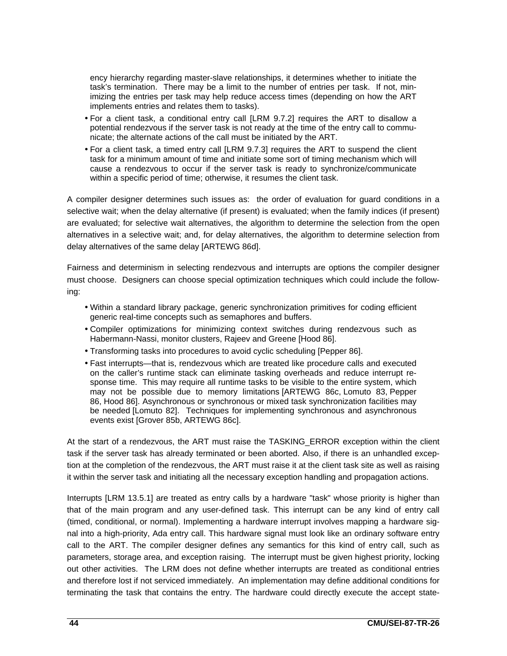ency hierarchy regarding master-slave relationships, it determines whether to initiate the task's termination. There may be a limit to the number of entries per task. If not, minimizing the entries per task may help reduce access times (depending on how the ART implements entries and relates them to tasks).

- For a client task, a conditional entry call [LRM 9.7.2] requires the ART to disallow a potential rendezvous if the server task is not ready at the time of the entry call to communicate; the alternate actions of the call must be initiated by the ART.
- For a client task, a timed entry call [LRM 9.7.3] requires the ART to suspend the client task for a minimum amount of time and initiate some sort of timing mechanism which will cause a rendezvous to occur if the server task is ready to synchronize/communicate within a specific period of time; otherwise, it resumes the client task.

A compiler designer determines such issues as: the order of evaluation for guard conditions in a selective wait; when the delay alternative (if present) is evaluated; when the family indices (if present) are evaluated; for selective wait alternatives, the algorithm to determine the selection from the open alternatives in a selective wait; and, for delay alternatives, the algorithm to determine selection from delay alternatives of the same delay [ARTEWG 86d].

Fairness and determinism in selecting rendezvous and interrupts are options the compiler designer must choose. Designers can choose special optimization techniques which could include the following:

- Within a standard library package, generic synchronization primitives for coding efficient generic real-time concepts such as semaphores and buffers.
- Compiler optimizations for minimizing context switches during rendezvous such as Habermann-Nassi, monitor clusters, Rajeev and Greene [Hood 86].
- Transforming tasks into procedures to avoid cyclic scheduling [Pepper 86].
- Fast interrupts—that is, rendezvous which are treated like procedure calls and executed on the caller's runtime stack can eliminate tasking overheads and reduce interrupt response time. This may require all runtime tasks to be visible to the entire system, which may not be possible due to memory limitations [ARTEWG 86c, Lomuto 83, Pepper 86, Hood 86]. Asynchronous or synchronous or mixed task synchronization facilities may be needed [Lomuto 82]. Techniques for implementing synchronous and asynchronous events exist [Grover 85b, ARTEWG 86c].

At the start of a rendezvous, the ART must raise the TASKING\_ERROR exception within the client task if the server task has already terminated or been aborted. Also, if there is an unhandled exception at the completion of the rendezvous, the ART must raise it at the client task site as well as raising it within the server task and initiating all the necessary exception handling and propagation actions.

Interrupts [LRM 13.5.1] are treated as entry calls by a hardware "task" whose priority is higher than that of the main program and any user-defined task. This interrupt can be any kind of entry call (timed, conditional, or normal). Implementing a hardware interrupt involves mapping a hardware signal into a high-priority, Ada entry call. This hardware signal must look like an ordinary software entry call to the ART. The compiler designer defines any semantics for this kind of entry call, such as parameters, storage area, and exception raising. The interrupt must be given highest priority, locking out other activities. The LRM does not define whether interrupts are treated as conditional entries and therefore lost if not serviced immediately. An implementation may define additional conditions for terminating the task that contains the entry. The hardware could directly execute the accept state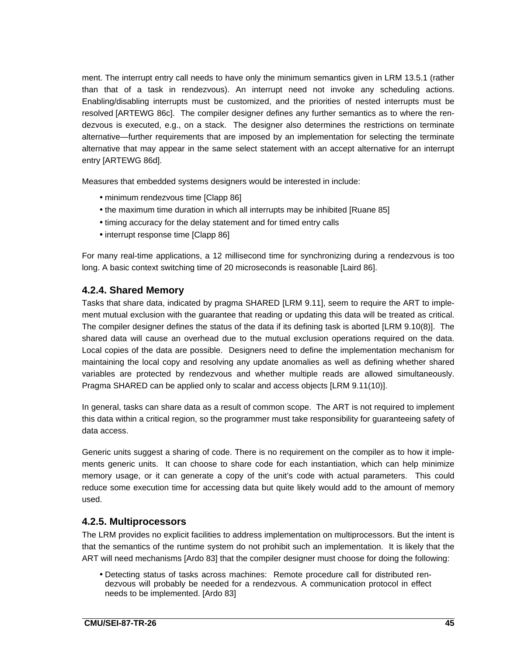ment. The interrupt entry call needs to have only the minimum semantics given in LRM 13.5.1 (rather than that of a task in rendezvous). An interrupt need not invoke any scheduling actions. Enabling/disabling interrupts must be customized, and the priorities of nested interrupts must be resolved [ARTEWG 86c]. The compiler designer defines any further semantics as to where the rendezvous is executed, e.g., on a stack. The designer also determines the restrictions on terminate alternative—further requirements that are imposed by an implementation for selecting the terminate alternative that may appear in the same select statement with an accept alternative for an interrupt entry [ARTEWG 86d].

Measures that embedded systems designers would be interested in include:

- minimum rendezvous time [Clapp 86]
- the maximum time duration in which all interrupts may be inhibited [Ruane 85]
- timing accuracy for the delay statement and for timed entry calls
- interrupt response time [Clapp 86]

For many real-time applications, a 12 millisecond time for synchronizing during a rendezvous is too long. A basic context switching time of 20 microseconds is reasonable [Laird 86].

#### **4.2.4. Shared Memory**

Tasks that share data, indicated by pragma SHARED [LRM 9.11], seem to require the ART to implement mutual exclusion with the guarantee that reading or updating this data will be treated as critical. The compiler designer defines the status of the data if its defining task is aborted [LRM 9.10(8)]. The shared data will cause an overhead due to the mutual exclusion operations required on the data. Local copies of the data are possible. Designers need to define the implementation mechanism for maintaining the local copy and resolving any update anomalies as well as defining whether shared variables are protected by rendezvous and whether multiple reads are allowed simultaneously. Pragma SHARED can be applied only to scalar and access objects [LRM 9.11(10)].

In general, tasks can share data as a result of common scope. The ART is not required to implement this data within a critical region, so the programmer must take responsibility for guaranteeing safety of data access.

Generic units suggest a sharing of code. There is no requirement on the compiler as to how it implements generic units. It can choose to share code for each instantiation, which can help minimize memory usage, or it can generate a copy of the unit's code with actual parameters. This could reduce some execution time for accessing data but quite likely would add to the amount of memory used.

#### **4.2.5. Multiprocessors**

The LRM provides no explicit facilities to address implementation on multiprocessors. But the intent is that the semantics of the runtime system do not prohibit such an implementation. It is likely that the ART will need mechanisms [Ardo 83] that the compiler designer must choose for doing the following:

• Detecting status of tasks across machines: Remote procedure call for distributed rendezvous will probably be needed for a rendezvous. A communication protocol in effect needs to be implemented. [Ardo 83]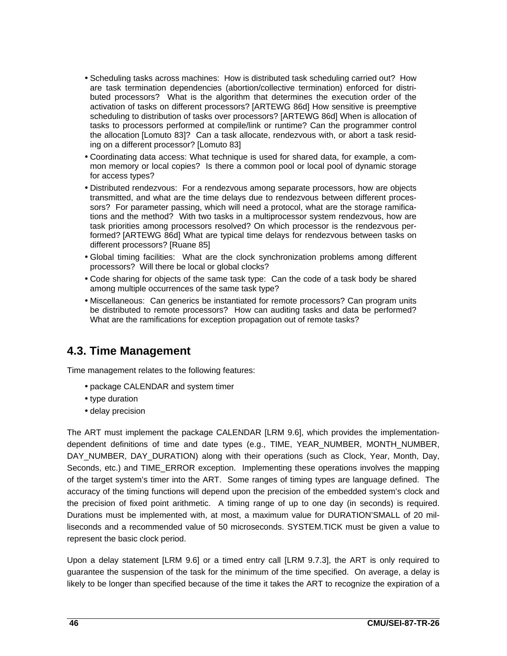- Scheduling tasks across machines: How is distributed task scheduling carried out? How are task termination dependencies (abortion/collective termination) enforced for distributed processors? What is the algorithm that determines the execution order of the activation of tasks on different processors? [ARTEWG 86d] How sensitive is preemptive scheduling to distribution of tasks over processors? [ARTEWG 86d] When is allocation of tasks to processors performed at compile/link or runtime? Can the programmer control the allocation [Lomuto 83]? Can a task allocate, rendezvous with, or abort a task residing on a different processor? [Lomuto 83]
- Coordinating data access: What technique is used for shared data, for example, a common memory or local copies? Is there a common pool or local pool of dynamic storage for access types?
- Distributed rendezvous: For a rendezvous among separate processors, how are objects transmitted, and what are the time delays due to rendezvous between different processors? For parameter passing, which will need a protocol, what are the storage ramifications and the method? With two tasks in a multiprocessor system rendezvous, how are task priorities among processors resolved? On which processor is the rendezvous performed? [ARTEWG 86d] What are typical time delays for rendezvous between tasks on different processors? [Ruane 85]
- Global timing facilities: What are the clock synchronization problems among different processors? Will there be local or global clocks?
- Code sharing for objects of the same task type: Can the code of a task body be shared among multiple occurrences of the same task type?
- Miscellaneous: Can generics be instantiated for remote processors? Can program units be distributed to remote processors? How can auditing tasks and data be performed? What are the ramifications for exception propagation out of remote tasks?

## **4.3. Time Management**

Time management relates to the following features:

- package CALENDAR and system timer
- type duration
- delay precision

The ART must implement the package CALENDAR [LRM 9.6], which provides the implementationdependent definitions of time and date types (e.g., TIME, YEAR\_NUMBER, MONTH\_NUMBER, DAY NUMBER, DAY DURATION) along with their operations (such as Clock, Year, Month, Day, Seconds, etc.) and TIME\_ERROR exception. Implementing these operations involves the mapping of the target system's timer into the ART. Some ranges of timing types are language defined. The accuracy of the timing functions will depend upon the precision of the embedded system's clock and the precision of fixed point arithmetic. A timing range of up to one day (in seconds) is required. Durations must be implemented with, at most, a maximum value for DURATION'SMALL of 20 milliseconds and a recommended value of 50 microseconds. SYSTEM.TICK must be given a value to represent the basic clock period.

Upon a delay statement [LRM 9.6] or a timed entry call [LRM 9.7.3], the ART is only required to guarantee the suspension of the task for the minimum of the time specified. On average, a delay is likely to be longer than specified because of the time it takes the ART to recognize the expiration of a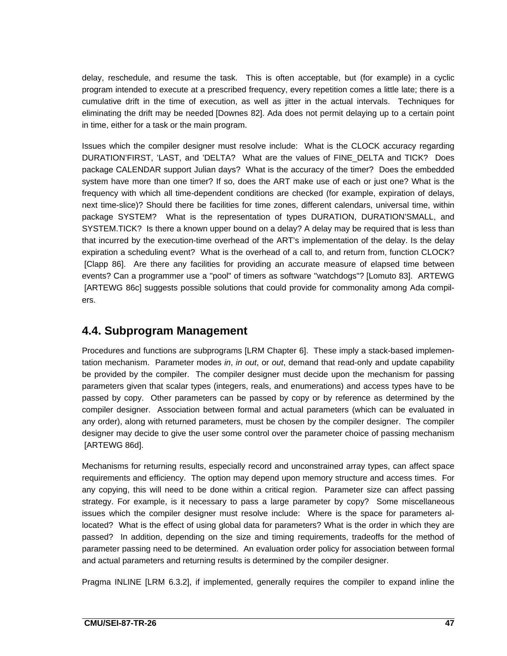delay, reschedule, and resume the task. This is often acceptable, but (for example) in a cyclic program intended to execute at a prescribed frequency, every repetition comes a little late; there is a cumulative drift in the time of execution, as well as jitter in the actual intervals. Techniques for eliminating the drift may be needed [Downes 82]. Ada does not permit delaying up to a certain point in time, either for a task or the main program.

Issues which the compiler designer must resolve include: What is the CLOCK accuracy regarding DURATION'FIRST, 'LAST, and 'DELTA? What are the values of FINE\_DELTA and TICK? Does package CALENDAR support Julian days? What is the accuracy of the timer? Does the embedded system have more than one timer? If so, does the ART make use of each or just one? What is the frequency with which all time-dependent conditions are checked (for example, expiration of delays, next time-slice)? Should there be facilities for time zones, different calendars, universal time, within package SYSTEM? What is the representation of types DURATION, DURATION'SMALL, and SYSTEM.TICK? Is there a known upper bound on a delay? A delay may be required that is less than that incurred by the execution-time overhead of the ART's implementation of the delay. Is the delay expiration a scheduling event? What is the overhead of a call to, and return from, function CLOCK? [Clapp 86]. Are there any facilities for providing an accurate measure of elapsed time between events? Can a programmer use a "pool" of timers as software "watchdogs"? [Lomuto 83]. ARTEWG [ARTEWG 86c] suggests possible solutions that could provide for commonality among Ada compilers.

# **4.4. Subprogram Management**

Procedures and functions are subprograms [LRM Chapter 6]. These imply a stack-based implementation mechanism. Parameter modes in, in out, or out, demand that read-only and update capability be provided by the compiler. The compiler designer must decide upon the mechanism for passing parameters given that scalar types (integers, reals, and enumerations) and access types have to be passed by copy. Other parameters can be passed by copy or by reference as determined by the compiler designer. Association between formal and actual parameters (which can be evaluated in any order), along with returned parameters, must be chosen by the compiler designer. The compiler designer may decide to give the user some control over the parameter choice of passing mechanism [ARTEWG 86d].

Mechanisms for returning results, especially record and unconstrained array types, can affect space requirements and efficiency. The option may depend upon memory structure and access times. For any copying, this will need to be done within a critical region. Parameter size can affect passing strategy. For example, is it necessary to pass a large parameter by copy? Some miscellaneous issues which the compiler designer must resolve include: Where is the space for parameters allocated? What is the effect of using global data for parameters? What is the order in which they are passed? In addition, depending on the size and timing requirements, tradeoffs for the method of parameter passing need to be determined. An evaluation order policy for association between formal and actual parameters and returning results is determined by the compiler designer.

Pragma INLINE [LRM 6.3.2], if implemented, generally requires the compiler to expand inline the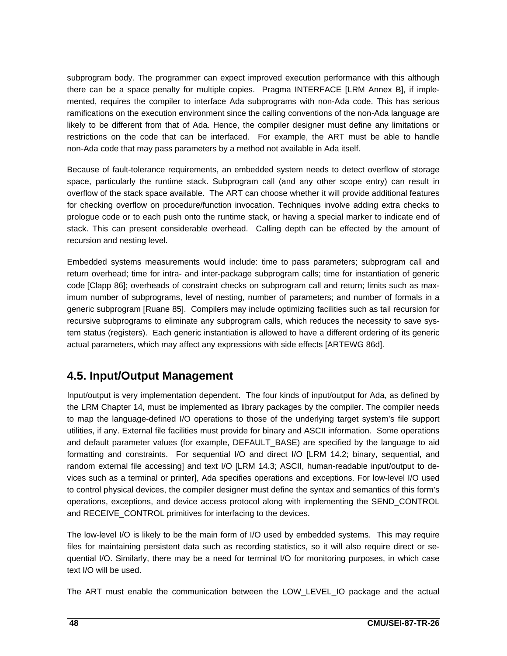subprogram body. The programmer can expect improved execution performance with this although there can be a space penalty for multiple copies. Pragma INTERFACE [LRM Annex B], if implemented, requires the compiler to interface Ada subprograms with non-Ada code. This has serious ramifications on the execution environment since the calling conventions of the non-Ada language are likely to be different from that of Ada. Hence, the compiler designer must define any limitations or restrictions on the code that can be interfaced. For example, the ART must be able to handle non-Ada code that may pass parameters by a method not available in Ada itself.

Because of fault-tolerance requirements, an embedded system needs to detect overflow of storage space, particularly the runtime stack. Subprogram call (and any other scope entry) can result in overflow of the stack space available. The ART can choose whether it will provide additional features for checking overflow on procedure/function invocation. Techniques involve adding extra checks to prologue code or to each push onto the runtime stack, or having a special marker to indicate end of stack. This can present considerable overhead. Calling depth can be effected by the amount of recursion and nesting level.

Embedded systems measurements would include: time to pass parameters; subprogram call and return overhead; time for intra- and inter-package subprogram calls; time for instantiation of generic code [Clapp 86]; overheads of constraint checks on subprogram call and return; limits such as maximum number of subprograms, level of nesting, number of parameters; and number of formals in a generic subprogram [Ruane 85]. Compilers may include optimizing facilities such as tail recursion for recursive subprograms to eliminate any subprogram calls, which reduces the necessity to save system status (registers). Each generic instantiation is allowed to have a different ordering of its generic actual parameters, which may affect any expressions with side effects [ARTEWG 86d].

# **4.5. Input/Output Management**

Input/output is very implementation dependent. The four kinds of input/output for Ada, as defined by the LRM Chapter 14, must be implemented as library packages by the compiler. The compiler needs to map the language-defined I/O operations to those of the underlying target system's file support utilities, if any. External file facilities must provide for binary and ASCII information. Some operations and default parameter values (for example, DEFAULT\_BASE) are specified by the language to aid formatting and constraints. For sequential I/O and direct I/O [LRM 14.2; binary, sequential, and random external file accessing] and text I/O [LRM 14.3; ASCII, human-readable input/output to devices such as a terminal or printer], Ada specifies operations and exceptions. For low-level I/O used to control physical devices, the compiler designer must define the syntax and semantics of this form's operations, exceptions, and device access protocol along with implementing the SEND\_CONTROL and RECEIVE CONTROL primitives for interfacing to the devices.

The low-level I/O is likely to be the main form of I/O used by embedded systems. This may require files for maintaining persistent data such as recording statistics, so it will also require direct or sequential I/O. Similarly, there may be a need for terminal I/O for monitoring purposes, in which case text I/O will be used.

The ART must enable the communication between the LOW\_LEVEL\_IO package and the actual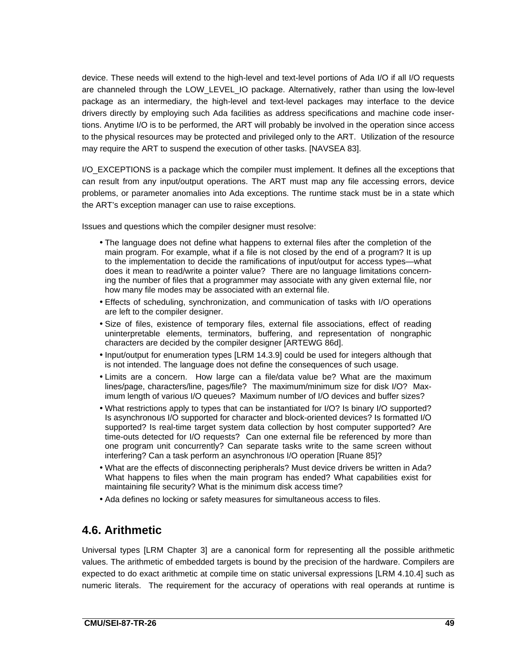device. These needs will extend to the high-level and text-level portions of Ada I/O if all I/O requests are channeled through the LOW\_LEVEL\_IO package. Alternatively, rather than using the low-level package as an intermediary, the high-level and text-level packages may interface to the device drivers directly by employing such Ada facilities as address specifications and machine code insertions. Anytime I/O is to be performed, the ART will probably be involved in the operation since access to the physical resources may be protected and privileged only to the ART. Utilization of the resource may require the ART to suspend the execution of other tasks. [NAVSEA 83].

I/O\_EXCEPTIONS is a package which the compiler must implement. It defines all the exceptions that can result from any input/output operations. The ART must map any file accessing errors, device problems, or parameter anomalies into Ada exceptions. The runtime stack must be in a state which the ART's exception manager can use to raise exceptions.

Issues and questions which the compiler designer must resolve:

- The language does not define what happens to external files after the completion of the main program. For example, what if a file is not closed by the end of a program? It is up to the implementation to decide the ramifications of input/output for access types—what does it mean to read/write a pointer value? There are no language limitations concerning the number of files that a programmer may associate with any given external file, nor how many file modes may be associated with an external file.
- Effects of scheduling, synchronization, and communication of tasks with I/O operations are left to the compiler designer.
- Size of files, existence of temporary files, external file associations, effect of reading uninterpretable elements, terminators, buffering, and representation of nongraphic characters are decided by the compiler designer [ARTEWG 86d].
- Input/output for enumeration types [LRM 14.3.9] could be used for integers although that is not intended. The language does not define the consequences of such usage.
- Limits are a concern. How large can a file/data value be? What are the maximum lines/page, characters/line, pages/file? The maximum/minimum size for disk I/O? Maximum length of various I/O queues? Maximum number of I/O devices and buffer sizes?
- What restrictions apply to types that can be instantiated for I/O? Is binary I/O supported? Is asynchronous I/O supported for character and block-oriented devices? Is formatted I/O supported? Is real-time target system data collection by host computer supported? Are time-outs detected for I/O requests? Can one external file be referenced by more than one program unit concurrently? Can separate tasks write to the same screen without interfering? Can a task perform an asynchronous I/O operation [Ruane 85]?
- What are the effects of disconnecting peripherals? Must device drivers be written in Ada? What happens to files when the main program has ended? What capabilities exist for maintaining file security? What is the minimum disk access time?
- Ada defines no locking or safety measures for simultaneous access to files.

# **4.6. Arithmetic**

Universal types [LRM Chapter 3] are a canonical form for representing all the possible arithmetic values. The arithmetic of embedded targets is bound by the precision of the hardware. Compilers are expected to do exact arithmetic at compile time on static universal expressions [LRM 4.10.4] such as numeric literals. The requirement for the accuracy of operations with real operands at runtime is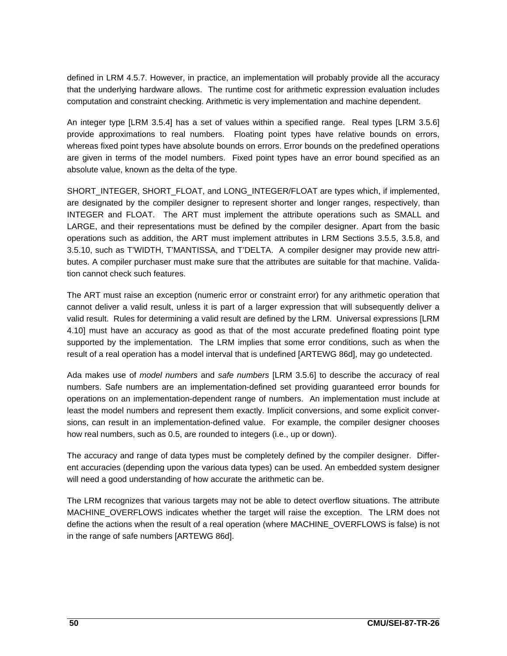defined in LRM 4.5.7. However, in practice, an implementation will probably provide all the accuracy that the underlying hardware allows. The runtime cost for arithmetic expression evaluation includes computation and constraint checking. Arithmetic is very implementation and machine dependent.

An integer type [LRM 3.5.4] has a set of values within a specified range. Real types [LRM 3.5.6] provide approximations to real numbers. Floating point types have relative bounds on errors, whereas fixed point types have absolute bounds on errors. Error bounds on the predefined operations are given in terms of the model numbers. Fixed point types have an error bound specified as an absolute value, known as the delta of the type.

SHORT\_INTEGER, SHORT\_FLOAT, and LONG\_INTEGER/FLOAT are types which, if implemented, are designated by the compiler designer to represent shorter and longer ranges, respectively, than INTEGER and FLOAT. The ART must implement the attribute operations such as SMALL and LARGE, and their representations must be defined by the compiler designer. Apart from the basic operations such as addition, the ART must implement attributes in LRM Sections 3.5.5, 3.5.8, and 3.5.10, such as T'WIDTH, T'MANTISSA, and T'DELTA. A compiler designer may provide new attributes. A compiler purchaser must make sure that the attributes are suitable for that machine. Validation cannot check such features.

The ART must raise an exception (numeric error or constraint error) for any arithmetic operation that cannot deliver a valid result, unless it is part of a larger expression that will subsequently deliver a valid result. Rules for determining a valid result are defined by the LRM. Universal expressions [LRM 4.10] must have an accuracy as good as that of the most accurate predefined floating point type supported by the implementation. The LRM implies that some error conditions, such as when the result of a real operation has a model interval that is undefined [ARTEWG 86d], may go undetected.

Ada makes use of model numbers and safe numbers [LRM 3.5.6] to describe the accuracy of real numbers. Safe numbers are an implementation-defined set providing guaranteed error bounds for operations on an implementation-dependent range of numbers. An implementation must include at least the model numbers and represent them exactly. Implicit conversions, and some explicit conversions, can result in an implementation-defined value. For example, the compiler designer chooses how real numbers, such as 0.5, are rounded to integers (i.e., up or down).

The accuracy and range of data types must be completely defined by the compiler designer. Different accuracies (depending upon the various data types) can be used. An embedded system designer will need a good understanding of how accurate the arithmetic can be.

The LRM recognizes that various targets may not be able to detect overflow situations. The attribute MACHINE\_OVERFLOWS indicates whether the target will raise the exception. The LRM does not define the actions when the result of a real operation (where MACHINE\_OVERFLOWS is false) is not in the range of safe numbers [ARTEWG 86d].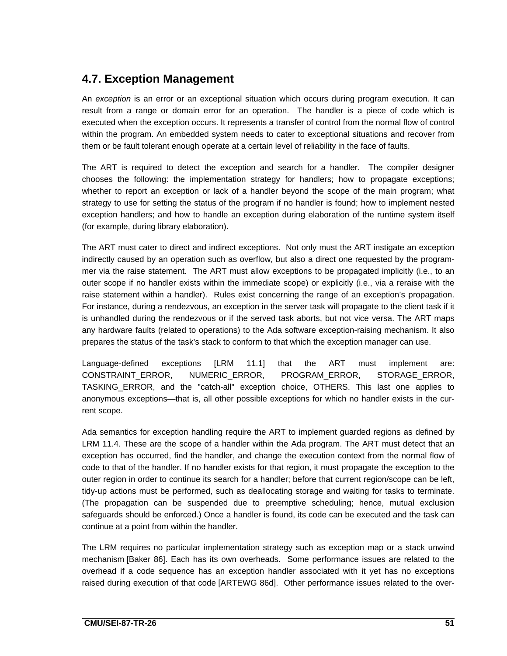# **4.7. Exception Management**

An exception is an error or an exceptional situation which occurs during program execution. It can result from a range or domain error for an operation. The handler is a piece of code which is executed when the exception occurs. It represents a transfer of control from the normal flow of control within the program. An embedded system needs to cater to exceptional situations and recover from them or be fault tolerant enough operate at a certain level of reliability in the face of faults.

The ART is required to detect the exception and search for a handler. The compiler designer chooses the following: the implementation strategy for handlers; how to propagate exceptions; whether to report an exception or lack of a handler beyond the scope of the main program; what strategy to use for setting the status of the program if no handler is found; how to implement nested exception handlers; and how to handle an exception during elaboration of the runtime system itself (for example, during library elaboration).

The ART must cater to direct and indirect exceptions. Not only must the ART instigate an exception indirectly caused by an operation such as overflow, but also a direct one requested by the programmer via the raise statement. The ART must allow exceptions to be propagated implicitly (i.e., to an outer scope if no handler exists within the immediate scope) or explicitly (i.e., via a reraise with the raise statement within a handler). Rules exist concerning the range of an exception's propagation. For instance, during a rendezvous, an exception in the server task will propagate to the client task if it is unhandled during the rendezvous or if the served task aborts, but not vice versa. The ART maps any hardware faults (related to operations) to the Ada software exception-raising mechanism. It also prepares the status of the task's stack to conform to that which the exception manager can use.

Language-defined exceptions [LRM 11.1] that the ART must implement are: CONSTRAINT\_ERROR, NUMERIC\_ERROR, PROGRAM\_ERROR, STORAGE\_ERROR, TASKING\_ERROR, and the "catch-all" exception choice, OTHERS. This last one applies to anonymous exceptions—that is, all other possible exceptions for which no handler exists in the current scope.

Ada semantics for exception handling require the ART to implement guarded regions as defined by LRM 11.4. These are the scope of a handler within the Ada program. The ART must detect that an exception has occurred, find the handler, and change the execution context from the normal flow of code to that of the handler. If no handler exists for that region, it must propagate the exception to the outer region in order to continue its search for a handler; before that current region/scope can be left, tidy-up actions must be performed, such as deallocating storage and waiting for tasks to terminate. (The propagation can be suspended due to preemptive scheduling; hence, mutual exclusion safeguards should be enforced.) Once a handler is found, its code can be executed and the task can continue at a point from within the handler.

The LRM requires no particular implementation strategy such as exception map or a stack unwind mechanism [Baker 86]. Each has its own overheads. Some performance issues are related to the overhead if a code sequence has an exception handler associated with it yet has no exceptions raised during execution of that code [ARTEWG 86d]. Other performance issues related to the over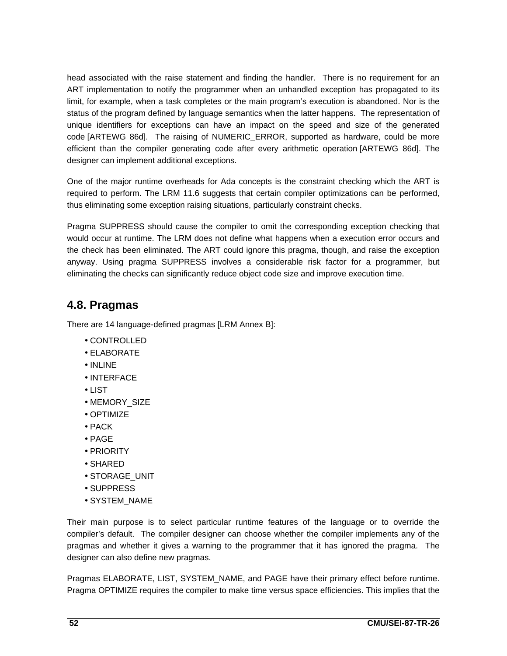head associated with the raise statement and finding the handler. There is no requirement for an ART implementation to notify the programmer when an unhandled exception has propagated to its limit, for example, when a task completes or the main program's execution is abandoned. Nor is the status of the program defined by language semantics when the latter happens. The representation of unique identifiers for exceptions can have an impact on the speed and size of the generated code [ARTEWG 86d]. The raising of NUMERIC\_ERROR, supported as hardware, could be more efficient than the compiler generating code after every arithmetic operation [ARTEWG 86d]. The designer can implement additional exceptions.

One of the major runtime overheads for Ada concepts is the constraint checking which the ART is required to perform. The LRM 11.6 suggests that certain compiler optimizations can be performed, thus eliminating some exception raising situations, particularly constraint checks.

Pragma SUPPRESS should cause the compiler to omit the corresponding exception checking that would occur at runtime. The LRM does not define what happens when a execution error occurs and the check has been eliminated. The ART could ignore this pragma, though, and raise the exception anyway. Using pragma SUPPRESS involves a considerable risk factor for a programmer, but eliminating the checks can significantly reduce object code size and improve execution time.

# **4.8. Pragmas**

There are 14 language-defined pragmas [LRM Annex B]:

- CONTROLLED
- ELABORATE
- INLINE
- INTERFACE
- LIST
- MEMORY\_SIZE
- OPTIMIZE
- PACK
- PAGE
- PRIORITY
- SHARED
- STORAGE\_UNIT
- SUPPRESS
- SYSTEM\_NAME

Their main purpose is to select particular runtime features of the language or to override the compiler's default. The compiler designer can choose whether the compiler implements any of the pragmas and whether it gives a warning to the programmer that it has ignored the pragma. The designer can also define new pragmas.

Pragmas ELABORATE, LIST, SYSTEM\_NAME, and PAGE have their primary effect before runtime. Pragma OPTIMIZE requires the compiler to make time versus space efficiencies. This implies that the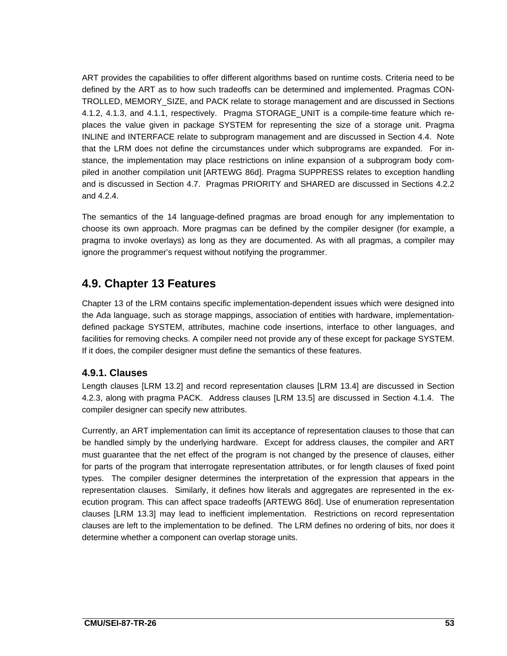ART provides the capabilities to offer different algorithms based on runtime costs. Criteria need to be defined by the ART as to how such tradeoffs can be determined and implemented. Pragmas CON-TROLLED, MEMORY\_SIZE, and PACK relate to storage management and are discussed in Sections 4.1.2, 4.1.3, and 4.1.1, respectively. Pragma STORAGE\_UNIT is a compile-time feature which replaces the value given in package SYSTEM for representing the size of a storage unit. Pragma INLINE and INTERFACE relate to subprogram management and are discussed in Section 4.4. Note that the LRM does not define the circumstances under which subprograms are expanded. For instance, the implementation may place restrictions on inline expansion of a subprogram body compiled in another compilation unit [ARTEWG 86d]. Pragma SUPPRESS relates to exception handling and is discussed in Section 4.7. Pragmas PRIORITY and SHARED are discussed in Sections 4.2.2 and 4.2.4.

The semantics of the 14 language-defined pragmas are broad enough for any implementation to choose its own approach. More pragmas can be defined by the compiler designer (for example, a pragma to invoke overlays) as long as they are documented. As with all pragmas, a compiler may ignore the programmer's request without notifying the programmer.

# **4.9. Chapter 13 Features**

Chapter 13 of the LRM contains specific implementation-dependent issues which were designed into the Ada language, such as storage mappings, association of entities with hardware, implementationdefined package SYSTEM, attributes, machine code insertions, interface to other languages, and facilities for removing checks. A compiler need not provide any of these except for package SYSTEM. If it does, the compiler designer must define the semantics of these features.

### **4.9.1. Clauses**

Length clauses [LRM 13.2] and record representation clauses [LRM 13.4] are discussed in Section 4.2.3, along with pragma PACK. Address clauses [LRM 13.5] are discussed in Section 4.1.4. The compiler designer can specify new attributes.

Currently, an ART implementation can limit its acceptance of representation clauses to those that can be handled simply by the underlying hardware. Except for address clauses, the compiler and ART must guarantee that the net effect of the program is not changed by the presence of clauses, either for parts of the program that interrogate representation attributes, or for length clauses of fixed point types. The compiler designer determines the interpretation of the expression that appears in the representation clauses. Similarly, it defines how literals and aggregates are represented in the execution program. This can affect space tradeoffs [ARTEWG 86d]. Use of enumeration representation clauses [LRM 13.3] may lead to inefficient implementation. Restrictions on record representation clauses are left to the implementation to be defined. The LRM defines no ordering of bits, nor does it determine whether a component can overlap storage units.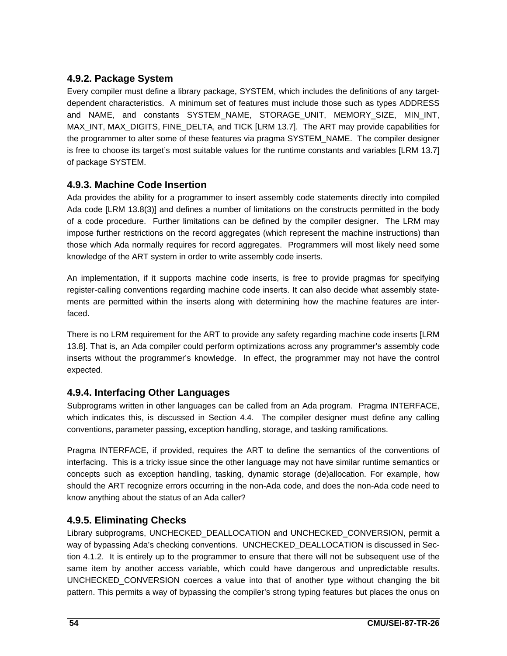## **4.9.2. Package System**

Every compiler must define a library package, SYSTEM, which includes the definitions of any targetdependent characteristics. A minimum set of features must include those such as types ADDRESS and NAME, and constants SYSTEM\_NAME, STORAGE\_UNIT, MEMORY\_SIZE, MIN\_INT, MAX\_INT, MAX\_DIGITS, FINE\_DELTA, and TICK [LRM 13.7]. The ART may provide capabilities for the programmer to alter some of these features via pragma SYSTEM\_NAME. The compiler designer is free to choose its target's most suitable values for the runtime constants and variables [LRM 13.7] of package SYSTEM.

### **4.9.3. Machine Code Insertion**

Ada provides the ability for a programmer to insert assembly code statements directly into compiled Ada code [LRM 13.8(3)] and defines a number of limitations on the constructs permitted in the body of a code procedure. Further limitations can be defined by the compiler designer. The LRM may impose further restrictions on the record aggregates (which represent the machine instructions) than those which Ada normally requires for record aggregates. Programmers will most likely need some knowledge of the ART system in order to write assembly code inserts.

An implementation, if it supports machine code inserts, is free to provide pragmas for specifying register-calling conventions regarding machine code inserts. It can also decide what assembly statements are permitted within the inserts along with determining how the machine features are interfaced.

There is no LRM requirement for the ART to provide any safety regarding machine code inserts [LRM 13.8]. That is, an Ada compiler could perform optimizations across any programmer's assembly code inserts without the programmer's knowledge. In effect, the programmer may not have the control expected.

### **4.9.4. Interfacing Other Languages**

Subprograms written in other languages can be called from an Ada program. Pragma INTERFACE, which indicates this, is discussed in Section 4.4. The compiler designer must define any calling conventions, parameter passing, exception handling, storage, and tasking ramifications.

Pragma INTERFACE, if provided, requires the ART to define the semantics of the conventions of interfacing. This is a tricky issue since the other language may not have similar runtime semantics or concepts such as exception handling, tasking, dynamic storage (de)allocation. For example, how should the ART recognize errors occurring in the non-Ada code, and does the non-Ada code need to know anything about the status of an Ada caller?

### **4.9.5. Eliminating Checks**

Library subprograms, UNCHECKED\_DEALLOCATION and UNCHECKED\_CONVERSION, permit a way of bypassing Ada's checking conventions. UNCHECKED\_DEALLOCATION is discussed in Section 4.1.2. It is entirely up to the programmer to ensure that there will not be subsequent use of the same item by another access variable, which could have dangerous and unpredictable results. UNCHECKED\_CONVERSION coerces a value into that of another type without changing the bit pattern. This permits a way of bypassing the compiler's strong typing features but places the onus on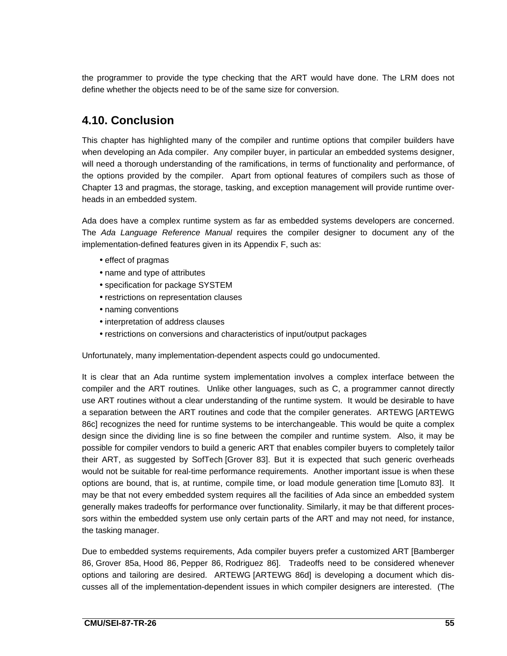the programmer to provide the type checking that the ART would have done. The LRM does not define whether the objects need to be of the same size for conversion.

# **4.10. Conclusion**

This chapter has highlighted many of the compiler and runtime options that compiler builders have when developing an Ada compiler. Any compiler buyer, in particular an embedded systems designer, will need a thorough understanding of the ramifications, in terms of functionality and performance, of the options provided by the compiler. Apart from optional features of compilers such as those of Chapter 13 and pragmas, the storage, tasking, and exception management will provide runtime overheads in an embedded system.

Ada does have a complex runtime system as far as embedded systems developers are concerned. The Ada Language Reference Manual requires the compiler designer to document any of the implementation-defined features given in its Appendix F, such as:

- effect of pragmas
- name and type of attributes
- specification for package SYSTEM
- restrictions on representation clauses
- naming conventions
- interpretation of address clauses
- restrictions on conversions and characteristics of input/output packages

Unfortunately, many implementation-dependent aspects could go undocumented.

It is clear that an Ada runtime system implementation involves a complex interface between the compiler and the ART routines. Unlike other languages, such as C, a programmer cannot directly use ART routines without a clear understanding of the runtime system. It would be desirable to have a separation between the ART routines and code that the compiler generates. ARTEWG [ARTEWG 86c] recognizes the need for runtime systems to be interchangeable. This would be quite a complex design since the dividing line is so fine between the compiler and runtime system. Also, it may be possible for compiler vendors to build a generic ART that enables compiler buyers to completely tailor their ART, as suggested by SofTech [Grover 83]. But it is expected that such generic overheads would not be suitable for real-time performance requirements. Another important issue is when these options are bound, that is, at runtime, compile time, or load module generation time [Lomuto 83]. It may be that not every embedded system requires all the facilities of Ada since an embedded system generally makes tradeoffs for performance over functionality. Similarly, it may be that different processors within the embedded system use only certain parts of the ART and may not need, for instance, the tasking manager.

Due to embedded systems requirements, Ada compiler buyers prefer a customized ART [Bamberger 86, Grover 85a, Hood 86, Pepper 86, Rodriguez 86]. Tradeoffs need to be considered whenever options and tailoring are desired. ARTEWG [ARTEWG 86d] is developing a document which discusses all of the implementation-dependent issues in which compiler designers are interested. (The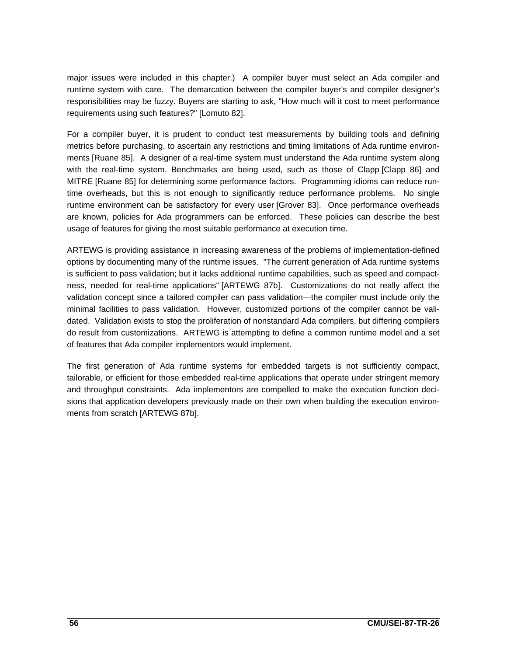major issues were included in this chapter.) A compiler buyer must select an Ada compiler and runtime system with care. The demarcation between the compiler buyer's and compiler designer's responsibilities may be fuzzy. Buyers are starting to ask, "How much will it cost to meet performance requirements using such features?" [Lomuto 82].

For a compiler buyer, it is prudent to conduct test measurements by building tools and defining metrics before purchasing, to ascertain any restrictions and timing limitations of Ada runtime environments [Ruane 85]. A designer of a real-time system must understand the Ada runtime system along with the real-time system. Benchmarks are being used, such as those of Clapp [Clapp 86] and MITRE [Ruane 85] for determining some performance factors. Programming idioms can reduce runtime overheads, but this is not enough to significantly reduce performance problems. No single runtime environment can be satisfactory for every user [Grover 83]. Once performance overheads are known, policies for Ada programmers can be enforced. These policies can describe the best usage of features for giving the most suitable performance at execution time.

ARTEWG is providing assistance in increasing awareness of the problems of implementation-defined options by documenting many of the runtime issues. "The current generation of Ada runtime systems is sufficient to pass validation; but it lacks additional runtime capabilities, such as speed and compactness, needed for real-time applications" [ARTEWG 87b]. Customizations do not really affect the validation concept since a tailored compiler can pass validation—the compiler must include only the minimal facilities to pass validation. However, customized portions of the compiler cannot be validated. Validation exists to stop the proliferation of nonstandard Ada compilers, but differing compilers do result from customizations. ARTEWG is attempting to define a common runtime model and a set of features that Ada compiler implementors would implement.

The first generation of Ada runtime systems for embedded targets is not sufficiently compact, tailorable, or efficient for those embedded real-time applications that operate under stringent memory and throughput constraints. Ada implementors are compelled to make the execution function decisions that application developers previously made on their own when building the execution environments from scratch [ARTEWG 87b].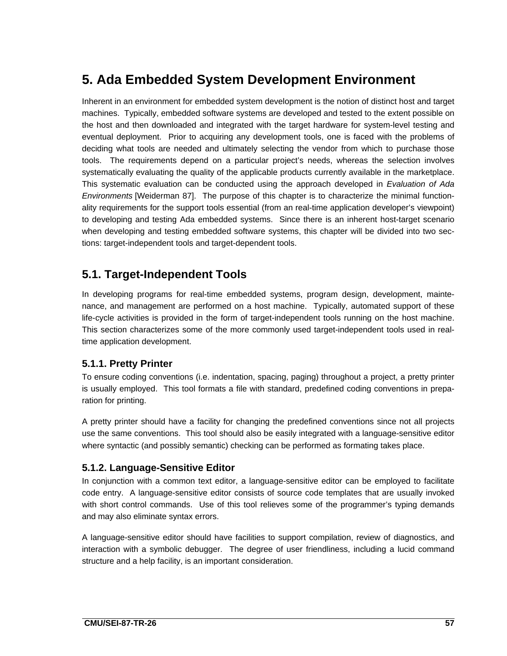# **5. Ada Embedded System Development Environment**

Inherent in an environment for embedded system development is the notion of distinct host and target machines. Typically, embedded software systems are developed and tested to the extent possible on the host and then downloaded and integrated with the target hardware for system-level testing and eventual deployment. Prior to acquiring any development tools, one is faced with the problems of deciding what tools are needed and ultimately selecting the vendor from which to purchase those tools. The requirements depend on a particular project's needs, whereas the selection involves systematically evaluating the quality of the applicable products currently available in the marketplace. This systematic evaluation can be conducted using the approach developed in Evaluation of Ada Environments [Weiderman 87]. The purpose of this chapter is to characterize the minimal functionality requirements for the support tools essential (from an real-time application developer's viewpoint) to developing and testing Ada embedded systems. Since there is an inherent host-target scenario when developing and testing embedded software systems, this chapter will be divided into two sections: target-independent tools and target-dependent tools.

# **5.1. Target-Independent Tools**

In developing programs for real-time embedded systems, program design, development, maintenance, and management are performed on a host machine. Typically, automated support of these life-cycle activities is provided in the form of target-independent tools running on the host machine. This section characterizes some of the more commonly used target-independent tools used in realtime application development.

### **5.1.1. Pretty Printer**

To ensure coding conventions (i.e. indentation, spacing, paging) throughout a project, a pretty printer is usually employed. This tool formats a file with standard, predefined coding conventions in preparation for printing.

A pretty printer should have a facility for changing the predefined conventions since not all projects use the same conventions. This tool should also be easily integrated with a language-sensitive editor where syntactic (and possibly semantic) checking can be performed as formating takes place.

## **5.1.2. Language-Sensitive Editor**

In conjunction with a common text editor, a language-sensitive editor can be employed to facilitate code entry. A language-sensitive editor consists of source code templates that are usually invoked with short control commands. Use of this tool relieves some of the programmer's typing demands and may also eliminate syntax errors.

A language-sensitive editor should have facilities to support compilation, review of diagnostics, and interaction with a symbolic debugger. The degree of user friendliness, including a lucid command structure and a help facility, is an important consideration.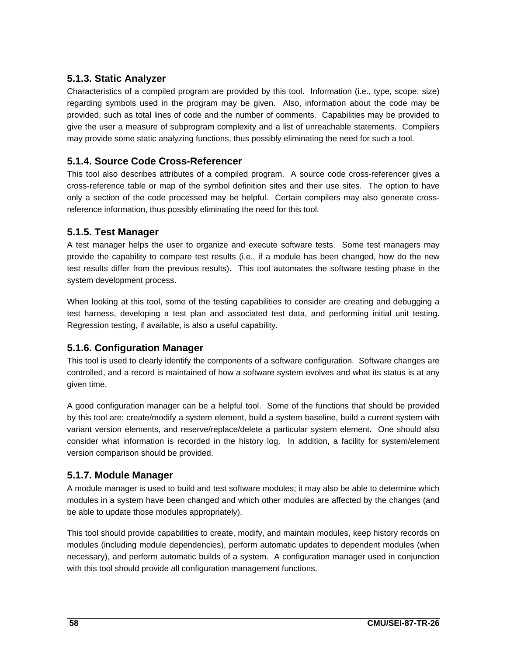## **5.1.3. Static Analyzer**

Characteristics of a compiled program are provided by this tool. Information (i.e., type, scope, size) regarding symbols used in the program may be given. Also, information about the code may be provided, such as total lines of code and the number of comments. Capabilities may be provided to give the user a measure of subprogram complexity and a list of unreachable statements. Compilers may provide some static analyzing functions, thus possibly eliminating the need for such a tool.

## **5.1.4. Source Code Cross-Referencer**

This tool also describes attributes of a compiled program. A source code cross-referencer gives a cross-reference table or map of the symbol definition sites and their use sites. The option to have only a section of the code processed may be helpful. Certain compilers may also generate crossreference information, thus possibly eliminating the need for this tool.

#### **5.1.5. Test Manager**

A test manager helps the user to organize and execute software tests. Some test managers may provide the capability to compare test results (i.e., if a module has been changed, how do the new test results differ from the previous results). This tool automates the software testing phase in the system development process.

When looking at this tool, some of the testing capabilities to consider are creating and debugging a test harness, developing a test plan and associated test data, and performing initial unit testing. Regression testing, if available, is also a useful capability.

## **5.1.6. Configuration Manager**

This tool is used to clearly identify the components of a software configuration. Software changes are controlled, and a record is maintained of how a software system evolves and what its status is at any given time.

A good configuration manager can be a helpful tool. Some of the functions that should be provided by this tool are: create/modify a system element, build a system baseline, build a current system with variant version elements, and reserve/replace/delete a particular system element. One should also consider what information is recorded in the history log. In addition, a facility for system/element version comparison should be provided.

### **5.1.7. Module Manager**

A module manager is used to build and test software modules; it may also be able to determine which modules in a system have been changed and which other modules are affected by the changes (and be able to update those modules appropriately).

This tool should provide capabilities to create, modify, and maintain modules, keep history records on modules (including module dependencies), perform automatic updates to dependent modules (when necessary), and perform automatic builds of a system. A configuration manager used in conjunction with this tool should provide all configuration management functions.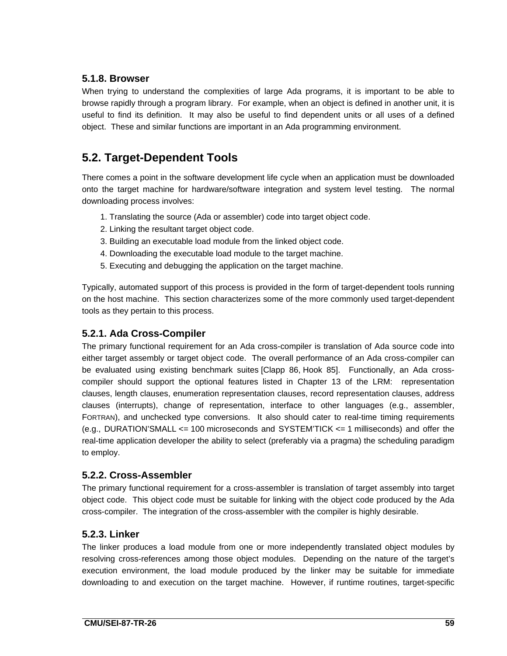## **5.1.8. Browser**

When trying to understand the complexities of large Ada programs, it is important to be able to browse rapidly through a program library. For example, when an object is defined in another unit, it is useful to find its definition. It may also be useful to find dependent units or all uses of a defined object. These and similar functions are important in an Ada programming environment.

# **5.2. Target-Dependent Tools**

There comes a point in the software development life cycle when an application must be downloaded onto the target machine for hardware/software integration and system level testing. The normal downloading process involves:

- 1. Translating the source (Ada or assembler) code into target object code.
- 2. Linking the resultant target object code.
- 3. Building an executable load module from the linked object code.
- 4. Downloading the executable load module to the target machine.
- 5. Executing and debugging the application on the target machine.

Typically, automated support of this process is provided in the form of target-dependent tools running on the host machine. This section characterizes some of the more commonly used target-dependent tools as they pertain to this process.

## **5.2.1. Ada Cross-Compiler**

The primary functional requirement for an Ada cross-compiler is translation of Ada source code into either target assembly or target object code. The overall performance of an Ada cross-compiler can be evaluated using existing benchmark suites [Clapp 86, Hook 85]. Functionally, an Ada crosscompiler should support the optional features listed in Chapter 13 of the LRM: representation clauses, length clauses, enumeration representation clauses, record representation clauses, address clauses (interrupts), change of representation, interface to other languages (e.g., assembler, FORTRAN), and unchecked type conversions. It also should cater to real-time timing requirements (e.g., DURATION'SMALL <= 100 microseconds and SYSTEM'TICK <= 1 milliseconds) and offer the real-time application developer the ability to select (preferably via a pragma) the scheduling paradigm to employ.

### **5.2.2. Cross-Assembler**

The primary functional requirement for a cross-assembler is translation of target assembly into target object code. This object code must be suitable for linking with the object code produced by the Ada cross-compiler. The integration of the cross-assembler with the compiler is highly desirable.

### **5.2.3. Linker**

The linker produces a load module from one or more independently translated object modules by resolving cross-references among those object modules. Depending on the nature of the target's execution environment, the load module produced by the linker may be suitable for immediate downloading to and execution on the target machine. However, if runtime routines, target-specific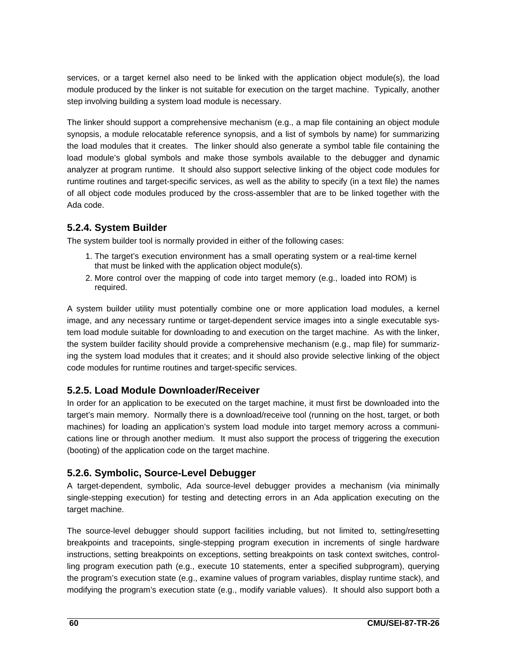services, or a target kernel also need to be linked with the application object module(s), the load module produced by the linker is not suitable for execution on the target machine. Typically, another step involving building a system load module is necessary.

The linker should support a comprehensive mechanism (e.g., a map file containing an object module synopsis, a module relocatable reference synopsis, and a list of symbols by name) for summarizing the load modules that it creates. The linker should also generate a symbol table file containing the load module's global symbols and make those symbols available to the debugger and dynamic analyzer at program runtime. It should also support selective linking of the object code modules for runtime routines and target-specific services, as well as the ability to specify (in a text file) the names of all object code modules produced by the cross-assembler that are to be linked together with the Ada code.

## **5.2.4. System Builder**

The system builder tool is normally provided in either of the following cases:

- 1. The target's execution environment has a small operating system or a real-time kernel that must be linked with the application object module(s).
- 2. More control over the mapping of code into target memory (e.g., loaded into ROM) is required.

A system builder utility must potentially combine one or more application load modules, a kernel image, and any necessary runtime or target-dependent service images into a single executable system load module suitable for downloading to and execution on the target machine. As with the linker, the system builder facility should provide a comprehensive mechanism (e.g., map file) for summarizing the system load modules that it creates; and it should also provide selective linking of the object code modules for runtime routines and target-specific services.

### **5.2.5. Load Module Downloader/Receiver**

In order for an application to be executed on the target machine, it must first be downloaded into the target's main memory. Normally there is a download/receive tool (running on the host, target, or both machines) for loading an application's system load module into target memory across a communications line or through another medium. It must also support the process of triggering the execution (booting) of the application code on the target machine.

## **5.2.6. Symbolic, Source-Level Debugger**

A target-dependent, symbolic, Ada source-level debugger provides a mechanism (via minimally single-stepping execution) for testing and detecting errors in an Ada application executing on the target machine.

The source-level debugger should support facilities including, but not limited to, setting/resetting breakpoints and tracepoints, single-stepping program execution in increments of single hardware instructions, setting breakpoints on exceptions, setting breakpoints on task context switches, controlling program execution path (e.g., execute 10 statements, enter a specified subprogram), querying the program's execution state (e.g., examine values of program variables, display runtime stack), and modifying the program's execution state (e.g., modify variable values). It should also support both a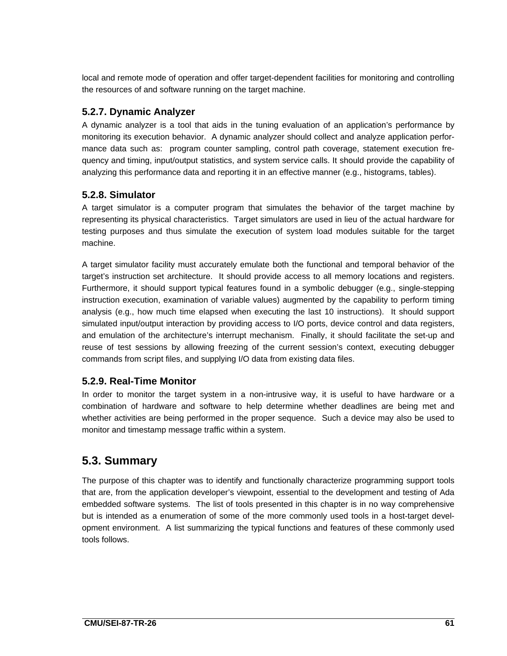local and remote mode of operation and offer target-dependent facilities for monitoring and controlling the resources of and software running on the target machine.

## **5.2.7. Dynamic Analyzer**

A dynamic analyzer is a tool that aids in the tuning evaluation of an application's performance by monitoring its execution behavior. A dynamic analyzer should collect and analyze application performance data such as: program counter sampling, control path coverage, statement execution frequency and timing, input/output statistics, and system service calls. It should provide the capability of analyzing this performance data and reporting it in an effective manner (e.g., histograms, tables).

## **5.2.8. Simulator**

A target simulator is a computer program that simulates the behavior of the target machine by representing its physical characteristics. Target simulators are used in lieu of the actual hardware for testing purposes and thus simulate the execution of system load modules suitable for the target machine.

A target simulator facility must accurately emulate both the functional and temporal behavior of the target's instruction set architecture. It should provide access to all memory locations and registers. Furthermore, it should support typical features found in a symbolic debugger (e.g., single-stepping instruction execution, examination of variable values) augmented by the capability to perform timing analysis (e.g., how much time elapsed when executing the last 10 instructions). It should support simulated input/output interaction by providing access to I/O ports, device control and data registers, and emulation of the architecture's interrupt mechanism. Finally, it should facilitate the set-up and reuse of test sessions by allowing freezing of the current session's context, executing debugger commands from script files, and supplying I/O data from existing data files.

## **5.2.9. Real-Time Monitor**

In order to monitor the target system in a non-intrusive way, it is useful to have hardware or a combination of hardware and software to help determine whether deadlines are being met and whether activities are being performed in the proper sequence. Such a device may also be used to monitor and timestamp message traffic within a system.

# **5.3. Summary**

The purpose of this chapter was to identify and functionally characterize programming support tools that are, from the application developer's viewpoint, essential to the development and testing of Ada embedded software systems. The list of tools presented in this chapter is in no way comprehensive but is intended as a enumeration of some of the more commonly used tools in a host-target development environment. A list summarizing the typical functions and features of these commonly used tools follows.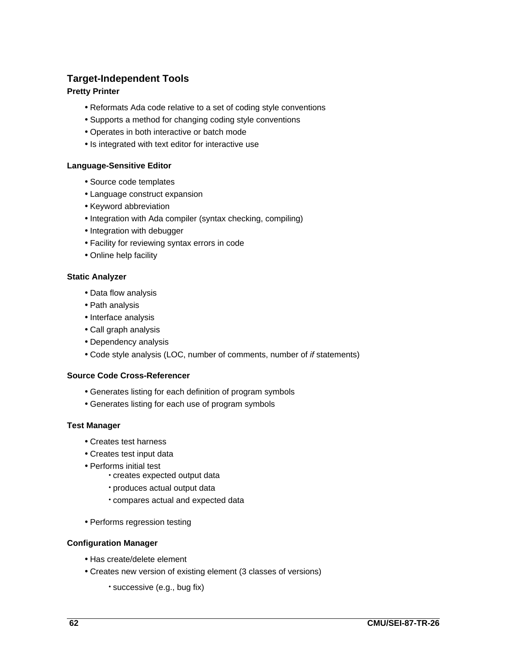## **Target-Independent Tools**

#### **Pretty Printer**

- Reformats Ada code relative to a set of coding style conventions
- Supports a method for changing coding style conventions
- Operates in both interactive or batch mode
- Is integrated with text editor for interactive use

#### **Language-Sensitive Editor**

- Source code templates
- Language construct expansion
- Keyword abbreviation
- Integration with Ada compiler (syntax checking, compiling)
- Integration with debugger
- Facility for reviewing syntax errors in code
- Online help facility

#### **Static Analyzer**

- Data flow analysis
- Path analysis
- Interface analysis
- Call graph analysis
- Dependency analysis
- Code style analysis (LOC, number of comments, number of if statements)

#### **Source Code Cross-Referencer**

- Generates listing for each definition of program symbols
- Generates listing for each use of program symbols

#### **Test Manager**

- Creates test harness
- Creates test input data
- Performs initial test
	- creates expected output data
	- produces actual output data
	- compares actual and expected data
- Performs regression testing

#### **Configuration Manager**

- Has create/delete element
- Creates new version of existing element (3 classes of versions)
	- successive (e.g., bug fix)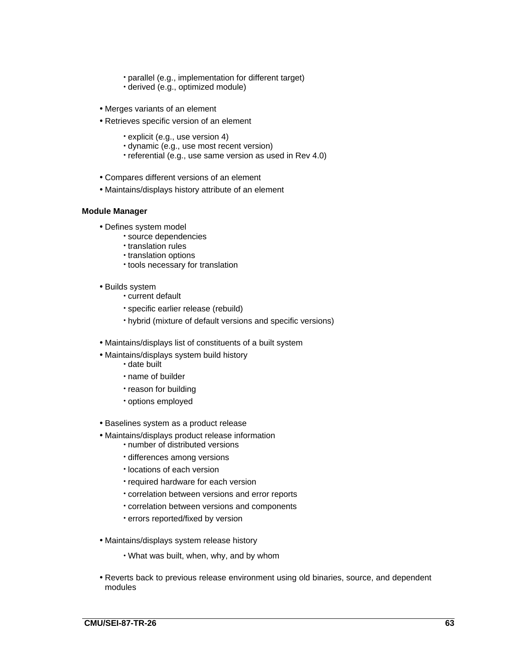- parallel (e.g., implementation for different target)
- derived (e.g., optimized module)
- Merges variants of an element
- Retrieves specific version of an element
	- explicit (e.g., use version 4)
	- dynamic (e.g., use most recent version)
	- referential (e.g., use same version as used in Rev 4.0)
- Compares different versions of an element
- Maintains/displays history attribute of an element

#### **Module Manager**

- Defines system model
	- source dependencies
	- translation rules
	- translation options
	- tools necessary for translation
- Builds system
	- current default
	- specific earlier release (rebuild)
	- hybrid (mixture of default versions and specific versions)
- Maintains/displays list of constituents of a built system
- Maintains/displays system build history
	- date built
	- name of builder
	- reason for building
	- options employed
- Baselines system as a product release
- Maintains/displays product release information
	- number of distributed versions
	- differences among versions
	- locations of each version
	- required hardware for each version
	- correlation between versions and error reports
	- correlation between versions and components
	- errors reported/fixed by version
- Maintains/displays system release history
	- What was built, when, why, and by whom
- Reverts back to previous release environment using old binaries, source, and dependent modules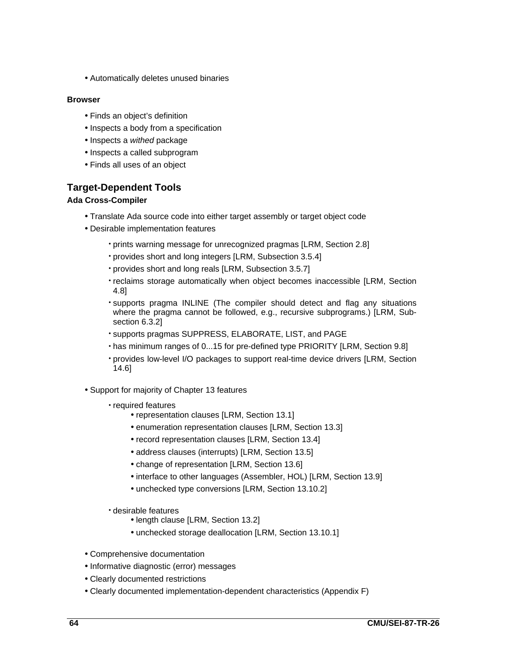• Automatically deletes unused binaries

#### **Browser**

- Finds an object's definition
- Inspects a body from a specification
- Inspects a withed package
- Inspects a called subprogram
- Finds all uses of an object

## **Target-Dependent Tools**

#### **Ada Cross-Compiler**

- Translate Ada source code into either target assembly or target object code
- Desirable implementation features
	- prints warning message for unrecognized pragmas [LRM, Section 2.8]
	- provides short and long integers [LRM, Subsection 3.5.4]
	- provides short and long reals [LRM, Subsection 3.5.7]
	- reclaims storage automatically when object becomes inaccessible [LRM, Section 4.8]
	- supports pragma INLINE (The compiler should detect and flag any situations where the pragma cannot be followed, e.g., recursive subprograms.) [LRM, Subsection 6.3.2]
	- supports pragmas SUPPRESS, ELABORATE, LIST, and PAGE
	- has minimum ranges of 0...15 for pre-defined type PRIORITY [LRM, Section 9.8]
	- provides low-level I/O packages to support real-time device drivers [LRM, Section 14.6]
- Support for majority of Chapter 13 features
	- required features
		- representation clauses [LRM, Section 13.1]
		- enumeration representation clauses [LRM, Section 13.3]
		- record representation clauses [LRM, Section 13.4]
		- address clauses (interrupts) [LRM, Section 13.5]
		- change of representation [LRM, Section 13.6]
		- interface to other languages (Assembler, HOL) [LRM, Section 13.9]
		- unchecked type conversions [LRM, Section 13.10.2]
	- desirable features
		- length clause [LRM, Section 13.2]
		- unchecked storage deallocation [LRM, Section 13.10.1]
- Comprehensive documentation
- Informative diagnostic (error) messages
- Clearly documented restrictions
- Clearly documented implementation-dependent characteristics (Appendix F)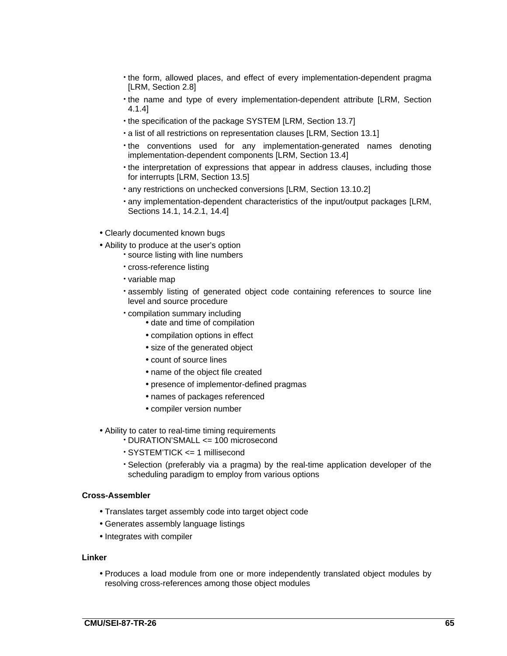- the form, allowed places, and effect of every implementation-dependent pragma [LRM, Section 2.8]
- the name and type of every implementation-dependent attribute [LRM, Section 4.1.4]
- the specification of the package SYSTEM [LRM, Section 13.7]
- a list of all restrictions on representation clauses [LRM, Section 13.1]
- the conventions used for any implementation-generated names denoting implementation-dependent components [LRM, Section 13.4]
- the interpretation of expressions that appear in address clauses, including those for interrupts [LRM, Section 13.5]
- any restrictions on unchecked conversions [LRM, Section 13.10.2]
- any implementation-dependent characteristics of the input/output packages [LRM, Sections 14.1, 14.2.1, 14.4]
- Clearly documented known bugs
- Ability to produce at the user's option
	- source listing with line numbers
		- cross-reference listing
		- variable map
		- assembly listing of generated object code containing references to source line level and source procedure
		- compilation summary including
			- date and time of compilation
			- compilation options in effect
			- size of the generated object
			- count of source lines
			- name of the object file created
			- presence of implementor-defined pragmas
			- names of packages referenced
			- compiler version number
- Ability to cater to real-time timing requirements
	- DURATION'SMALL <= 100 microsecond
	- SYSTEM'TICK <= 1 millisecond
	- Selection (preferably via a pragma) by the real-time application developer of the scheduling paradigm to employ from various options

#### **Cross-Assembler**

- Translates target assembly code into target object code
- Generates assembly language listings
- Integrates with compiler

#### **Linker**

• Produces a load module from one or more independently translated object modules by resolving cross-references among those object modules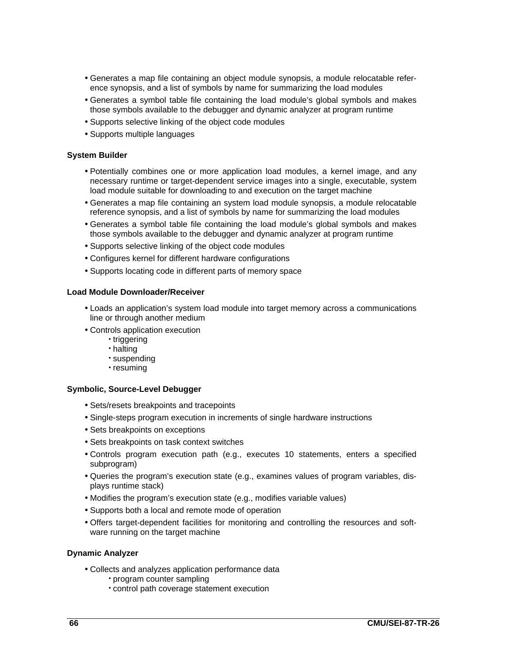- Generates a map file containing an object module synopsis, a module relocatable reference synopsis, and a list of symbols by name for summarizing the load modules
- Generates a symbol table file containing the load module's global symbols and makes those symbols available to the debugger and dynamic analyzer at program runtime
- Supports selective linking of the object code modules
- Supports multiple languages

#### **System Builder**

- Potentially combines one or more application load modules, a kernel image, and any necessary runtime or target-dependent service images into a single, executable, system load module suitable for downloading to and execution on the target machine
- Generates a map file containing an system load module synopsis, a module relocatable reference synopsis, and a list of symbols by name for summarizing the load modules
- Generates a symbol table file containing the load module's global symbols and makes those symbols available to the debugger and dynamic analyzer at program runtime
- Supports selective linking of the object code modules
- Configures kernel for different hardware configurations
- Supports locating code in different parts of memory space

#### **Load Module Downloader/Receiver**

- Loads an application's system load module into target memory across a communications line or through another medium
- Controls application execution
	- triggering
	- halting
	- suspending
	- resuming

#### **Symbolic, Source-Level Debugger**

- Sets/resets breakpoints and tracepoints
- Single-steps program execution in increments of single hardware instructions
- Sets breakpoints on exceptions
- Sets breakpoints on task context switches
- Controls program execution path (e.g., executes 10 statements, enters a specified subprogram)
- Queries the program's execution state (e.g., examines values of program variables, displays runtime stack)
- Modifies the program's execution state (e.g., modifies variable values)
- Supports both a local and remote mode of operation
- Offers target-dependent facilities for monitoring and controlling the resources and software running on the target machine

#### **Dynamic Analyzer**

- Collects and analyzes application performance data
	- program counter sampling
	- control path coverage statement execution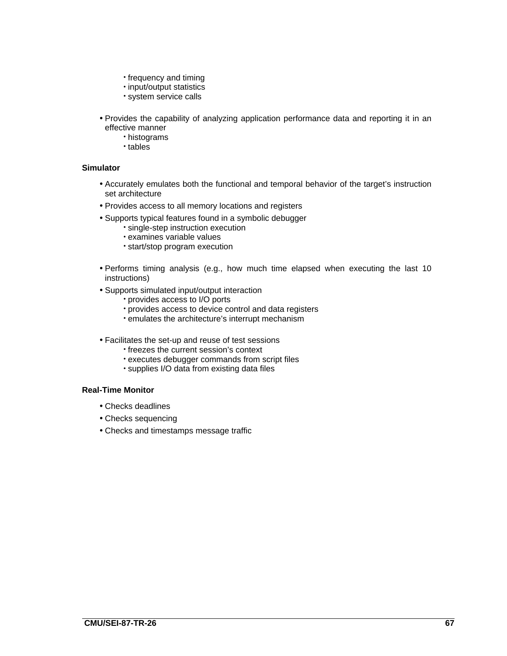- frequency and timing
- input/output statistics
- system service calls
- Provides the capability of analyzing application performance data and reporting it in an effective manner
	- histograms
	- tables

#### **Simulator**

- Accurately emulates both the functional and temporal behavior of the target's instruction set architecture
- Provides access to all memory locations and registers
- Supports typical features found in a symbolic debugger
	- single-step instruction execution
	- examines variable values
	- start/stop program execution
- Performs timing analysis (e.g., how much time elapsed when executing the last 10 instructions)
- Supports simulated input/output interaction
	- provides access to I/O ports
	- provides access to device control and data registers
	- emulates the architecture's interrupt mechanism
- Facilitates the set-up and reuse of test sessions
	- freezes the current session's context
	- executes debugger commands from script files
	- supplies I/O data from existing data files

#### **Real-Time Monitor**

- Checks deadlines
- Checks sequencing
- Checks and timestamps message traffic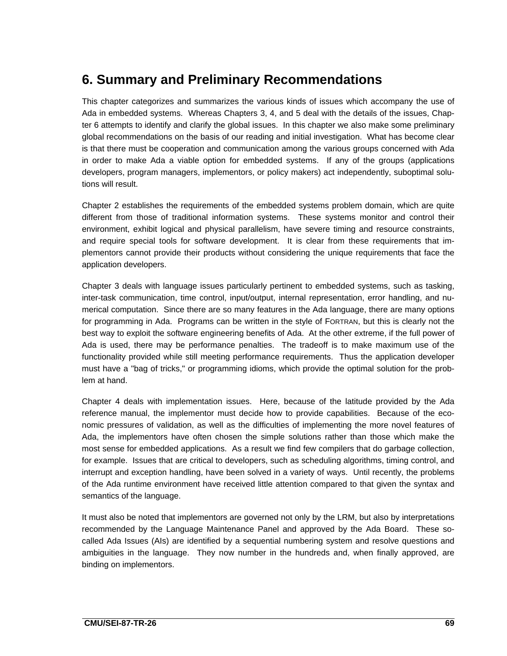# **6. Summary and Preliminary Recommendations**

This chapter categorizes and summarizes the various kinds of issues which accompany the use of Ada in embedded systems. Whereas Chapters 3, 4, and 5 deal with the details of the issues, Chapter 6 attempts to identify and clarify the global issues. In this chapter we also make some preliminary global recommendations on the basis of our reading and initial investigation. What has become clear is that there must be cooperation and communication among the various groups concerned with Ada in order to make Ada a viable option for embedded systems. If any of the groups (applications developers, program managers, implementors, or policy makers) act independently, suboptimal solutions will result.

Chapter 2 establishes the requirements of the embedded systems problem domain, which are quite different from those of traditional information systems. These systems monitor and control their environment, exhibit logical and physical parallelism, have severe timing and resource constraints, and require special tools for software development. It is clear from these requirements that implementors cannot provide their products without considering the unique requirements that face the application developers.

Chapter 3 deals with language issues particularly pertinent to embedded systems, such as tasking, inter-task communication, time control, input/output, internal representation, error handling, and numerical computation. Since there are so many features in the Ada language, there are many options for programming in Ada. Programs can be written in the style of FORTRAN, but this is clearly not the best way to exploit the software engineering benefits of Ada. At the other extreme, if the full power of Ada is used, there may be performance penalties. The tradeoff is to make maximum use of the functionality provided while still meeting performance requirements. Thus the application developer must have a "bag of tricks," or programming idioms, which provide the optimal solution for the problem at hand.

Chapter 4 deals with implementation issues. Here, because of the latitude provided by the Ada reference manual, the implementor must decide how to provide capabilities. Because of the economic pressures of validation, as well as the difficulties of implementing the more novel features of Ada, the implementors have often chosen the simple solutions rather than those which make the most sense for embedded applications. As a result we find few compilers that do garbage collection, for example. Issues that are critical to developers, such as scheduling algorithms, timing control, and interrupt and exception handling, have been solved in a variety of ways. Until recently, the problems of the Ada runtime environment have received little attention compared to that given the syntax and semantics of the language.

It must also be noted that implementors are governed not only by the LRM, but also by interpretations recommended by the Language Maintenance Panel and approved by the Ada Board. These socalled Ada Issues (AIs) are identified by a sequential numbering system and resolve questions and ambiguities in the language. They now number in the hundreds and, when finally approved, are binding on implementors.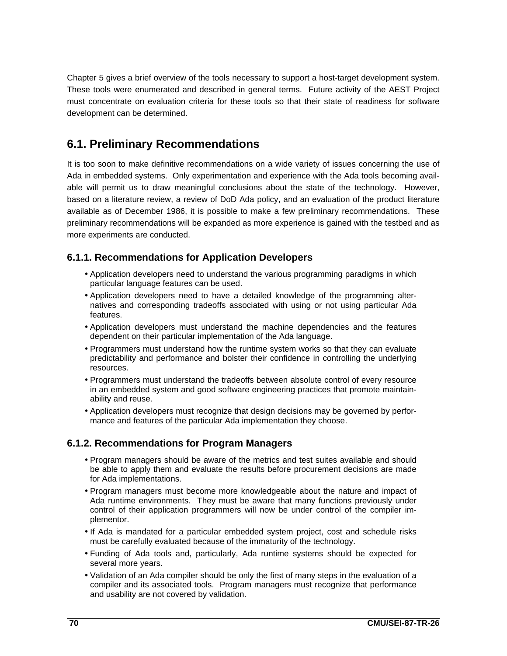Chapter 5 gives a brief overview of the tools necessary to support a host-target development system. These tools were enumerated and described in general terms. Future activity of the AEST Project must concentrate on evaluation criteria for these tools so that their state of readiness for software development can be determined.

## **6.1. Preliminary Recommendations**

It is too soon to make definitive recommendations on a wide variety of issues concerning the use of Ada in embedded systems. Only experimentation and experience with the Ada tools becoming available will permit us to draw meaningful conclusions about the state of the technology. However, based on a literature review, a review of DoD Ada policy, and an evaluation of the product literature available as of December 1986, it is possible to make a few preliminary recommendations. These preliminary recommendations will be expanded as more experience is gained with the testbed and as more experiments are conducted.

#### **6.1.1. Recommendations for Application Developers**

- Application developers need to understand the various programming paradigms in which particular language features can be used.
- Application developers need to have a detailed knowledge of the programming alternatives and corresponding tradeoffs associated with using or not using particular Ada features.
- Application developers must understand the machine dependencies and the features dependent on their particular implementation of the Ada language.
- Programmers must understand how the runtime system works so that they can evaluate predictability and performance and bolster their confidence in controlling the underlying resources.
- Programmers must understand the tradeoffs between absolute control of every resource in an embedded system and good software engineering practices that promote maintainability and reuse.
- Application developers must recognize that design decisions may be governed by performance and features of the particular Ada implementation they choose.

#### **6.1.2. Recommendations for Program Managers**

- Program managers should be aware of the metrics and test suites available and should be able to apply them and evaluate the results before procurement decisions are made for Ada implementations.
- Program managers must become more knowledgeable about the nature and impact of Ada runtime environments. They must be aware that many functions previously under control of their application programmers will now be under control of the compiler implementor.
- If Ada is mandated for a particular embedded system project, cost and schedule risks must be carefully evaluated because of the immaturity of the technology.
- Funding of Ada tools and, particularly, Ada runtime systems should be expected for several more years.
- Validation of an Ada compiler should be only the first of many steps in the evaluation of a compiler and its associated tools. Program managers must recognize that performance and usability are not covered by validation.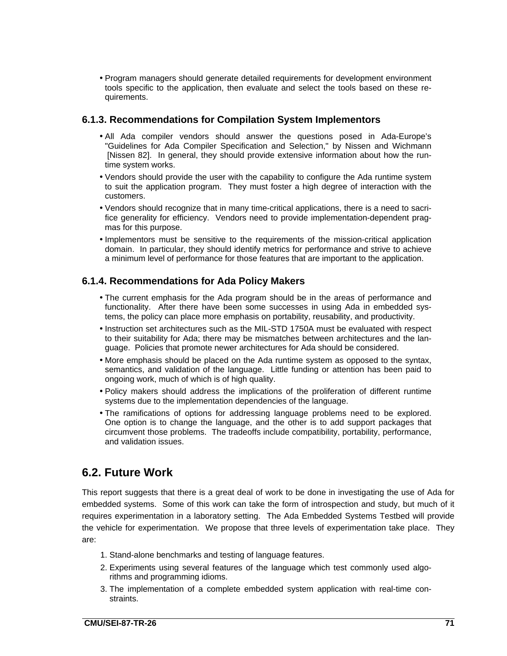• Program managers should generate detailed requirements for development environment tools specific to the application, then evaluate and select the tools based on these requirements.

#### **6.1.3. Recommendations for Compilation System Implementors**

- All Ada compiler vendors should answer the questions posed in Ada-Europe's "Guidelines for Ada Compiler Specification and Selection," by Nissen and Wichmann [Nissen 82]. In general, they should provide extensive information about how the runtime system works.
- Vendors should provide the user with the capability to configure the Ada runtime system to suit the application program. They must foster a high degree of interaction with the customers.
- Vendors should recognize that in many time-critical applications, there is a need to sacrifice generality for efficiency. Vendors need to provide implementation-dependent pragmas for this purpose.
- Implementors must be sensitive to the requirements of the mission-critical application domain. In particular, they should identify metrics for performance and strive to achieve a minimum level of performance for those features that are important to the application.

#### **6.1.4. Recommendations for Ada Policy Makers**

- The current emphasis for the Ada program should be in the areas of performance and functionality. After there have been some successes in using Ada in embedded systems, the policy can place more emphasis on portability, reusability, and productivity.
- Instruction set architectures such as the MIL-STD 1750A must be evaluated with respect to their suitability for Ada; there may be mismatches between architectures and the language. Policies that promote newer architectures for Ada should be considered.
- More emphasis should be placed on the Ada runtime system as opposed to the syntax, semantics, and validation of the language. Little funding or attention has been paid to ongoing work, much of which is of high quality.
- Policy makers should address the implications of the proliferation of different runtime systems due to the implementation dependencies of the language.
- The ramifications of options for addressing language problems need to be explored. One option is to change the language, and the other is to add support packages that circumvent those problems. The tradeoffs include compatibility, portability, performance, and validation issues.

### **6.2. Future Work**

This report suggests that there is a great deal of work to be done in investigating the use of Ada for embedded systems. Some of this work can take the form of introspection and study, but much of it requires experimentation in a laboratory setting. The Ada Embedded Systems Testbed will provide the vehicle for experimentation. We propose that three levels of experimentation take place. They are:

- 1. Stand-alone benchmarks and testing of language features.
- 2. Experiments using several features of the language which test commonly used algorithms and programming idioms.
- 3. The implementation of a complete embedded system application with real-time constraints.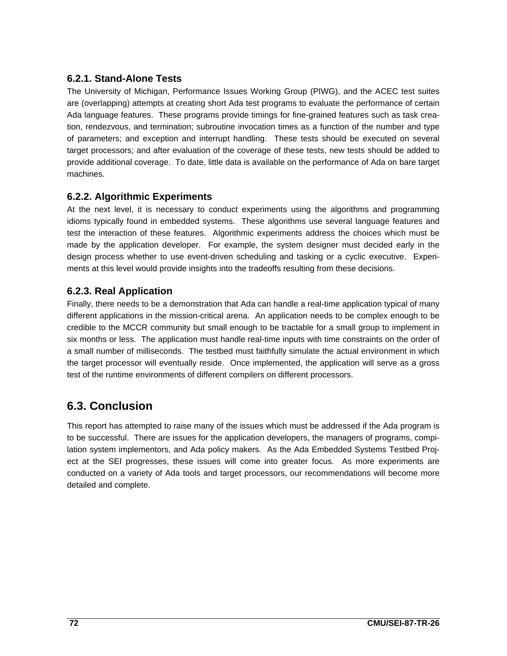#### **6.2.1. Stand-Alone Tests**

The University of Michigan, Performance Issues Working Group (PIWG), and the ACEC test suites are (overlapping) attempts at creating short Ada test programs to evaluate the performance of certain Ada language features. These programs provide timings for fine-grained features such as task creation, rendezvous, and termination; subroutine invocation times as a function of the number and type of parameters; and exception and interrupt handling. These tests should be executed on several target processors; and after evaluation of the coverage of these tests, new tests should be added to provide additional coverage. To date, little data is available on the performance of Ada on bare target machines.

#### **6.2.2. Algorithmic Experiments**

At the next level, it is necessary to conduct experiments using the algorithms and programming idioms typically found in embedded systems. These algorithms use several language features and test the interaction of these features. Algorithmic experiments address the choices which must be made by the application developer. For example, the system designer must decided early in the design process whether to use event-driven scheduling and tasking or a cyclic executive. Experiments at this level would provide insights into the tradeoffs resulting from these decisions.

#### **6.2.3. Real Application**

Finally, there needs to be a demonstration that Ada can handle a real-time application typical of many different applications in the mission-critical arena. An application needs to be complex enough to be credible to the MCCR community but small enough to be tractable for a small group to implement in six months or less. The application must handle real-time inputs with time constraints on the order of a small number of milliseconds. The testbed must faithfully simulate the actual environment in which the target processor will eventually reside. Once implemented, the application will serve as a gross test of the runtime environments of different compilers on different processors.

## **6.3. Conclusion**

This report has attempted to raise many of the issues which must be addressed if the Ada program is to be successful. There are issues for the application developers, the managers of programs, compilation system implementors, and Ada policy makers. As the Ada Embedded Systems Testbed Project at the SEI progresses, these issues will come into greater focus. As more experiments are conducted on a variety of Ada tools and target processors, our recommendations will become more detailed and complete.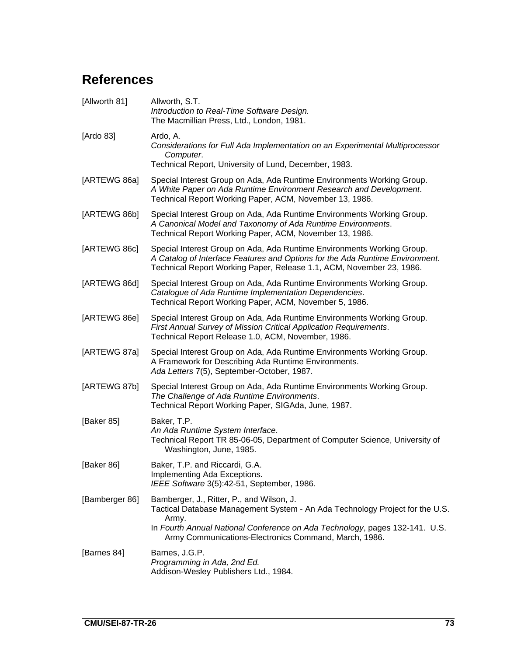# **References**

| [Allworth 81]  | Allworth, S.T.<br>Introduction to Real-Time Software Design.<br>The Macmillian Press, Ltd., London, 1981.                                                                                                                      |
|----------------|--------------------------------------------------------------------------------------------------------------------------------------------------------------------------------------------------------------------------------|
| [Ardo 83]      | Ardo, A.<br>Considerations for Full Ada Implementation on an Experimental Multiprocessor<br>Computer.                                                                                                                          |
|                | Technical Report, University of Lund, December, 1983.                                                                                                                                                                          |
| [ARTEWG 86a]   | Special Interest Group on Ada, Ada Runtime Environments Working Group.<br>A White Paper on Ada Runtime Environment Research and Development.<br>Technical Report Working Paper, ACM, November 13, 1986.                        |
| [ARTEWG 86b]   | Special Interest Group on Ada, Ada Runtime Environments Working Group.<br>A Canonical Model and Taxonomy of Ada Runtime Environments.<br>Technical Report Working Paper, ACM, November 13, 1986.                               |
| [ARTEWG 86c]   | Special Interest Group on Ada, Ada Runtime Environments Working Group.<br>A Catalog of Interface Features and Options for the Ada Runtime Environment.<br>Technical Report Working Paper, Release 1.1, ACM, November 23, 1986. |
| [ARTEWG 86d]   | Special Interest Group on Ada, Ada Runtime Environments Working Group.<br>Catalogue of Ada Runtime Implementation Dependencies.<br>Technical Report Working Paper, ACM, November 5, 1986.                                      |
| [ARTEWG 86e]   | Special Interest Group on Ada, Ada Runtime Environments Working Group.<br>First Annual Survey of Mission Critical Application Requirements.<br>Technical Report Release 1.0, ACM, November, 1986.                              |
| [ARTEWG 87a]   | Special Interest Group on Ada, Ada Runtime Environments Working Group.<br>A Framework for Describing Ada Runtime Environments.<br>Ada Letters 7(5), September-October, 1987.                                                   |
| [ARTEWG 87b]   | Special Interest Group on Ada, Ada Runtime Environments Working Group.<br>The Challenge of Ada Runtime Environments.<br>Technical Report Working Paper, SIGAda, June, 1987.                                                    |
| [Baker 85]     | Baker, T.P.<br>An Ada Runtime System Interface.<br>Technical Report TR 85-06-05, Department of Computer Science, University of<br>Washington, June, 1985.                                                                      |
| [Baker 86]     | Baker, T.P. and Riccardi, G.A.<br>Implementing Ada Exceptions.<br>IEEE Software 3(5):42-51, September, 1986.                                                                                                                   |
| [Bamberger 86] | Bamberger, J., Ritter, P., and Wilson, J.<br>Tactical Database Management System - An Ada Technology Project for the U.S.                                                                                                      |
|                | Army.<br>In Fourth Annual National Conference on Ada Technology, pages 132-141. U.S.<br>Army Communications-Electronics Command, March, 1986.                                                                                  |
| [Barnes 84]    | Barnes, J.G.P.<br>Programming in Ada, 2nd Ed.<br>Addison-Wesley Publishers Ltd., 1984.                                                                                                                                         |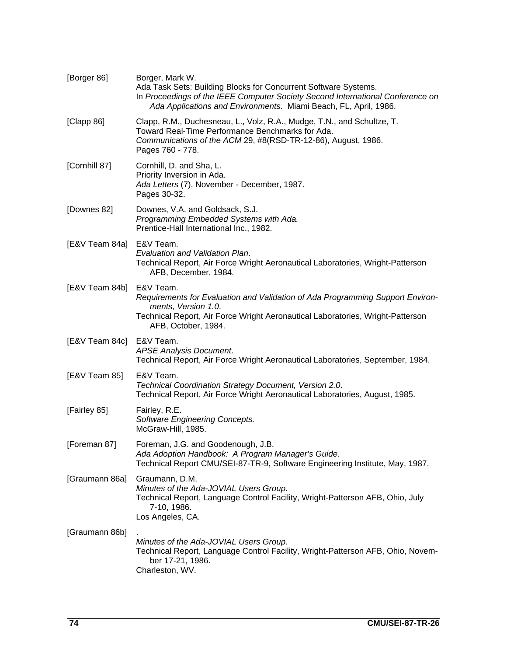| [Borger 86]    | Borger, Mark W.<br>Ada Task Sets: Building Blocks for Concurrent Software Systems.<br>In Proceedings of the IEEE Computer Society Second International Conference on<br>Ada Applications and Environments. Miami Beach, FL, April, 1986. |
|----------------|------------------------------------------------------------------------------------------------------------------------------------------------------------------------------------------------------------------------------------------|
| [Clapp 86]     | Clapp, R.M., Duchesneau, L., Volz, R.A., Mudge, T.N., and Schultze, T.<br>Toward Real-Time Performance Benchmarks for Ada.<br>Communications of the ACM 29, #8(RSD-TR-12-86), August, 1986.<br>Pages 760 - 778.                          |
| [Cornhill 87]  | Cornhill, D. and Sha, L.<br>Priority Inversion in Ada.<br>Ada Letters (7), November - December, 1987.<br>Pages 30-32.                                                                                                                    |
| [Downes 82]    | Downes, V.A. and Goldsack, S.J.<br>Programming Embedded Systems with Ada.<br>Prentice-Hall International Inc., 1982.                                                                                                                     |
| [E&V Team 84a] | E&V Team.<br>Evaluation and Validation Plan.<br>Technical Report, Air Force Wright Aeronautical Laboratories, Wright-Patterson<br>AFB, December, 1984.                                                                                   |
| [E&V Team 84b] | E&V Team.<br>Requirements for Evaluation and Validation of Ada Programming Support Environ-<br>ments, Version 1.0.<br>Technical Report, Air Force Wright Aeronautical Laboratories, Wright-Patterson<br>AFB, October, 1984.              |
| [E&V Team 84c] | E&V Team.<br><b>APSE Analysis Document.</b><br>Technical Report, Air Force Wright Aeronautical Laboratories, September, 1984.                                                                                                            |
| [E&V Team 85]  | E&V Team.<br>Technical Coordination Strategy Document, Version 2.0.<br>Technical Report, Air Force Wright Aeronautical Laboratories, August, 1985.                                                                                       |
| [Fairley 85]   | Fairley, R.E.<br><b>Software Engineering Concepts.</b><br>McGraw-Hill, 1985.                                                                                                                                                             |
| [Foreman 87]   | Foreman, J.G. and Goodenough, J.B.<br>Ada Adoption Handbook: A Program Manager's Guide.<br>Technical Report CMU/SEI-87-TR-9, Software Engineering Institute, May, 1987.                                                                  |
| [Graumann 86a] | Graumann, D.M.<br>Minutes of the Ada-JOVIAL Users Group.<br>Technical Report, Language Control Facility, Wright-Patterson AFB, Ohio, July<br>7-10, 1986.<br>Los Angeles, CA.                                                             |
| [Graumann 86b] | Minutes of the Ada-JOVIAL Users Group.<br>Technical Report, Language Control Facility, Wright-Patterson AFB, Ohio, Novem-<br>ber 17-21, 1986.<br>Charleston, WV.                                                                         |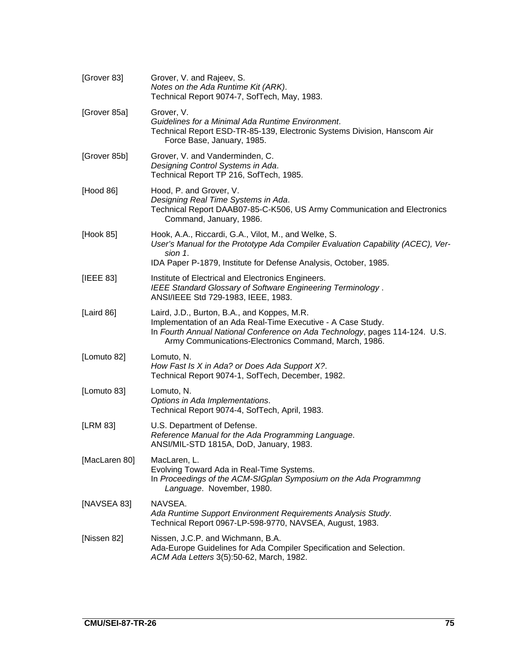| [Grover 83]   | Grover, V. and Rajeev, S.<br>Notes on the Ada Runtime Kit (ARK).<br>Technical Report 9074-7, SofTech, May, 1983.                                                                                                                                    |
|---------------|-----------------------------------------------------------------------------------------------------------------------------------------------------------------------------------------------------------------------------------------------------|
| [Grover 85a]  | Grover, V.<br>Guidelines for a Minimal Ada Runtime Environment.<br>Technical Report ESD-TR-85-139, Electronic Systems Division, Hanscom Air<br>Force Base, January, 1985.                                                                           |
| [Grover 85b]  | Grover, V. and Vanderminden, C.<br>Designing Control Systems in Ada.<br>Technical Report TP 216, SofTech, 1985.                                                                                                                                     |
| [Hood 86]     | Hood, P. and Grover, V.<br>Designing Real Time Systems in Ada.<br>Technical Report DAAB07-85-C-K506, US Army Communication and Electronics<br>Command, January, 1986.                                                                               |
| [Hook 85]     | Hook, A.A., Riccardi, G.A., Vilot, M., and Welke, S.<br>User's Manual for the Prototype Ada Compiler Evaluation Capability (ACEC), Ver-<br>sion 1.                                                                                                  |
|               | IDA Paper P-1879, Institute for Defense Analysis, October, 1985.                                                                                                                                                                                    |
| [IEEE 83]     | Institute of Electrical and Electronics Engineers.<br>IEEE Standard Glossary of Software Engineering Terminology.<br>ANSI/IEEE Std 729-1983, IEEE, 1983.                                                                                            |
| [Laird 86]    | Laird, J.D., Burton, B.A., and Koppes, M.R.<br>Implementation of an Ada Real-Time Executive - A Case Study.<br>In Fourth Annual National Conference on Ada Technology, pages 114-124. U.S.<br>Army Communications-Electronics Command, March, 1986. |
| [Lomuto 82]   | Lomuto, N.<br>How Fast Is X in Ada? or Does Ada Support X?.<br>Technical Report 9074-1, SofTech, December, 1982.                                                                                                                                    |
| [Lomuto 83]   | Lomuto, N.<br>Options in Ada Implementations.<br>Technical Report 9074-4, SofTech, April, 1983.                                                                                                                                                     |
| [LRM 83]      | U.S. Department of Defense.<br>Reference Manual for the Ada Programming Language.<br>ANSI/MIL-STD 1815A, DoD, January, 1983.                                                                                                                        |
| [MacLaren 80] | MacLaren, L.<br>Evolving Toward Ada in Real-Time Systems.<br>In Proceedings of the ACM-SIGplan Symposium on the Ada Programmng<br>Language. November, 1980.                                                                                         |
| [NAVSEA 83]   | NAVSEA.<br>Ada Runtime Support Environment Requirements Analysis Study.<br>Technical Report 0967-LP-598-9770, NAVSEA, August, 1983.                                                                                                                 |
| [Nissen 82]   | Nissen, J.C.P. and Wichmann, B.A.<br>Ada-Europe Guidelines for Ada Compiler Specification and Selection.<br>ACM Ada Letters 3(5):50-62, March, 1982.                                                                                                |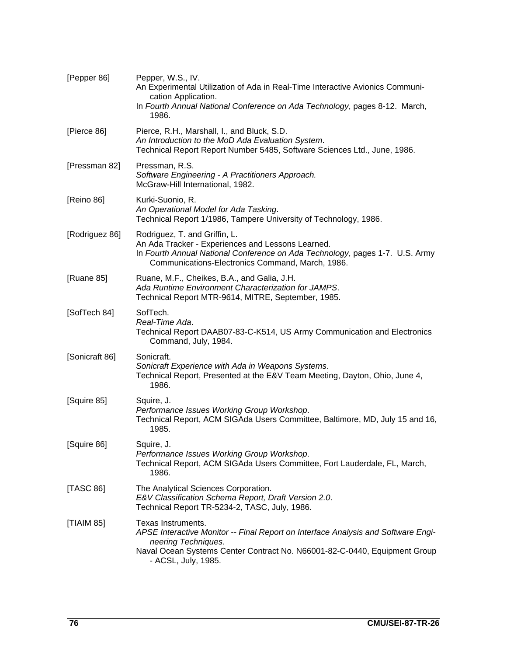| [Pepper 86]    | Pepper, W.S., IV.<br>An Experimental Utilization of Ada in Real-Time Interactive Avionics Communi-<br>cation Application.<br>In Fourth Annual National Conference on Ada Technology, pages 8-12. March,<br>1986.                   |
|----------------|------------------------------------------------------------------------------------------------------------------------------------------------------------------------------------------------------------------------------------|
| [Pierce 86]    | Pierce, R.H., Marshall, I., and Bluck, S.D.<br>An Introduction to the MoD Ada Evaluation System.<br>Technical Report Report Number 5485, Software Sciences Ltd., June, 1986.                                                       |
| [Pressman 82]  | Pressman, R.S.<br>Software Engineering - A Practitioners Approach.<br>McGraw-Hill International, 1982.                                                                                                                             |
| [Reino 86]     | Kurki-Suonio, R.<br>An Operational Model for Ada Tasking.<br>Technical Report 1/1986, Tampere University of Technology, 1986.                                                                                                      |
| [Rodriguez 86] | Rodriguez, T. and Griffin, L.<br>An Ada Tracker - Experiences and Lessons Learned.<br>In Fourth Annual National Conference on Ada Technology, pages 1-7. U.S. Army<br>Communications-Electronics Command, March, 1986.             |
| [Ruane 85]     | Ruane, M.F., Cheikes, B.A., and Galia, J.H.<br>Ada Runtime Environment Characterization for JAMPS.<br>Technical Report MTR-9614, MITRE, September, 1985.                                                                           |
| [SofTech 84]   | SofTech.<br>Real-Time Ada.<br>Technical Report DAAB07-83-C-K514, US Army Communication and Electronics<br>Command, July, 1984.                                                                                                     |
| [Sonicraft 86] | Sonicraft.<br>Sonicraft Experience with Ada in Weapons Systems.<br>Technical Report, Presented at the E&V Team Meeting, Dayton, Ohio, June 4,<br>1986.                                                                             |
| [Squire 85]    | Squire, J.<br>Performance Issues Working Group Workshop.<br>Technical Report, ACM SIGAda Users Committee, Baltimore, MD, July 15 and 16,<br>1985.                                                                                  |
| [Squire 86]    | Squire, J.<br>Performance Issues Working Group Workshop.<br>Technical Report, ACM SIGAda Users Committee, Fort Lauderdale, FL, March,<br>1986.                                                                                     |
| [TASC 86]      | The Analytical Sciences Corporation.<br>E&V Classification Schema Report, Draft Version 2.0.<br>Technical Report TR-5234-2, TASC, July, 1986.                                                                                      |
| [TIAIM 85]     | Texas Instruments.<br>APSE Interactive Monitor -- Final Report on Interface Analysis and Software Engi-<br>neering Techniques.<br>Naval Ocean Systems Center Contract No. N66001-82-C-0440, Equipment Group<br>- ACSL, July, 1985. |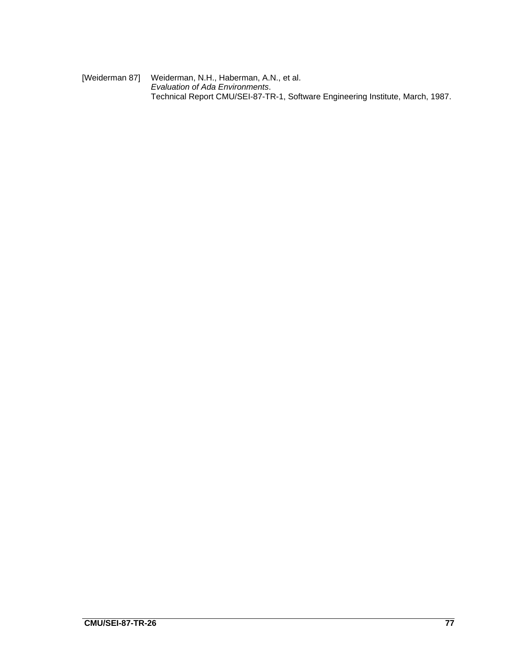[Weiderman 87] Weiderman, N.H., Haberman, A.N., et al. Evaluation of Ada Environments. Technical Report CMU/SEI-87-TR-1, Software Engineering Institute, March, 1987.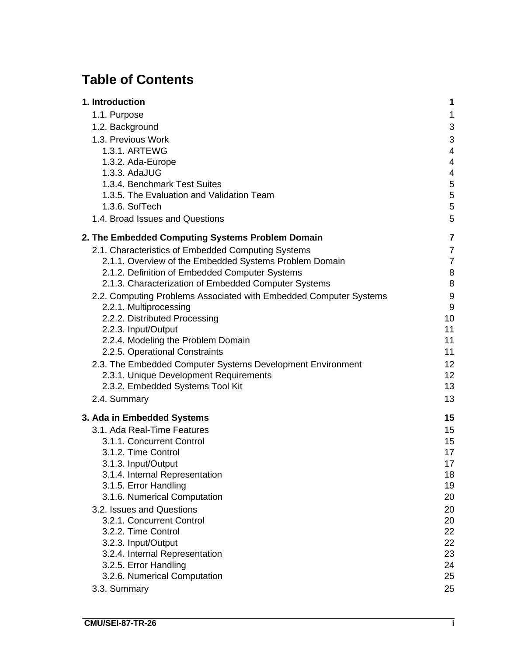# **Table of Contents**

| 1. Introduction                                                   | 1              |
|-------------------------------------------------------------------|----------------|
| 1.1. Purpose                                                      | 1              |
| 1.2. Background                                                   | 3              |
| 1.3. Previous Work                                                | 3              |
| 1.3.1. ARTEWG                                                     | $\overline{4}$ |
| 1.3.2. Ada-Europe                                                 | 4              |
| 1.3.3. AdaJUG                                                     | 4              |
| 1.3.4. Benchmark Test Suites                                      | 5              |
| 1.3.5. The Evaluation and Validation Team                         | 5              |
| 1.3.6. SofTech                                                    | 5              |
| 1.4. Broad Issues and Questions                                   | 5              |
| 2. The Embedded Computing Systems Problem Domain                  | 7              |
| 2.1. Characteristics of Embedded Computing Systems                | 7              |
| 2.1.1. Overview of the Embedded Systems Problem Domain            | $\overline{7}$ |
| 2.1.2. Definition of Embedded Computer Systems                    | 8              |
| 2.1.3. Characterization of Embedded Computer Systems              | 8              |
| 2.2. Computing Problems Associated with Embedded Computer Systems | 9              |
| 2.2.1. Multiprocessing                                            | 9              |
| 2.2.2. Distributed Processing                                     | 10             |
| 2.2.3. Input/Output                                               | 11             |
| 2.2.4. Modeling the Problem Domain                                | 11             |
| 2.2.5. Operational Constraints                                    | 11             |
| 2.3. The Embedded Computer Systems Development Environment        | 12             |
| 2.3.1. Unique Development Requirements                            | 12<br>13       |
| 2.3.2. Embedded Systems Tool Kit                                  |                |
| 2.4. Summary                                                      | 13             |
| 3. Ada in Embedded Systems                                        | 15             |
| 3.1. Ada Real-Time Features                                       | 15             |
| 3.1.1. Concurrent Control                                         | 15             |
| 3.1.2. Time Control                                               | 17             |
| 3.1.3. Input/Output                                               | 17             |
| 3.1.4. Internal Representation                                    | 18             |
| 3.1.5. Error Handling                                             | 19             |
| 3.1.6. Numerical Computation                                      | 20             |
| 3.2. Issues and Questions<br>3.2.1. Concurrent Control            | 20<br>20       |
| 3.2.2. Time Control                                               | 22             |
| 3.2.3. Input/Output                                               | 22             |
| 3.2.4. Internal Representation                                    | 23             |
| 3.2.5. Error Handling                                             | 24             |
| 3.2.6. Numerical Computation                                      | 25             |
| 3.3. Summary                                                      | 25             |
|                                                                   |                |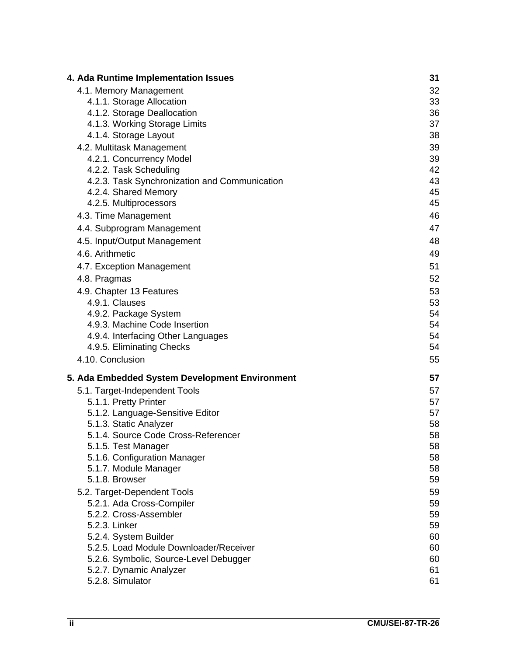| 4. Ada Runtime Implementation Issues                | 31       |
|-----------------------------------------------------|----------|
| 4.1. Memory Management                              | 32       |
| 4.1.1. Storage Allocation                           | 33       |
| 4.1.2. Storage Deallocation                         | 36       |
| 4.1.3. Working Storage Limits                       | 37       |
| 4.1.4. Storage Layout                               | 38       |
| 4.2. Multitask Management                           | 39       |
| 4.2.1. Concurrency Model                            | 39       |
| 4.2.2. Task Scheduling                              | 42       |
| 4.2.3. Task Synchronization and Communication       | 43       |
| 4.2.4. Shared Memory                                | 45       |
| 4.2.5. Multiprocessors                              | 45       |
| 4.3. Time Management                                | 46       |
| 4.4. Subprogram Management                          | 47       |
| 4.5. Input/Output Management                        | 48       |
| 4.6. Arithmetic                                     | 49       |
| 4.7. Exception Management                           | 51       |
| 4.8. Pragmas                                        | 52       |
| 4.9. Chapter 13 Features                            | 53       |
| 4.9.1. Clauses                                      | 53       |
| 4.9.2. Package System                               | 54       |
| 4.9.3. Machine Code Insertion                       | 54       |
| 4.9.4. Interfacing Other Languages                  | 54       |
| 4.9.5. Eliminating Checks                           | 54       |
| 4.10. Conclusion                                    | 55       |
| 5. Ada Embedded System Development Environment      | 57       |
| 5.1. Target-Independent Tools                       | 57       |
| 5.1.1. Pretty Printer                               | 57       |
| 5.1.2. Language-Sensitive Editor                    | 57       |
| 5.1.3. Static Analyzer                              | 58       |
| 5.1.4. Source Code Cross-Referencer                 | 58       |
| 5.1.5. Test Manager                                 | 58       |
| 5.1.6. Configuration Manager                        | 58       |
| 5.1.7. Module Manager                               | 58       |
| 5.1.8. Browser                                      | 59       |
| 5.2. Target-Dependent Tools                         | 59       |
| 5.2.1. Ada Cross-Compiler<br>5.2.2. Cross-Assembler | 59       |
| 5.2.3. Linker                                       | 59       |
| 5.2.4. System Builder                               | 59<br>60 |
| 5.2.5. Load Module Downloader/Receiver              | 60       |
| 5.2.6. Symbolic, Source-Level Debugger              | 60       |
| 5.2.7. Dynamic Analyzer                             | 61       |
| 5.2.8. Simulator                                    | 61       |
|                                                     |          |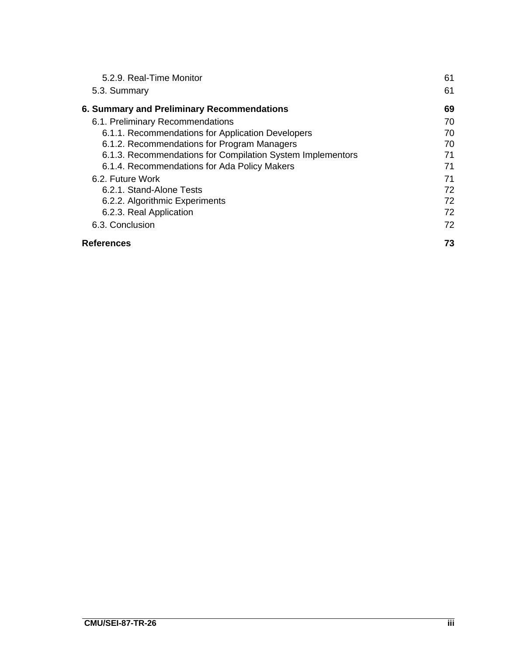| 5.2.9. Real-Time Monitor                                   | 61 |
|------------------------------------------------------------|----|
| 5.3. Summary                                               | 61 |
| 6. Summary and Preliminary Recommendations                 | 69 |
| 6.1. Preliminary Recommendations                           | 70 |
| 6.1.1. Recommendations for Application Developers          | 70 |
| 6.1.2. Recommendations for Program Managers                | 70 |
| 6.1.3. Recommendations for Compilation System Implementors | 71 |
| 6.1.4. Recommendations for Ada Policy Makers               | 71 |
| 6.2. Future Work                                           | 71 |
| 6.2.1. Stand-Alone Tests                                   | 72 |
| 6.2.2. Algorithmic Experiments                             | 72 |
| 6.2.3. Real Application                                    | 72 |
| 6.3. Conclusion                                            | 72 |
| <b>References</b>                                          | 73 |